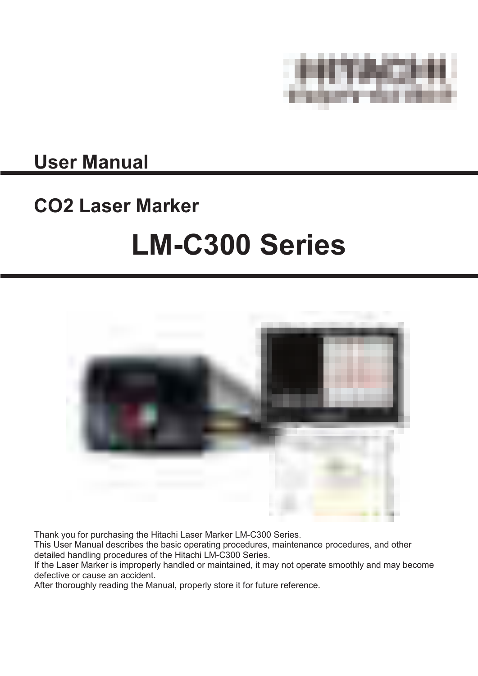

## **User Manual**

# **CO2 Laser Marker LM-C300 Series**



Thank you for purchasing the Hitachi Laser Marker LM-C300 Series.

This User Manual describes the basic operating procedures, maintenance procedures, and other detailed handling procedures of the Hitachi LM-C300 Series.

If the Laser Marker is improperly handled or maintained, it may not operate smoothly and may become defective or cause an accident.

After thoroughly reading the Manual, properly store it for future reference.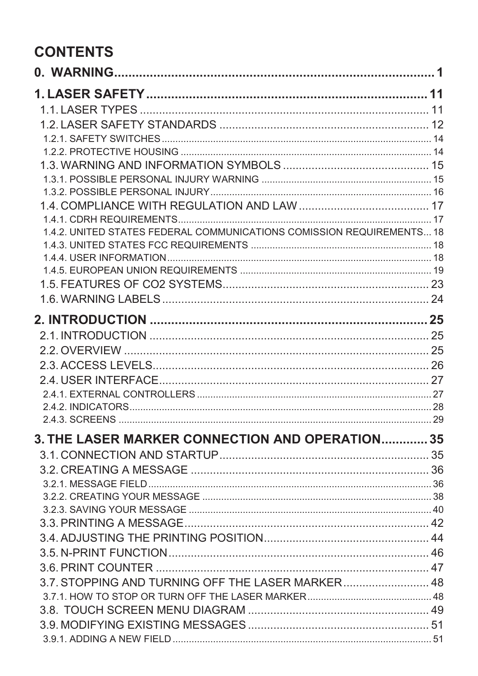## **CONTENTS**

| 1.4.2. UNITED STATES FEDERAL COMMUNICATIONS COMISSION REQUIREMENTS 18 |  |
|-----------------------------------------------------------------------|--|
|                                                                       |  |
|                                                                       |  |
|                                                                       |  |
|                                                                       |  |
|                                                                       |  |
|                                                                       |  |
|                                                                       |  |
|                                                                       |  |
|                                                                       |  |
|                                                                       |  |
|                                                                       |  |
|                                                                       |  |
|                                                                       |  |
| <b>3. THE LASER MARKER CONNECTION AND OPERATION 35</b>                |  |
|                                                                       |  |
|                                                                       |  |
|                                                                       |  |
|                                                                       |  |
|                                                                       |  |
|                                                                       |  |
|                                                                       |  |
|                                                                       |  |
|                                                                       |  |
| 3.7. STOPPING AND TURNING OFF THE LASER MARKER 48                     |  |
|                                                                       |  |
|                                                                       |  |
|                                                                       |  |
|                                                                       |  |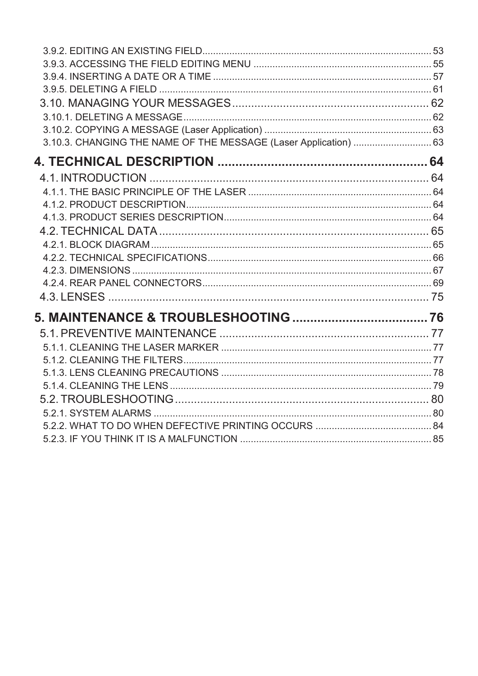| 3.10.3. CHANGING THE NAME OF THE MESSAGE (Laser Application)  63 |  |
|------------------------------------------------------------------|--|
|                                                                  |  |
|                                                                  |  |
|                                                                  |  |
|                                                                  |  |
|                                                                  |  |
|                                                                  |  |
|                                                                  |  |
|                                                                  |  |
|                                                                  |  |
|                                                                  |  |
|                                                                  |  |
|                                                                  |  |
|                                                                  |  |
|                                                                  |  |
|                                                                  |  |
|                                                                  |  |
|                                                                  |  |
|                                                                  |  |
|                                                                  |  |
|                                                                  |  |
|                                                                  |  |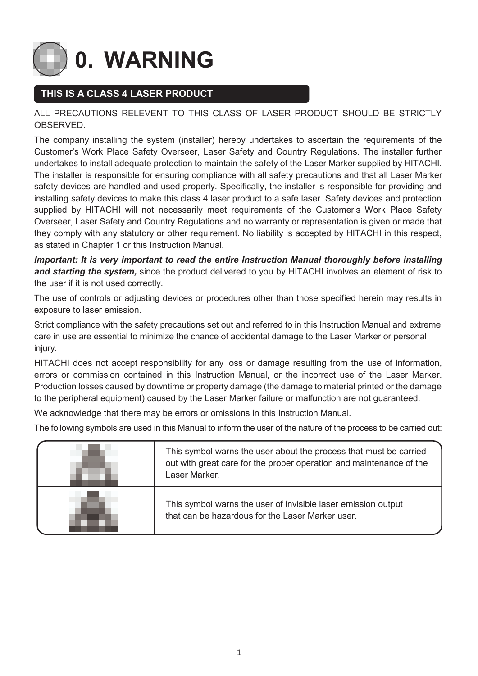<span id="page-3-0"></span>**0. WARNING** 

### **THIS IS A CLASS 4 LASER PRODUCT**

#### ALL PRECAUTIONS RELEVENT TO THIS CLASS OF LASER PRODUCT SHOULD BE STRICTLY OBSERVED.

The company installing the system (installer) hereby undertakes to ascertain the requirements of the Customer's Work Place Safety Overseer, Laser Safety and Country Regulations. The installer further undertakes to install adequate protection to maintain the safety of the Laser Marker supplied by HITACHI. The installer is responsible for ensuring compliance with all safety precautions and that all Laser Marker safety devices are handled and used properly. Specifically, the installer is responsible for providing and installing safety devices to make this class 4 laser product to a safe laser. Safety devices and protection supplied by HITACHI will not necessarily meet requirements of the Customer's Work Place Safety Overseer, Laser Safety and Country Regulations and no warranty or representation is given or made that they comply with any statutory or other requirement. No liability is accepted by HITACHI in this respect, as stated in Chapter 1 or this Instruction Manual.

*Important: It is very important to read the entire Instruction Manual thoroughly before installing and starting the system,* since the product delivered to you by HITACHI involves an element of risk to the user if it is not used correctly.

The use of controls or adjusting devices or procedures other than those specified herein may results in exposure to laser emission.

Strict compliance with the safety precautions set out and referred to in this Instruction Manual and extreme care in use are essential to minimize the chance of accidental damage to the Laser Marker or personal injury.

HITACHI does not accept responsibility for any loss or damage resulting from the use of information, errors or commission contained in this Instruction Manual, or the incorrect use of the Laser Marker. Production losses caused by downtime or property damage (the damage to material printed or the damage to the peripheral equipment) caused by the Laser Marker failure or malfunction are not guaranteed.

We acknowledge that there may be errors or omissions in this Instruction Manual.

The following symbols are used in this Manual to inform the user of the nature of the process to be carried out:

| This symbol warns the user about the process that must be carried<br>out with great care for the proper operation and maintenance of the<br>Laser Marker. |
|-----------------------------------------------------------------------------------------------------------------------------------------------------------|
| This symbol warns the user of invisible laser emission output<br>that can be hazardous for the Laser Marker user.                                         |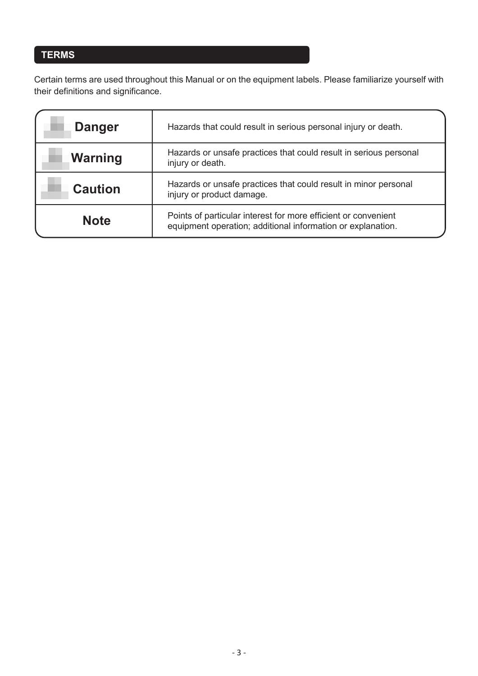## **TERMS**

Certain terms are used throughout this Manual or on the equipment labels. Please familiarize yourself with their definitions and significance.

| <b>Danger</b>                                                                                                                                | Hazards that could result in serious personal injury or death.                        |  |
|----------------------------------------------------------------------------------------------------------------------------------------------|---------------------------------------------------------------------------------------|--|
| <b>Warning</b>                                                                                                                               | Hazards or unsafe practices that could result in serious personal<br>injury or death. |  |
| Hazards or unsafe practices that could result in minor personal<br><b>Caution</b><br>injury or product damage.                               |                                                                                       |  |
| Points of particular interest for more efficient or convenient<br><b>Note</b><br>equipment operation; additional information or explanation. |                                                                                       |  |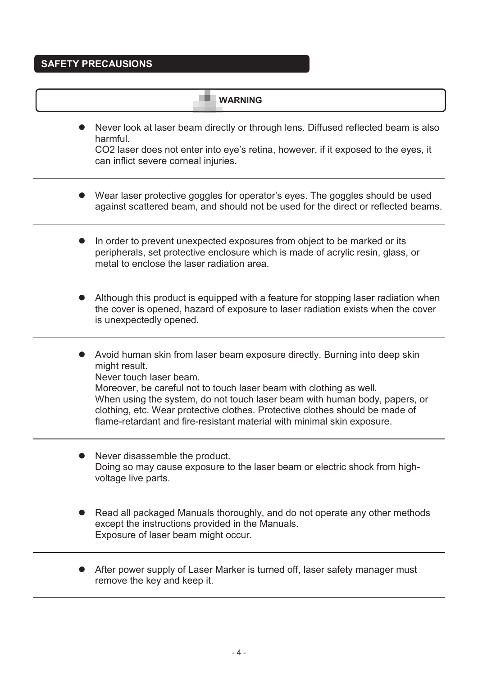#### **SAFETY PRECAUSIONS**

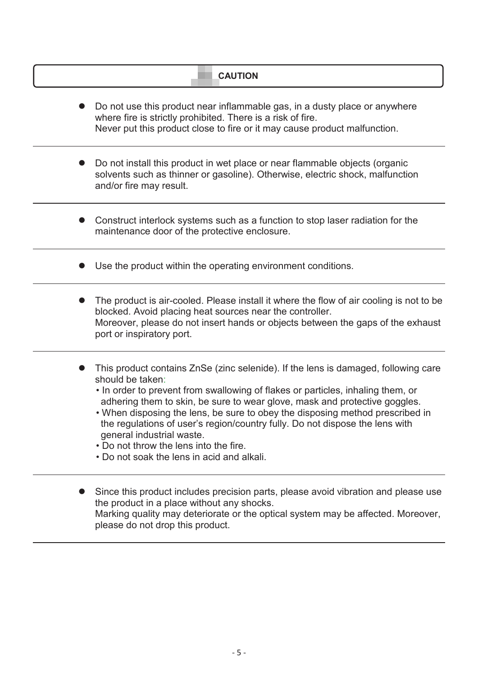| <b>CAUTION</b>                                                                                                                                                                                                                                                                                                                                                                                                                                                                                                                                                |
|---------------------------------------------------------------------------------------------------------------------------------------------------------------------------------------------------------------------------------------------------------------------------------------------------------------------------------------------------------------------------------------------------------------------------------------------------------------------------------------------------------------------------------------------------------------|
| Do not use this product near inflammable gas, in a dusty place or anywhere<br>where fire is strictly prohibited. There is a risk of fire.<br>Never put this product close to fire or it may cause product malfunction.                                                                                                                                                                                                                                                                                                                                        |
| Do not install this product in wet place or near flammable objects (organic<br>solvents such as thinner or gasoline). Otherwise, electric shock, malfunction<br>and/or fire may result.                                                                                                                                                                                                                                                                                                                                                                       |
| Construct interlock systems such as a function to stop laser radiation for the<br>maintenance door of the protective enclosure.                                                                                                                                                                                                                                                                                                                                                                                                                               |
| Use the product within the operating environment conditions.                                                                                                                                                                                                                                                                                                                                                                                                                                                                                                  |
| The product is air-cooled. Please install it where the flow of air cooling is not to be<br>blocked. Avoid placing heat sources near the controller.<br>Moreover, please do not insert hands or objects between the gaps of the exhaust<br>port or inspiratory port.                                                                                                                                                                                                                                                                                           |
| This product contains ZnSe (zinc selenide). If the lens is damaged, following care<br>should be taken:<br>• In order to prevent from swallowing of flakes or particles, inhaling them, or<br>adhering them to skin, be sure to wear glove, mask and protective goggles.<br>• When disposing the lens, be sure to obey the disposing method prescribed in<br>the regulations of user's region/country fully. Do not dispose the lens with<br>general industrial waste.<br>• Do not throw the lens into the fire.<br>• Do not soak the lens in acid and alkali. |
| Since this product includes precision parts, please avoid vibration and please use<br>the product in a place without any shocks.<br>Marking quality may deteriorate or the optical system may be affected. Moreover,<br>please do not drop this product.                                                                                                                                                                                                                                                                                                      |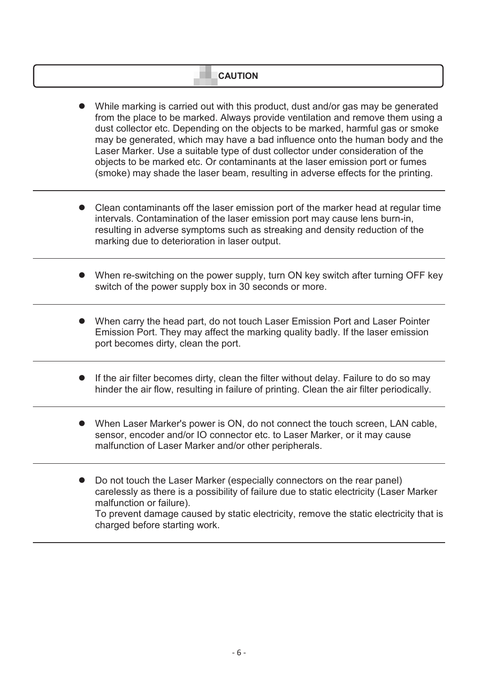#### **CAUTION**

- While marking is carried out with this product, dust and/or gas may be generated from the place to be marked. Always provide ventilation and remove them using a dust collector etc. Depending on the objects to be marked, harmful gas or smoke may be generated, which may have a bad influence onto the human body and the Laser Marker. Use a suitable type of dust collector under consideration of the objects to be marked etc. Or contaminants at the laser emission port or fumes (smoke) may shade the laser beam, resulting in adverse effects for the printing.
- Clean contaminants off the laser emission port of the marker head at regular time intervals. Contamination of the laser emission port may cause lens burn-in, resulting in adverse symptoms such as streaking and density reduction of the marking due to deterioration in laser output.
- When re-switching on the power supply, turn ON key switch after turning OFF key switch of the power supply box in 30 seconds or more.
- When carry the head part, do not touch Laser Emission Port and Laser Pointer Emission Port. They may affect the marking quality badly. If the laser emission port becomes dirty, clean the port.
- If the air filter becomes dirty, clean the filter without delay. Failure to do so may hinder the air flow, resulting in failure of printing. Clean the air filter periodically.
- When Laser Marker's power is ON, do not connect the touch screen, LAN cable, sensor, encoder and/or IO connector etc. to Laser Marker, or it may cause malfunction of Laser Marker and/or other peripherals.
- Do not touch the Laser Marker (especially connectors on the rear panel) carelessly as there is a possibility of failure due to static electricity (Laser Marker malfunction or failure). To prevent damage caused by static electricity, remove the static electricity that is charged before starting work.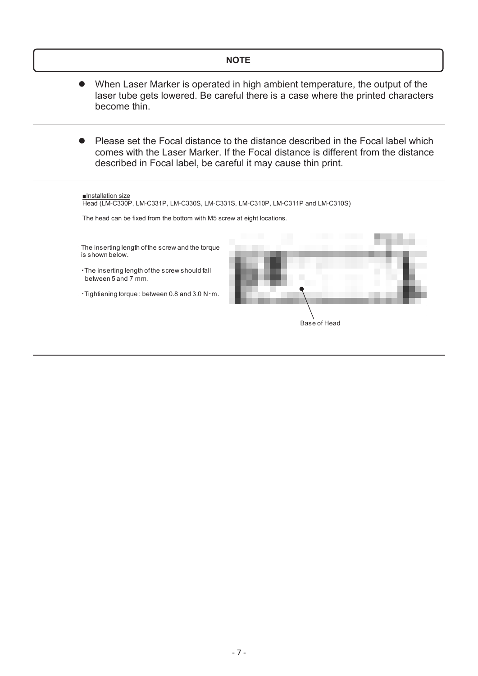#### **NOTE**

- When Laser Marker is operated in high ambient temperature, the output of the laser tube gets lowered. Be careful there is a case where the printed characters become thin.
- Please set the Focal distance to the distance described in the Focal label which comes with the Laser Marker. If the Focal distance is different from the distance described in Focal label, be careful it may cause thin print.

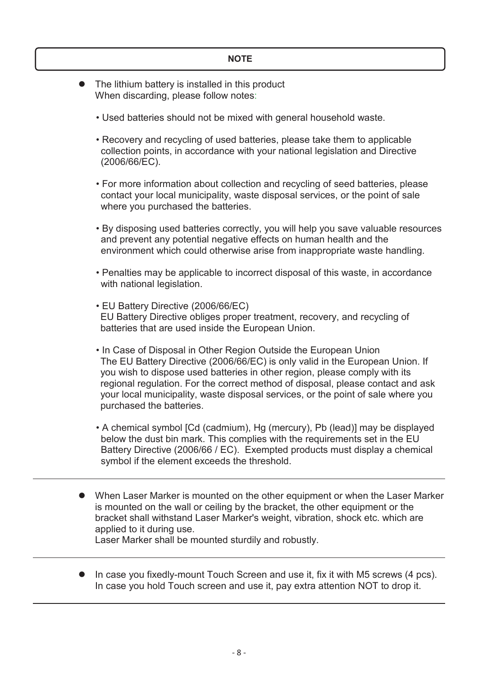- The lithium battery is installed in this product When discarding, please follow notes:
	- Used batteries should not be mixed with general household waste.
	- Recovery and recycling of used batteries, please take them to applicable collection points, in accordance with your national legislation and Directive (2006/66/EC).
	- For more information about collection and recycling of seed batteries, please contact your local municipality, waste disposal services, or the point of sale where you purchased the batteries.
	- By disposing used batteries correctly, you will help you save valuable resources and prevent any potential negative effects on human health and the environment which could otherwise arise from inappropriate waste handling.
	- Penalties may be applicable to incorrect disposal of this waste, in accordance with national legislation.
	- EU Battery Directive (2006/66/EC) EU Battery Directive obliges proper treatment, recovery, and recycling of batteries that are used inside the European Union.
	- In Case of Disposal in Other Region Outside the European Union The EU Battery Directive (2006/66/EC) is only valid in the European Union. If you wish to dispose used batteries in other region, please comply with its regional regulation. For the correct method of disposal, please contact and ask your local municipality, waste disposal services, or the point of sale where you purchased the batteries.
	- A chemical symbol [Cd (cadmium), Hg (mercury), Pb (lead)] may be displayed below the dust bin mark. This complies with the requirements set in the EU Battery Directive (2006/66 / EC). Exempted products must display a chemical symbol if the element exceeds the threshold.
- When Laser Marker is mounted on the other equipment or when the Laser Marker is mounted on the wall or ceiling by the bracket, the other equipment or the bracket shall withstand Laser Marker's weight, vibration, shock etc. which are applied to it during use.

Laser Marker shall be mounted sturdily and robustly.

 In case you fixedly-mount Touch Screen and use it, fix it with M5 screws (4 pcs). In case you hold Touch screen and use it, pay extra attention NOT to drop it.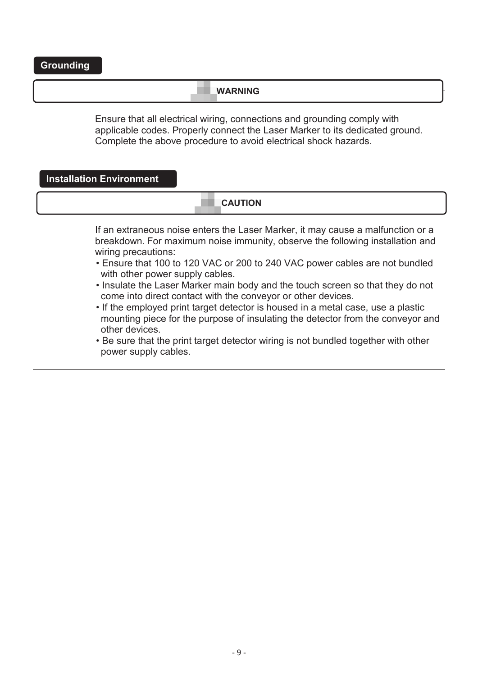#### **WARNING**

Ensure that all electrical wiring, connections and grounding comply with applicable codes. Properly connect the Laser Marker to its dedicated ground. Complete the above procedure to avoid electrical shock hazards.

**Installation Environment**

#### **CAUTION**

If an extraneous noise enters the Laser Marker, it may cause a malfunction or a breakdown. For maximum noise immunity, observe the following installation and wiring precautions:

- Ensure that 100 to 120 VAC or 200 to 240 VAC power cables are not bundled with other power supply cables.
- Insulate the Laser Marker main body and the touch screen so that they do not come into direct contact with the conveyor or other devices.
- If the employed print target detector is housed in a metal case, use a plastic mounting piece for the purpose of insulating the detector from the conveyor and other devices.
- Be sure that the print target detector wiring is not bundled together with other power supply cables.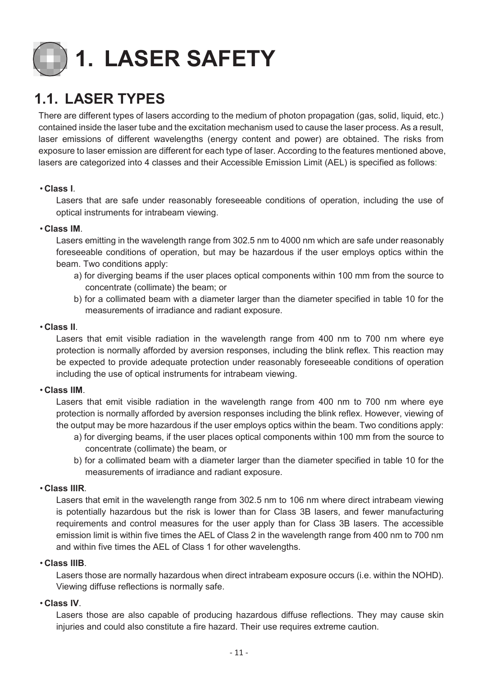<span id="page-11-0"></span>

## <span id="page-11-1"></span>**1.1. LASER TYPES**

There are different types of lasers according to the medium of photon propagation (gas, solid, liquid, etc.) contained inside the laser tube and the excitation mechanism used to cause the laser process. As a result, laser emissions of different wavelengths (energy content and power) are obtained. The risks from exposure to laser emission are different for each type of laser. According to the features mentioned above, lasers are categorized into 4 classes and their Accessible Emission Limit (AEL) is specified as follows:

#### • **Class I**.

Lasers that are safe under reasonably foreseeable conditions of operation, including the use of optical instruments for intrabeam viewing.

#### • **Class IM**.

Lasers emitting in the wavelength range from 302.5 nm to 4000 nm which are safe under reasonably foreseeable conditions of operation, but may be hazardous if the user employs optics within the beam. Two conditions apply:

- a) for diverging beams if the user places optical components within 100 mm from the source to concentrate (collimate) the beam; or
- b) for a collimated beam with a diameter larger than the diameter specified in table 10 for the measurements of irradiance and radiant exposure.

#### • **Class II**.

Lasers that emit visible radiation in the wavelength range from 400 nm to 700 nm where eye protection is normally afforded by aversion responses, including the blink reflex. This reaction may be expected to provide adequate protection under reasonably foreseeable conditions of operation including the use of optical instruments for intrabeam viewing.

#### • **Class IIM**.

Lasers that emit visible radiation in the wavelength range from 400 nm to 700 nm where eye protection is normally afforded by aversion responses including the blink reflex. However, viewing of the output may be more hazardous if the user employs optics within the beam. Two conditions apply:

- a) for diverging beams, if the user places optical components within 100 mm from the source to concentrate (collimate) the beam, or
- b) for a collimated beam with a diameter larger than the diameter specified in table 10 for the measurements of irradiance and radiant exposure.

#### • **Class IIIR**.

Lasers that emit in the wavelength range from 302.5 nm to 106 nm where direct intrabeam viewing is potentially hazardous but the risk is lower than for Class 3B lasers, and fewer manufacturing requirements and control measures for the user apply than for Class 3B lasers. The accessible emission limit is within five times the AEL of Class 2 in the wavelength range from 400 nm to 700 nm and within five times the AEL of Class 1 for other wavelengths.

#### • **Class IIIB**.

Lasers those are normally hazardous when direct intrabeam exposure occurs (i.e. within the NOHD). Viewing diffuse reflections is normally safe.

#### • **Class IV**.

Lasers those are also capable of producing hazardous diffuse reflections. They may cause skin injuries and could also constitute a fire hazard. Their use requires extreme caution.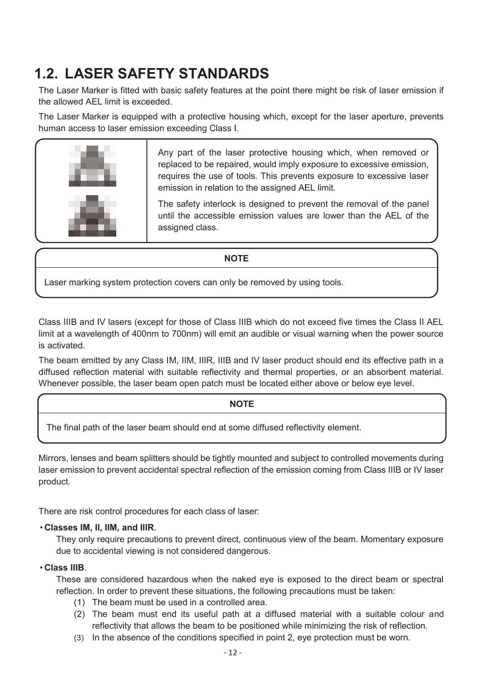## <span id="page-12-0"></span>**1.2. LASER SAFETY STANDARDS**

The Laser Marker is fitted with basic safety features at the point there might be risk of laser emission if the allowed AEL limit is exceeded.

The Laser Marker is equipped with a protective housing which, except for the laser aperture, prevents human access to laser emission exceeding Class I.



Any part of the laser protective housing which, when removed or replaced to be repaired, would imply exposure to excessive emission, requires the use of tools. This prevents exposure to excessive laser emission in relation to the assigned AEL limit.

The safety interlock is designed to prevent the removal of the panel until the accessible emission values are lower than the AEL of the assigned class.

#### **NOTE**

Laser marking system protection covers can only be removed by using tools.

Class IIIB and IV lasers (except for those of Class IIIB which do not exceed five times the Class II AEL limit at a wavelength of 400nm to 700nm) will emit an audible or visual warning when the power source is activated.

The beam emitted by any Class IM, IIM, IIIR, IIIB and IV laser product should end its effective path in a diffused reflection material with suitable reflectivity and thermal properties, or an absorbent material. Whenever possible, the laser beam open patch must be located either above or below eye level.

#### **NOTE**

The final path of the laser beam should end at some diffused reflectivity element.

Mirrors, lenses and beam splitters should be tightly mounted and subject to controlled movements during laser emission to prevent accidental spectral reflection of the emission coming from Class IIIB or IV laser product.

There are risk control procedures for each class of laser:

#### • **Classes IM, II, IIM, and IIIR**.

They only require precautions to prevent direct, continuous view of the beam. Momentary exposure due to accidental viewing is not considered dangerous.

#### • **Class IIIB**.

These are considered hazardous when the naked eye is exposed to the direct beam or spectral reflection. In order to prevent these situations, the following precautions must be taken:

- (1) The beam must be used in a controlled area.
- (2) The beam must end its useful path at a diffused material with a suitable colour and reflectivity that allows the beam to be positioned while minimizing the risk of reflection.
- (3) In the absence of the conditions specified in point 2, eye protection must be worn.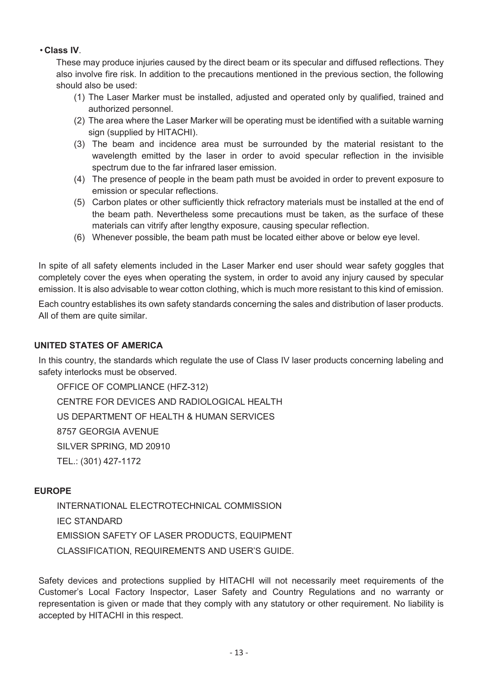#### • **Class IV**.

These may produce injuries caused by the direct beam or its specular and diffused reflections. They also involve fire risk. In addition to the precautions mentioned in the previous section, the following should also be used:

- (1) The Laser Marker must be installed, adjusted and operated only by qualified, trained and authorized personnel.
- (2) The area where the Laser Marker will be operating must be identified with a suitable warning sign (supplied by HITACHI).
- (3) The beam and incidence area must be surrounded by the material resistant to the wavelength emitted by the laser in order to avoid specular reflection in the invisible spectrum due to the far infrared laser emission.
- (4) The presence of people in the beam path must be avoided in order to prevent exposure to emission or specular reflections.
- (5) Carbon plates or other sufficiently thick refractory materials must be installed at the end of the beam path. Nevertheless some precautions must be taken, as the surface of these materials can vitrify after lengthy exposure, causing specular reflection.
- (6) Whenever possible, the beam path must be located either above or below eye level.

In spite of all safety elements included in the Laser Marker end user should wear safety goggles that completely cover the eyes when operating the system, in order to avoid any injury caused by specular emission. It is also advisable to wear cotton clothing, which is much more resistant to this kind of emission.

Each country establishes its own safety standards concerning the sales and distribution of laser products. All of them are quite similar.

#### **UNITED STATES OF AMERICA**

In this country, the standards which regulate the use of Class IV laser products concerning labeling and safety interlocks must be observed.

OFFICE OF COMPLIANCE (HFZ-312) CENTRE FOR DEVICES AND RADIOLOGICAL HEALTH US DEPARTMENT OF HEALTH & HUMAN SERVICES 8757 GEORGIA AVENUE SILVER SPRING, MD 20910 TEL.: (301) 427-1172

#### **EUROPE**

INTERNATIONAL ELECTROTECHNICAL COMMISSION IEC STANDARD EMISSION SAFETY OF LASER PRODUCTS, EQUIPMENT CLASSIFICATION, REQUIREMENTS AND USER'S GUIDE.

Safety devices and protections supplied by HITACHI will not necessarily meet requirements of the Customer's Local Factory Inspector, Laser Safety and Country Regulations and no warranty or representation is given or made that they comply with any statutory or other requirement. No liability is accepted by HITACHI in this respect.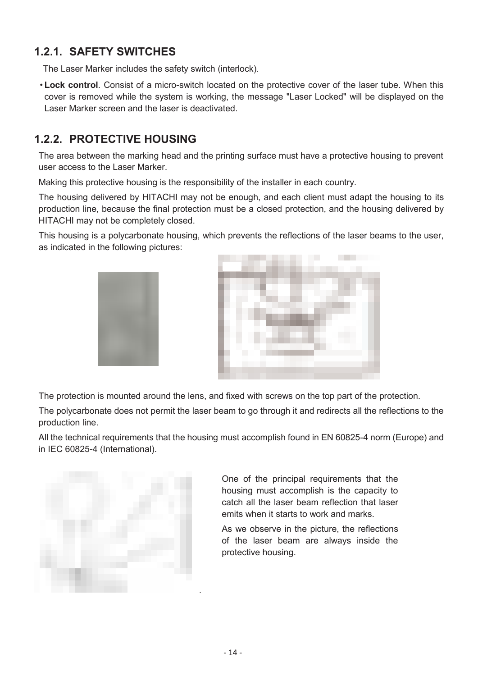### **1.2.1. SAFETY SWITCHES**

<span id="page-14-0"></span>The Laser Marker includes the safety switch (interlock).

• **Lock control**. Consist of a micro-switch located on the protective cover of the laser tube. When this cover is removed while the system is working, the message "Laser Locked" will be displayed on the Laser Marker screen and the laser is deactivated.

### <span id="page-14-1"></span>**1.2.2. PROTECTIVE HOUSING**

The area between the marking head and the printing surface must have a protective housing to prevent user access to the Laser Marker.

Making this protective housing is the responsibility of the installer in each country.

The housing delivered by HITACHI may not be enough, and each client must adapt the housing to its production line, because the final protection must be a closed protection, and the housing delivered by HITACHI may not be completely closed.

This housing is a polycarbonate housing, which prevents the reflections of the laser beams to the user, as indicated in the following pictures:





The protection is mounted around the lens, and fixed with screws on the top part of the protection.

The polycarbonate does not permit the laser beam to go through it and redirects all the reflections to the production line.

All the technical requirements that the housing must accomplish found in EN 60825-4 norm (Europe) and in IEC 60825-4 (International).



One of the principal requirements that the housing must accomplish is the capacity to catch all the laser beam reflection that laser emits when it starts to work and marks.

As we observe in the picture, the reflections of the laser beam are always inside the protective housing.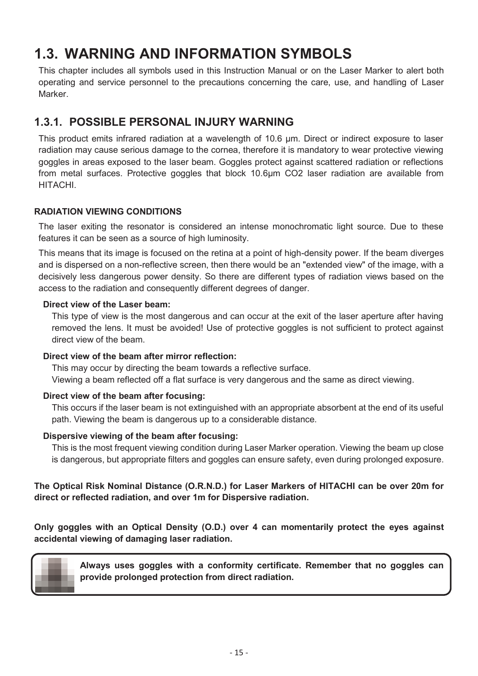## <span id="page-15-0"></span>**1.3. WARNING AND INFORMATION SYMBOLS**

This chapter includes all symbols used in this Instruction Manual or on the Laser Marker to alert both operating and service personnel to the precautions concerning the care, use, and handling of Laser Marker.

### <span id="page-15-1"></span>**1.3.1. POSSIBLE PERSONAL INJURY WARNING**

This product emits infrared radiation at a wavelength of 10.6 µm. Direct or indirect exposure to laser radiation may cause serious damage to the cornea, therefore it is mandatory to wear protective viewing goggles in areas exposed to the laser beam. Goggles protect against scattered radiation or reflections from metal surfaces. Protective goggles that block 10.6µm CO2 laser radiation are available from HITACHI.

#### **RADIATION VIEWING CONDITIONS**

The laser exiting the resonator is considered an intense monochromatic light source. Due to these features it can be seen as a source of high luminosity.

This means that its image is focused on the retina at a point of high-density power. If the beam diverges and is dispersed on a non-reflective screen, then there would be an "extended view" of the image, with a decisively less dangerous power density. So there are different types of radiation views based on the access to the radiation and consequently different degrees of danger.

#### **Direct view of the Laser beam:**

This type of view is the most dangerous and can occur at the exit of the laser aperture after having removed the lens. It must be avoided! Use of protective goggles is not sufficient to protect against direct view of the beam.

#### **Direct view of the beam after mirror reflection:**

This may occur by directing the beam towards a reflective surface. Viewing a beam reflected off a flat surface is very dangerous and the same as direct viewing.

#### **Direct view of the beam after focusing:**

This occurs if the laser beam is not extinguished with an appropriate absorbent at the end of its useful path. Viewing the beam is dangerous up to a considerable distance.

#### **Dispersive viewing of the beam after focusing:**

This is the most frequent viewing condition during Laser Marker operation. Viewing the beam up close is dangerous, but appropriate filters and goggles can ensure safety, even during prolonged exposure.

#### **The Optical Risk Nominal Distance (O.R.N.D.) for Laser Markers of HITACHI can be over 20m for direct or reflected radiation, and over 1m for Dispersive radiation.**

**Only goggles with an Optical Density (O.D.) over 4 can momentarily protect the eyes against accidental viewing of damaging laser radiation.** 



**Always uses goggles with a conformity certificate. Remember that no goggles can provide prolonged protection from direct radiation.**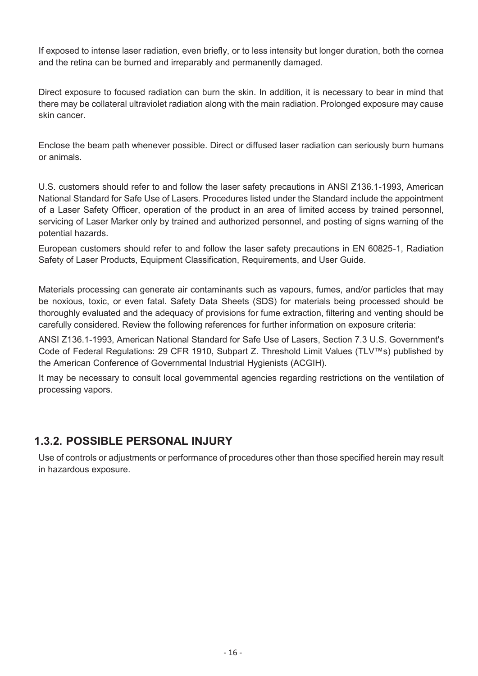If exposed to intense laser radiation, even briefly, or to less intensity but longer duration, both the cornea and the retina can be burned and irreparably and permanently damaged.

Direct exposure to focused radiation can burn the skin. In addition, it is necessary to bear in mind that there may be collateral ultraviolet radiation along with the main radiation. Prolonged exposure may cause skin cancer.

Enclose the beam path whenever possible. Direct or diffused laser radiation can seriously burn humans or animals.

U.S. customers should refer to and follow the laser safety precautions in ANSI Z136.1-1993, American National Standard for Safe Use of Lasers. Procedures listed under the Standard include the appointment of a Laser Safety Officer, operation of the product in an area of limited access by trained personnel, servicing of Laser Marker only by trained and authorized personnel, and posting of signs warning of the potential hazards.

European customers should refer to and follow the laser safety precautions in EN 60825-1, Radiation Safety of Laser Products, Equipment Classification, Requirements, and User Guide.

Materials processing can generate air contaminants such as vapours, fumes, and/or particles that may be noxious, toxic, or even fatal. Safety Data Sheets (SDS) for materials being processed should be thoroughly evaluated and the adequacy of provisions for fume extraction, filtering and venting should be carefully considered. Review the following references for further information on exposure criteria:

ANSI Z136.1-1993, American National Standard for Safe Use of Lasers, Section 7.3 U.S. Government's Code of Federal Regulations: 29 CFR 1910, Subpart Z. Threshold Limit Values (TLV™s) published by the American Conference of Governmental Industrial Hygienists (ACGIH).

It may be necessary to consult local governmental agencies regarding restrictions on the ventilation of processing vapors.

### <span id="page-16-0"></span>**1.3.2. POSSIBLE PERSONAL INJURY**

Use of controls or adjustments or performance of procedures other than those specified herein may result in hazardous exposure.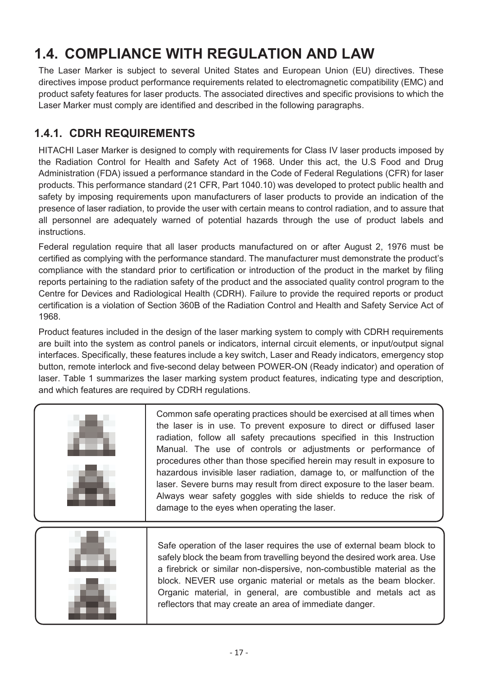## <span id="page-17-0"></span>**1.4. COMPLIANCE WITH REGULATION AND LAW**

The Laser Marker is subject to several United States and European Union (EU) directives. These directives impose product performance requirements related to electromagnetic compatibility (EMC) and product safety features for laser products. The associated directives and specific provisions to which the Laser Marker must comply are identified and described in the following paragraphs.

### <span id="page-17-1"></span>**1.4.1. CDRH REQUIREMENTS**

HITACHI Laser Marker is designed to comply with requirements for Class IV laser products imposed by the Radiation Control for Health and Safety Act of 1968. Under this act, the U.S Food and Drug Administration (FDA) issued a performance standard in the Code of Federal Regulations (CFR) for laser products. This performance standard (21 CFR, Part 1040.10) was developed to protect public health and safety by imposing requirements upon manufacturers of laser products to provide an indication of the presence of laser radiation, to provide the user with certain means to control radiation, and to assure that all personnel are adequately warned of potential hazards through the use of product labels and instructions.

Federal regulation require that all laser products manufactured on or after August 2, 1976 must be certified as complying with the performance standard. The manufacturer must demonstrate the product's compliance with the standard prior to certification or introduction of the product in the market by filing reports pertaining to the radiation safety of the product and the associated quality control program to the Centre for Devices and Radiological Health (CDRH). Failure to provide the required reports or product certification is a violation of Section 360B of the Radiation Control and Health and Safety Service Act of 1968.

Product features included in the design of the laser marking system to comply with CDRH requirements are built into the system as control panels or indicators, internal circuit elements, or input/output signal interfaces. Specifically, these features include a key switch, Laser and Ready indicators, emergency stop button, remote interlock and five-second delay between POWER-ON (Ready indicator) and operation of laser. Table 1 summarizes the laser marking system product features, indicating type and description, and which features are required by CDRH regulations.

| Common safe operating practices should be exercised at all times when<br>the laser is in use. To prevent exposure to direct or diffused laser<br>radiation, follow all safety precautions specified in this Instruction<br>Manual. The use of controls or adjustments or performance of<br>procedures other than those specified herein may result in exposure to<br>hazardous invisible laser radiation, damage to, or malfunction of the<br>laser. Severe burns may result from direct exposure to the laser beam.<br>Always wear safety goggles with side shields to reduce the risk of<br>damage to the eyes when operating the laser. |
|--------------------------------------------------------------------------------------------------------------------------------------------------------------------------------------------------------------------------------------------------------------------------------------------------------------------------------------------------------------------------------------------------------------------------------------------------------------------------------------------------------------------------------------------------------------------------------------------------------------------------------------------|
| Safe operation of the laser requires the use of external beam block to<br>safely block the beam from travelling beyond the desired work area. Use<br>a firebrick or similar non-dispersive, non-combustible material as the<br>block. NEVER use organic material or metals as the beam blocker.<br>Organic material, in general, are combustible and metals act as<br>reflectors that may create an area of immediate danger.                                                                                                                                                                                                              |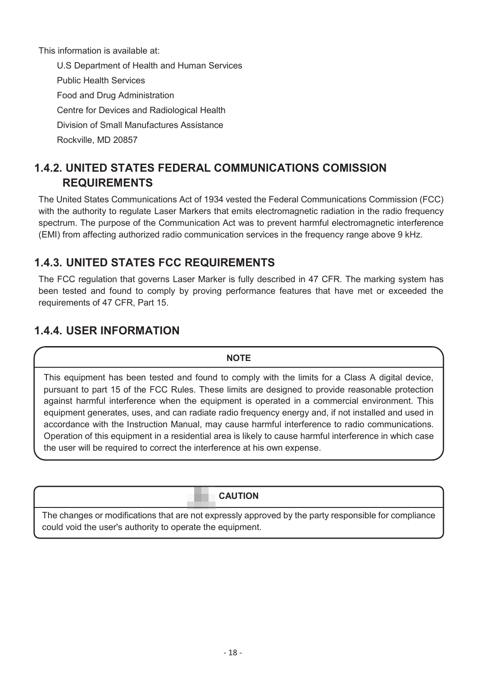This information is available at:

U.S Department of Health and Human Services Public Health Services Food and Drug Administration Centre for Devices and Radiological Health Division of Small Manufactures Assistance Rockville, MD 20857

### <span id="page-18-0"></span>**1.4.2. UNITED STATES FEDERAL COMMUNICATIONS COMISSION REQUIREMENTS**

The United States Communications Act of 1934 vested the Federal Communications Commission (FCC) with the authority to regulate Laser Markers that emits electromagnetic radiation in the radio frequency spectrum. The purpose of the Communication Act was to prevent harmful electromagnetic interference (EMI) from affecting authorized radio communication services in the frequency range above 9 kHz.

### <span id="page-18-1"></span>**1.4.3. UNITED STATES FCC REQUIREMENTS**

The FCC regulation that governs Laser Marker is fully described in 47 CFR. The marking system has been tested and found to comply by proving performance features that have met or exceeded the requirements of 47 CFR, Part 15.

### <span id="page-18-2"></span>**1.4.4. USER INFORMATION**

#### **NOTE**

This equipment has been tested and found to comply with the limits for a Class A digital device, pursuant to part 15 of the FCC Rules. These limits are designed to provide reasonable protection against harmful interference when the equipment is operated in a commercial environment. This equipment generates, uses, and can radiate radio frequency energy and, if not installed and used in accordance with the Instruction Manual, may cause harmful interference to radio communications. Operation of this equipment in a residential area is likely to cause harmful interference in which case the user will be required to correct the interference at his own expense.

#### **CAUTION**

The changes or modifications that are not expressly approved by the party responsible for compliance could void the user's authority to operate the equipment.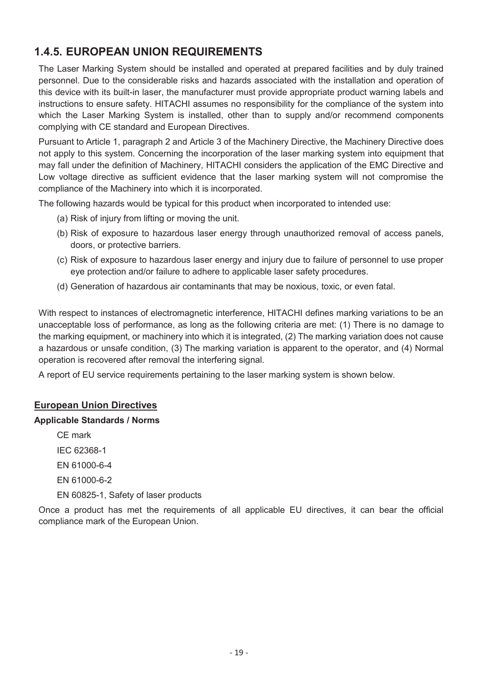### <span id="page-19-0"></span>**1.4.5. EUROPEAN UNION REQUIREMENTS**

The Laser Marking System should be installed and operated at prepared facilities and by duly trained personnel. Due to the considerable risks and hazards associated with the installation and operation of this device with its built-in laser, the manufacturer must provide appropriate product warning labels and instructions to ensure safety. HITACHI assumes no responsibility for the compliance of the system into which the Laser Marking System is installed, other than to supply and/or recommend components complying with CE standard and European Directives.

Pursuant to Article 1, paragraph 2 and Article 3 of the Machinery Directive, the Machinery Directive does not apply to this system. Concerning the incorporation of the laser marking system into equipment that may fall under the definition of Machinery, HITACHI considers the application of the EMC Directive and Low voltage directive as sufficient evidence that the laser marking system will not compromise the compliance of the Machinery into which it is incorporated.

The following hazards would be typical for this product when incorporated to intended use:

- (a) Risk of injury from lifting or moving the unit.
- (b) Risk of exposure to hazardous laser energy through unauthorized removal of access panels, doors, or protective barriers.
- (c) Risk of exposure to hazardous laser energy and injury due to failure of personnel to use proper eye protection and/or failure to adhere to applicable laser safety procedures.
- (d) Generation of hazardous air contaminants that may be noxious, toxic, or even fatal.

With respect to instances of electromagnetic interference, HITACHI defines marking variations to be an unacceptable loss of performance, as long as the following criteria are met: (1) There is no damage to the marking equipment, or machinery into which it is integrated, (2) The marking variation does not cause a hazardous or unsafe condition, (3) The marking variation is apparent to the operator, and (4) Normal operation is recovered after removal the interfering signal.

A report of EU service requirements pertaining to the laser marking system is shown below.

#### **European Union Directives**

#### **Applicable Standards / Norms**

CE mark IEC 62368-1 EN 61000-6-4 EN 61000-6-2 EN 60825-1, Safety of laser products

Once a product has met the requirements of all applicable EU directives, it can bear the official compliance mark of the European Union.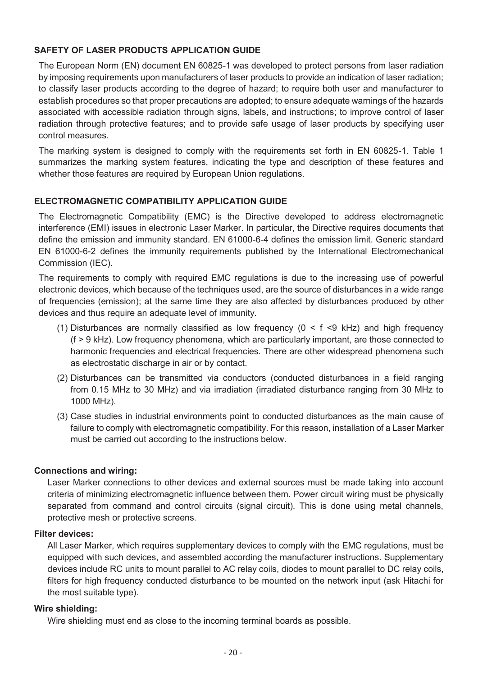#### **SAFETY OF LASER PRODUCTS APPLICATION GUIDE**

The European Norm (EN) document EN 60825-1 was developed to protect persons from laser radiation by imposing requirements upon manufacturers of laser products to provide an indication of laser radiation; to classify laser products according to the degree of hazard; to require both user and manufacturer to establish procedures so that proper precautions are adopted; to ensure adequate warnings of the hazards associated with accessible radiation through signs, labels, and instructions; to improve control of laser radiation through protective features; and to provide safe usage of laser products by specifying user control measures.

The marking system is designed to comply with the requirements set forth in EN 60825-1. Table 1 summarizes the marking system features, indicating the type and description of these features and whether those features are required by European Union regulations.

#### **ELECTROMAGNETIC COMPATIBILITY APPLICATION GUIDE**

The Electromagnetic Compatibility (EMC) is the Directive developed to address electromagnetic interference (EMI) issues in electronic Laser Marker. In particular, the Directive requires documents that define the emission and immunity standard. EN 61000-6-4 defines the emission limit. Generic standard EN 61000-6-2 defines the immunity requirements published by the International Electromechanical Commission (IEC).

The requirements to comply with required EMC regulations is due to the increasing use of powerful electronic devices, which because of the techniques used, are the source of disturbances in a wide range of frequencies (emission); at the same time they are also affected by disturbances produced by other devices and thus require an adequate level of immunity.

- (1) Disturbances are normally classified as low frequency ( $0 < f <$ 9 kHz) and high frequency (f > 9 kHz). Low frequency phenomena, which are particularly important, are those connected to harmonic frequencies and electrical frequencies. There are other widespread phenomena such as electrostatic discharge in air or by contact.
- (2) Disturbances can be transmitted via conductors (conducted disturbances in a field ranging from 0.15 MHz to 30 MHz) and via irradiation (irradiated disturbance ranging from 30 MHz to 1000 MHz).
- (3) Case studies in industrial environments point to conducted disturbances as the main cause of failure to comply with electromagnetic compatibility. For this reason, installation of a Laser Marker must be carried out according to the instructions below.

#### **Connections and wiring:**

Laser Marker connections to other devices and external sources must be made taking into account criteria of minimizing electromagnetic influence between them. Power circuit wiring must be physically separated from command and control circuits (signal circuit). This is done using metal channels, protective mesh or protective screens.

#### **Filter devices:**

All Laser Marker, which requires supplementary devices to comply with the EMC regulations, must be equipped with such devices, and assembled according the manufacturer instructions. Supplementary devices include RC units to mount parallel to AC relay coils, diodes to mount parallel to DC relay coils, filters for high frequency conducted disturbance to be mounted on the network input (ask Hitachi for the most suitable type).

#### **Wire shielding:**

Wire shielding must end as close to the incoming terminal boards as possible.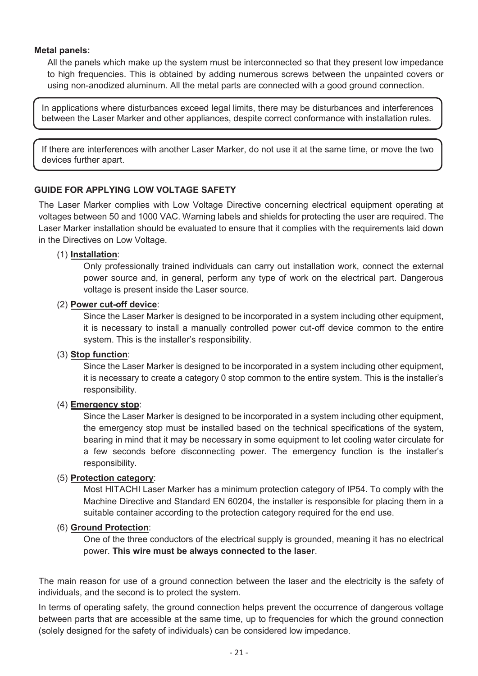#### **Metal panels:**

All the panels which make up the system must be interconnected so that they present low impedance to high frequencies. This is obtained by adding numerous screws between the unpainted covers or using non-anodized aluminum. All the metal parts are connected with a good ground connection.

In applications where disturbances exceed legal limits, there may be disturbances and interferences between the Laser Marker and other appliances, despite correct conformance with installation rules.

If there are interferences with another Laser Marker, do not use it at the same time, or move the two devices further apart.

#### **GUIDE FOR APPLYING LOW VOLTAGE SAFETY**

The Laser Marker complies with Low Voltage Directive concerning electrical equipment operating at voltages between 50 and 1000 VAC. Warning labels and shields for protecting the user are required. The Laser Marker installation should be evaluated to ensure that it complies with the requirements laid down in the Directives on Low Voltage.

#### (1) **Installation**:

Only professionally trained individuals can carry out installation work, connect the external power source and, in general, perform any type of work on the electrical part. Dangerous voltage is present inside the Laser source.

#### (2) **Power cut-off device**:

Since the Laser Marker is designed to be incorporated in a system including other equipment, it is necessary to install a manually controlled power cut-off device common to the entire system. This is the installer's responsibility.

#### (3) **Stop function**:

Since the Laser Marker is designed to be incorporated in a system including other equipment, it is necessary to create a category 0 stop common to the entire system. This is the installer's responsibility.

#### (4) **Emergency stop**:

Since the Laser Marker is designed to be incorporated in a system including other equipment, the emergency stop must be installed based on the technical specifications of the system, bearing in mind that it may be necessary in some equipment to let cooling water circulate for a few seconds before disconnecting power. The emergency function is the installer's responsibility.

#### (5) **Protection category**:

Most HITACHI Laser Marker has a minimum protection category of IP54. To comply with the Machine Directive and Standard EN 60204, the installer is responsible for placing them in a suitable container according to the protection category required for the end use.

#### (6) **Ground Protection**:

One of the three conductors of the electrical supply is grounded, meaning it has no electrical power. **This wire must be always connected to the laser**.

The main reason for use of a ground connection between the laser and the electricity is the safety of individuals, and the second is to protect the system.

In terms of operating safety, the ground connection helps prevent the occurrence of dangerous voltage between parts that are accessible at the same time, up to frequencies for which the ground connection (solely designed for the safety of individuals) can be considered low impedance.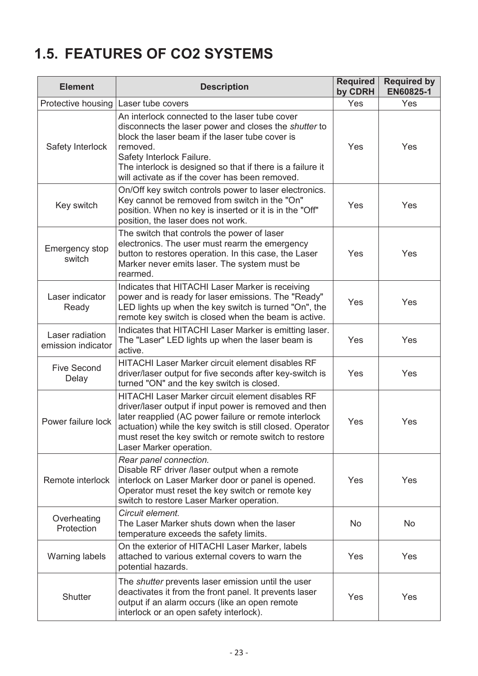## <span id="page-22-0"></span>**1.5. FEATURES OF CO2 SYSTEMS**

| <b>Element</b>                        | <b>Description</b>                                                                                                                                                                                                                                                                                                   | <b>Required</b><br>by CDRH | <b>Required by</b><br>EN60825-1 |
|---------------------------------------|----------------------------------------------------------------------------------------------------------------------------------------------------------------------------------------------------------------------------------------------------------------------------------------------------------------------|----------------------------|---------------------------------|
| Protective housing                    | Laser tube covers                                                                                                                                                                                                                                                                                                    | Yes                        | Yes                             |
| Safety Interlock                      | An interlock connected to the laser tube cover<br>disconnects the laser power and closes the shutter to<br>block the laser beam if the laser tube cover is<br>removed.<br>Safety Interlock Failure.<br>The interlock is designed so that if there is a failure it<br>will activate as if the cover has been removed. | Yes                        | Yes                             |
| Key switch                            | On/Off key switch controls power to laser electronics.<br>Key cannot be removed from switch in the "On"<br>position. When no key is inserted or it is in the "Off"<br>position, the laser does not work.                                                                                                             |                            | Yes                             |
| <b>Emergency stop</b><br>switch       | The switch that controls the power of laser<br>electronics. The user must rearm the emergency<br>button to restores operation. In this case, the Laser<br>Marker never emits laser. The system must be<br>rearmed.                                                                                                   | Yes                        | Yes                             |
| Laser indicator<br>Ready              | Indicates that HITACHI Laser Marker is receiving<br>power and is ready for laser emissions. The "Ready"<br>LED lights up when the key switch is turned "On", the<br>remote key switch is closed when the beam is active.                                                                                             | Yes                        | Yes                             |
| Laser radiation<br>emission indicator | Indicates that HITACHI Laser Marker is emitting laser.<br>The "Laser" LED lights up when the laser beam is<br>active.                                                                                                                                                                                                | Yes                        | Yes                             |
| <b>Five Second</b><br>Delay           | <b>HITACHI Laser Marker circuit element disables RF</b><br>driver/laser output for five seconds after key-switch is<br>turned "ON" and the key switch is closed.                                                                                                                                                     | Yes                        | Yes                             |
| Power failure lock                    | HITACHI Laser Marker circuit element disables RF<br>driver/laser output if input power is removed and then<br>later reapplied (AC power failure or remote interlock<br>actuation) while the key switch is still closed. Operator<br>must reset the key switch or remote switch to restore<br>Laser Marker operation. | Yes                        | Yes                             |
| Remote interlock                      | Rear panel connection.<br>Disable RF driver /laser output when a remote<br>interlock on Laser Marker door or panel is opened.<br>Operator must reset the key switch or remote key<br>switch to restore Laser Marker operation.                                                                                       | Yes                        | Yes                             |
| Overheating<br>Protection             | Circuit element.<br>The Laser Marker shuts down when the laser<br>temperature exceeds the safety limits.                                                                                                                                                                                                             | <b>No</b>                  | <b>No</b>                       |
| <b>Warning labels</b>                 | On the exterior of HITACHI Laser Marker, labels<br>attached to various external covers to warn the<br>potential hazards.                                                                                                                                                                                             | Yes                        | Yes                             |
| <b>Shutter</b>                        | The <i>shutter</i> prevents laser emission until the user<br>deactivates it from the front panel. It prevents laser<br>output if an alarm occurs (like an open remote<br>interlock or an open safety interlock).                                                                                                     | Yes                        | Yes                             |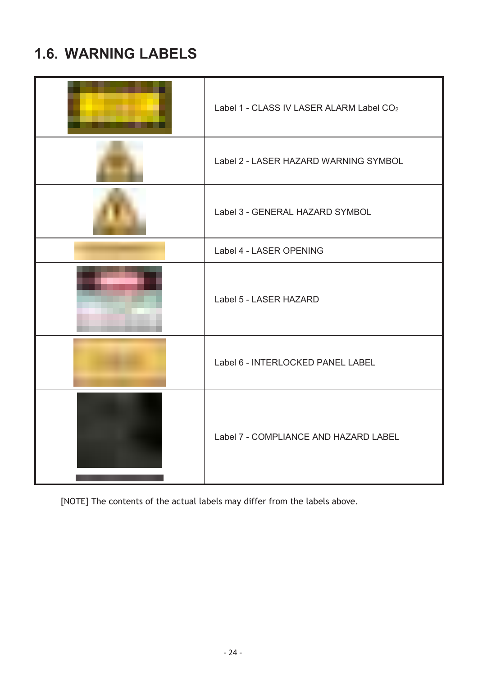## <span id="page-23-0"></span>**1.6. WARNING LABELS**

| Label 1 - CLASS IV LASER ALARM Label CO <sub>2</sub> |
|------------------------------------------------------|
| Label 2 - LASER HAZARD WARNING SYMBOL                |
| Label 3 - GENERAL HAZARD SYMBOL                      |
| Label 4 - LASER OPENING                              |
| Label 5 - LASER HAZARD                               |
| Label 6 - INTERLOCKED PANEL LABEL                    |
| Label 7 - COMPLIANCE AND HAZARD LABEL                |

[NOTE] The contents of the actual labels may differ from the labels above.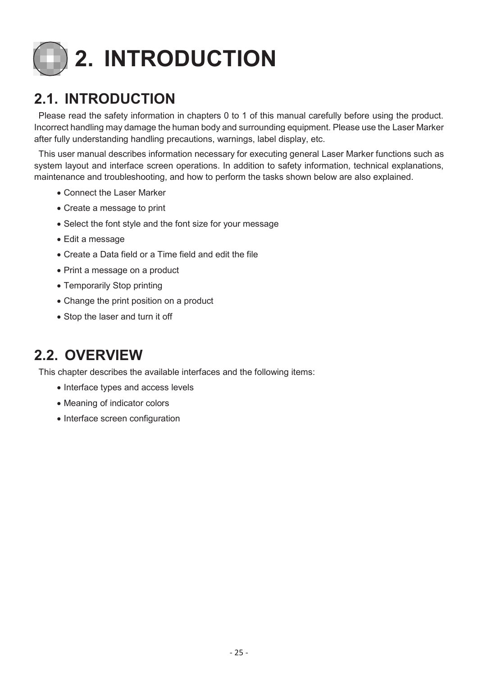

## <span id="page-24-1"></span><span id="page-24-0"></span>**2.1. INTRODUCTION**

Please read the safety information in chapters 0 to 1 of this manual carefully before using the product. Incorrect handling may damage the human body and surrounding equipment. Please use the Laser Marker after fully understanding handling precautions, warnings, label display, etc.

This user manual describes information necessary for executing general Laser Marker functions such as system layout and interface screen operations. In addition to safety information, technical explanations, maintenance and troubleshooting, and how to perform the tasks shown below are also explained.

- Connect the Laser Marker
- Create a message to print
- Select the font style and the font size for your message
- Edit a message
- Create a Data field or a Time field and edit the file
- Print a message on a product
- Temporarily Stop printing
- Change the print position on a product
- Stop the laser and turn it off

## <span id="page-24-2"></span>**2.2. OVERVIEW**

This chapter describes the available interfaces and the following items:

- Interface types and access levels
- Meaning of indicator colors
- Interface screen configuration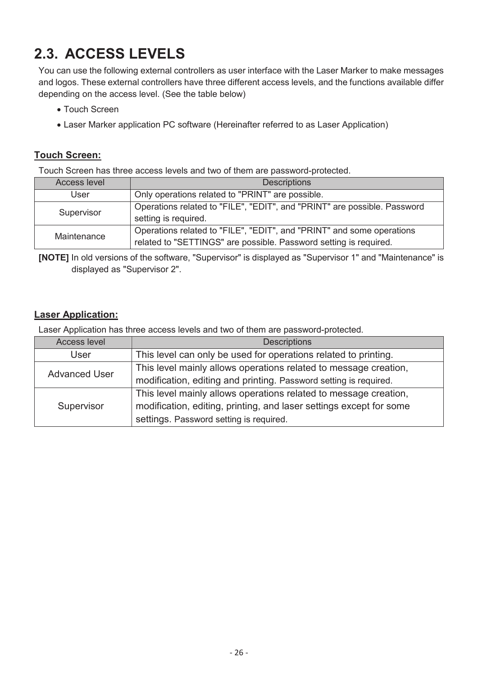## <span id="page-25-0"></span>**2.3. ACCESS LEVELS**

You can use the following external controllers as user interface with the Laser Marker to make messages and logos. These external controllers have three different access levels, and the functions available differ depending on the access level. (See the table below)

- Touch Screen
- Laser Marker application PC software (Hereinafter referred to as Laser Application)

#### **Touch Screen:**

Touch Screen has three access levels and two of them are password-protected.

| Access level | <b>Descriptions</b>                                                                                                                        |
|--------------|--------------------------------------------------------------------------------------------------------------------------------------------|
| User         | Only operations related to "PRINT" are possible.                                                                                           |
| Supervisor   | Operations related to "FILE", "EDIT", and "PRINT" are possible. Password<br>setting is required.                                           |
| Maintenance  | Operations related to "FILE", "EDIT", and "PRINT" and some operations<br>related to "SETTINGS" are possible. Password setting is required. |

**[NOTE]** In old versions of the software, "Supervisor" is displayed as "Supervisor 1" and "Maintenance" is displayed as "Supervisor 2".

#### **Laser Application:**

Laser Application has three access levels and two of them are password-protected.

| <b>Access level</b>  | <b>Descriptions</b>                                                 |  |
|----------------------|---------------------------------------------------------------------|--|
| User                 | This level can only be used for operations related to printing.     |  |
| <b>Advanced User</b> | This level mainly allows operations related to message creation,    |  |
|                      | modification, editing and printing. Password setting is required.   |  |
|                      | This level mainly allows operations related to message creation,    |  |
| Supervisor           | modification, editing, printing, and laser settings except for some |  |
|                      | settings. Password setting is required.                             |  |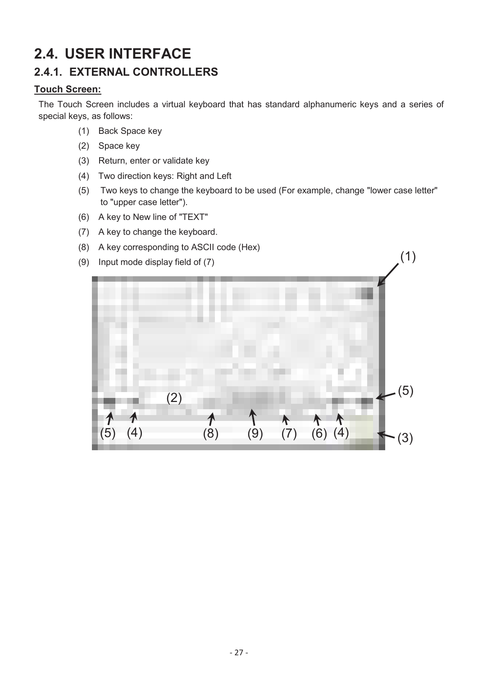## <span id="page-26-0"></span>**2.4. USER INTERFACE 2.4.1. EXTERNAL CONTROLLERS**

#### <span id="page-26-1"></span>**Touch Screen:**

The Touch Screen includes a virtual keyboard that has standard alphanumeric keys and a series of special keys, as follows:

- (1) Back Space key
- (2) Space key
- (3) Return, enter or validate key
- (4) Two direction keys: Right and Left
- (5) Two keys to change the keyboard to be used (For example, change "lower case letter" to "upper case letter").

(1)

- (6) A key to New line of "TEXT"
- (7) A key to change the keyboard.
- (8) A key corresponding to ASCII code (Hex)
- (9) Input mode display field of (7)

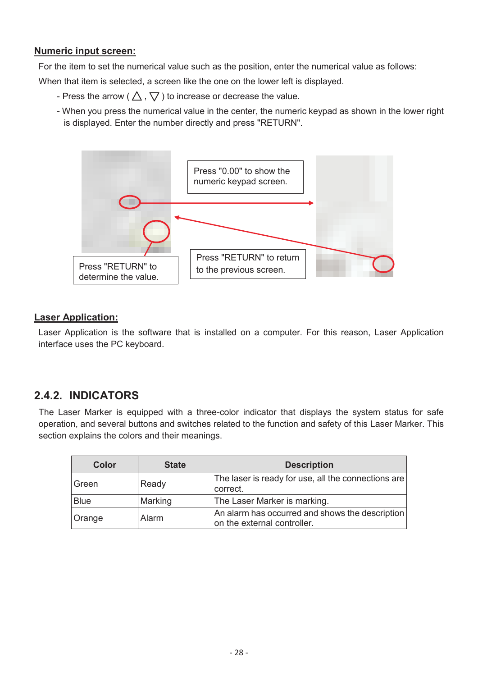#### **Numeric input screen:**

For the item to set the numerical value such as the position, enter the numerical value as follows:

When that item is selected, a screen like the one on the lower left is displayed.

- Press the arrow ( $\triangle$ ,  $\nabla$ ) to increase or decrease the value.
- When you press the numerical value in the center, the numeric keypad as shown in the lower right is displayed. Enter the number directly and press "RETURN".



#### **Laser Application:**

Laser Application is the software that is installed on a computer. For this reason, Laser Application interface uses the PC keyboard.

### <span id="page-27-0"></span>**2.4.2. INDICATORS**

The Laser Marker is equipped with a three-color indicator that displays the system status for safe operation, and several buttons and switches related to the function and safety of this Laser Marker. This section explains the colors and their meanings.

| <b>Color</b> | <b>State</b> | <b>Description</b>                                                             |
|--------------|--------------|--------------------------------------------------------------------------------|
| ∣Green       | Ready        | The laser is ready for use, all the connections are<br>correct.                |
| <b>Blue</b>  | Marking      | The Laser Marker is marking.                                                   |
| Orange       | Alarm        | An alarm has occurred and shows the description<br>on the external controller. |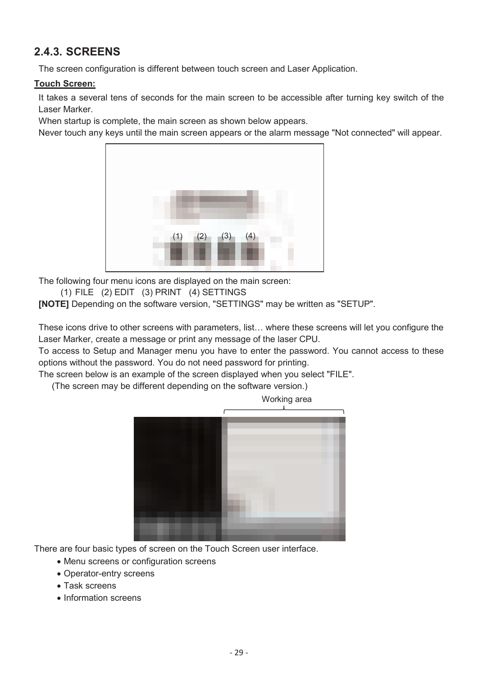### <span id="page-28-0"></span>**2.4.3. SCREENS**

The screen configuration is different between touch screen and Laser Application.

#### **Touch Screen:**

It takes a several tens of seconds for the main screen to be accessible after turning key switch of the Laser Marker.

When startup is complete, the main screen as shown below appears.

Never touch any keys until the main screen appears or the alarm message "Not connected" will appear.



The following four menu icons are displayed on the main screen:

(1) FILE (2) EDIT (3) PRINT (4) SETTINGS

**[NOTE]** Depending on the software version, "SETTINGS" may be written as "SETUP".

These icons drive to other screens with parameters, list… where these screens will let you configure the Laser Marker, create a message or print any message of the laser CPU.

To access to Setup and Manager menu you have to enter the password. You cannot access to these options without the password. You do not need password for printing.

The screen below is an example of the screen displayed when you select "FILE".

(The screen may be different depending on the software version.)



There are four basic types of screen on the Touch Screen user interface.

- Menu screens or configuration screens
- Operator-entry screens
- Task screens
- Information screens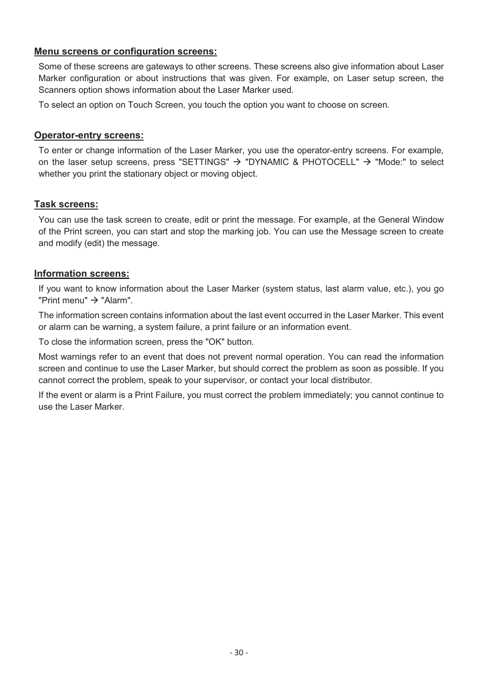#### **Menu screens or configuration screens:**

Some of these screens are gateways to other screens. These screens also give information about Laser Marker configuration or about instructions that was given. For example, on Laser setup screen, the Scanners option shows information about the Laser Marker used.

To select an option on Touch Screen, you touch the option you want to choose on screen.

#### **Operator-entry screens:**

To enter or change information of the Laser Marker, you use the operator-entry screens. For example, on the laser setup screens, press "SETTINGS"  $\rightarrow$  "DYNAMIC & PHOTOCELL"  $\rightarrow$  "Mode:" to select whether you print the stationary object or moving object.

#### **Task screens:**

You can use the task screen to create, edit or print the message. For example, at the General Window of the Print screen, you can start and stop the marking job. You can use the Message screen to create and modify (edit) the message.

#### **Information screens:**

If you want to know information about the Laser Marker (system status, last alarm value, etc.), you go "Print menu"  $\rightarrow$  "Alarm".

The information screen contains information about the last event occurred in the Laser Marker. This event or alarm can be warning, a system failure, a print failure or an information event.

To close the information screen, press the "OK" button.

Most warnings refer to an event that does not prevent normal operation. You can read the information screen and continue to use the Laser Marker, but should correct the problem as soon as possible. If you cannot correct the problem, speak to your supervisor, or contact your local distributor.

If the event or alarm is a Print Failure, you must correct the problem immediately; you cannot continue to use the Laser Marker.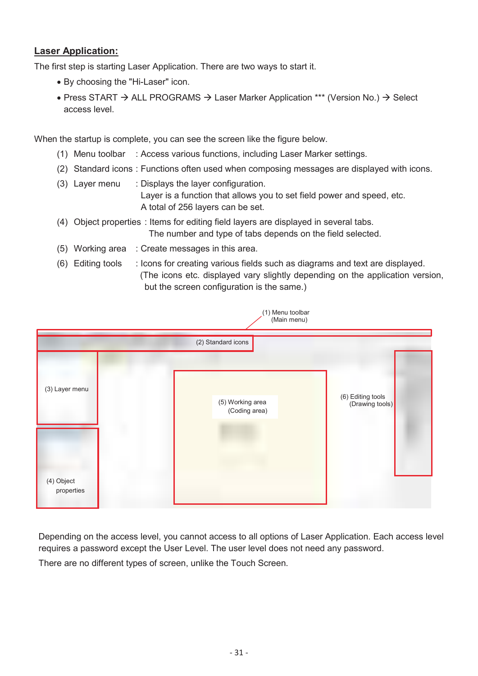#### **Laser Application:**

The first step is starting Laser Application. There are two ways to start it.

- By choosing the "Hi-Laser" icon.
- Press START  $\rightarrow$  ALL PROGRAMS  $\rightarrow$  Laser Marker Application \*\*\* (Version No.)  $\rightarrow$  Select access level.

When the startup is complete, you can see the screen like the figure below.

- (1) Menu toolbar : Access various functions, including Laser Marker settings.
- (2) Standard icons : Functions often used when composing messages are displayed with icons.
- (3) Layer menu : Displays the layer configuration. Layer is a function that allows you to set field power and speed, etc. A total of 256 layers can be set.
- (4) Object properties : Items for editing field layers are displayed in several tabs. The number and type of tabs depends on the field selected.
- (5) Working area : Create messages in this area.
- (6) Editing tools : Icons for creating various fields such as diagrams and text are displayed. (The icons etc. displayed vary slightly depending on the application version, but the screen configuration is the same.)



Depending on the access level, you cannot access to all options of Laser Application. Each access level requires a password except the User Level. The user level does not need any password.

There are no different types of screen, unlike the Touch Screen.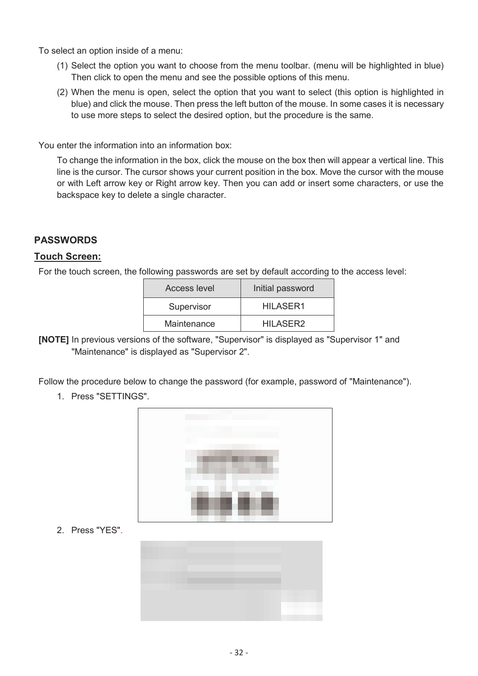To select an option inside of a menu:

- (1) Select the option you want to choose from the menu toolbar. (menu will be highlighted in blue) Then click to open the menu and see the possible options of this menu.
- (2) When the menu is open, select the option that you want to select (this option is highlighted in blue) and click the mouse. Then press the left button of the mouse. In some cases it is necessary to use more steps to select the desired option, but the procedure is the same.

You enter the information into an information box:

To change the information in the box, click the mouse on the box then will appear a vertical line. This line is the cursor. The cursor shows your current position in the box. Move the cursor with the mouse or with Left arrow key or Right arrow key. Then you can add or insert some characters, or use the backspace key to delete a single character.

#### **PASSWORDS**

#### **Touch Screen:**

For the touch screen, the following passwords are set by default according to the access level:

| Access level | Initial password |
|--------------|------------------|
| Supervisor   | HILASER1         |
| Maintenance  | HILASER2         |

**[NOTE]** In previous versions of the software, "Supervisor" is displayed as "Supervisor 1" and "Maintenance" is displayed as "Supervisor 2".

Follow the procedure below to change the password (for example, password of "Maintenance").

1. Press "SETTINGS".



2. Press "YES".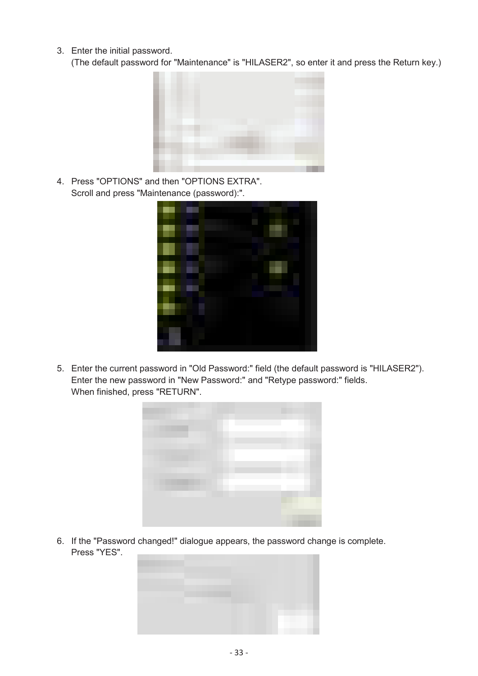3. Enter the initial password.

(The default password for "Maintenance" is "HILASER2", so enter it and press the Return key.)



4. Press "OPTIONS" and then "OPTIONS EXTRA". Scroll and press "Maintenance (password):".



5. Enter the current password in "Old Password:" field (the default password is "HILASER2"). Enter the new password in "New Password:" and "Retype password:" fields. When finished, press "RETURN".



6. If the "Password changed!" dialogue appears, the password change is complete. Press "YES".

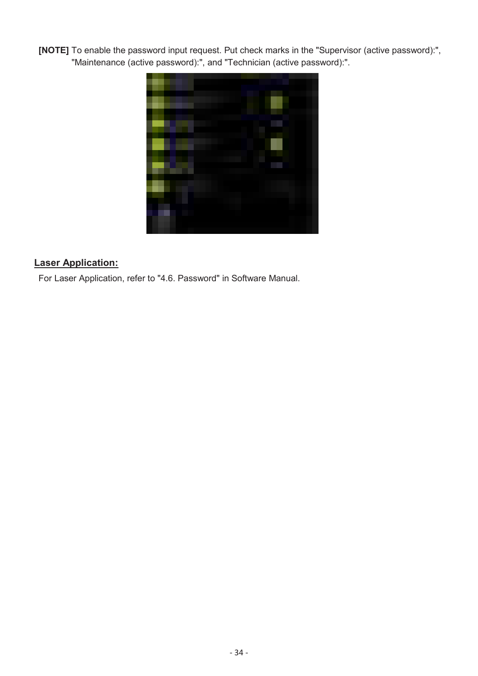**[NOTE]** To enable the password input request. Put check marks in the "Supervisor (active password):", "Maintenance (active password):", and "Technician (active password):".



### **Laser Application:**

For Laser Application, refer to "4.6. Password" in Software Manual.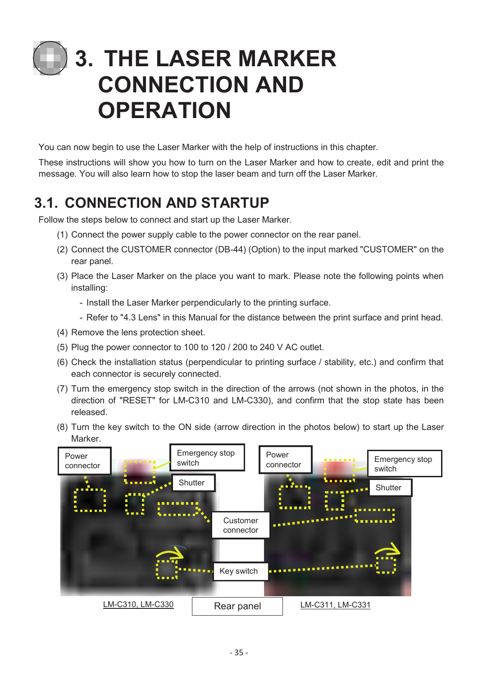# <span id="page-34-0"></span>**3. THE LASER MARKER CONNECTION AND OPERATION**

You can now begin to use the Laser Marker with the help of instructions in this chapter.

These instructions will show you how to turn on the Laser Marker and how to create, edit and print the message. You will also learn how to stop the laser beam and turn off the Laser Marker.

## <span id="page-34-1"></span>**3.1. CONNECTION AND STARTUP**

Follow the steps below to connect and start up the Laser Marker.

- (1) Connect the power supply cable to the power connector on the rear panel.
- (2) Connect the CUSTOMER connector (DB-44) (Option) to the input marked "CUSTOMER" on the rear panel.
- (3) Place the Laser Marker on the place you want to mark. Please note the following points when installing:
	- Install the Laser Marker perpendicularly to the printing surface.
	- Refer to "4.3 Lens" in this Manual for the distance between the print surface and print head.
- (4) Remove the lens protection sheet.
- (5) Plug the power connector to 100 to 120 / 200 to 240 V AC outlet.
- (6) Check the installation status (perpendicular to printing surface / stability, etc.) and confirm that each connector is securely connected.
- (7) Turn the emergency stop switch in the direction of the arrows (not shown in the photos, in the direction of "RESET" for LM-C310 and LM-C330), and confirm that the stop state has been released.
- (8) Turn the key switch to the ON side (arrow direction in the photos below) to start up the Laser Marker.

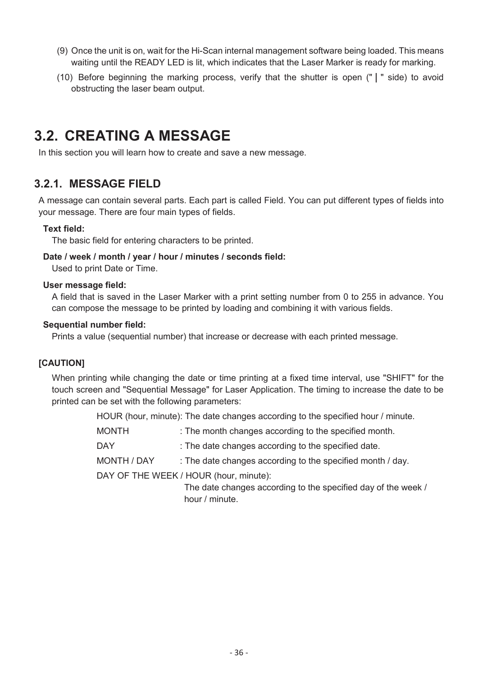- (9) Once the unit is on, wait for the Hi-Scan internal management software being loaded. This means waiting until the READY LED is lit, which indicates that the Laser Marker is ready for marking.
- (10) Before beginning the marking process, verify that the shutter is open (" $\mid$  " side) to avoid obstructing the laser beam output.

## <span id="page-35-0"></span>**3.2. CREATING A MESSAGE**

In this section you will learn how to create and save a new message.

### <span id="page-35-1"></span>**3.2.1. MESSAGE FIELD**

A message can contain several parts. Each part is called Field. You can put different types of fields into your message. There are four main types of fields.

#### **Text field:**

The basic field for entering characters to be printed.

#### **Date / week / month / year / hour / minutes / seconds field:**

Used to print Date or Time.

#### **User message field:**

A field that is saved in the Laser Marker with a print setting number from 0 to 255 in advance. You can compose the message to be printed by loading and combining it with various fields.

#### **Sequential number field:**

Prints a value (sequential number) that increase or decrease with each printed message.

#### **[CAUTION]**

When printing while changing the date or time printing at a fixed time interval, use "SHIFT" for the touch screen and "Sequential Message" for Laser Application. The timing to increase the date to be printed can be set with the following parameters:

HOUR (hour, minute): The date changes according to the specified hour / minute.

- MONTH : The month changes according to the specified month.
- DAY : The date changes according to the specified date.
- MONTH / DAY : The date changes according to the specified month / day.

DAY OF THE WEEK / HOUR (hour, minute):

 The date changes according to the specified day of the week / hour / minute.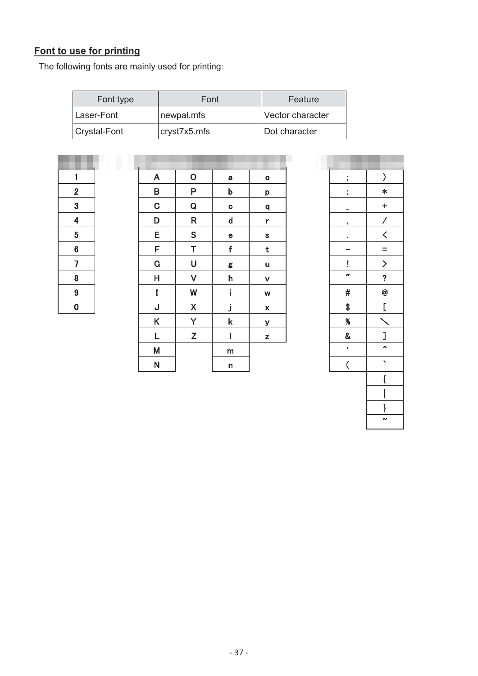# **Font to use for printing**

The following fonts are mainly used for printing:

| Font type    | Font         | Feature          |
|--------------|--------------|------------------|
| Laser-Font   | newpal.mfs   | Vector character |
| Crystal-Font | cryst7x5.mfs | Dot character    |

| 1              |  |
|----------------|--|
|                |  |
| $\overline{2}$ |  |
|                |  |
| $\frac{3}{4}$  |  |
|                |  |
|                |  |
|                |  |
|                |  |
| $\overline{6}$ |  |
|                |  |
| $\overline{7}$ |  |
|                |  |
|                |  |
|                |  |
|                |  |
|                |  |
| $\frac{8}{9}$  |  |
|                |  |

| 1                       | A            | $\mathsf O$                                                 | $\mathbf a$ | $\bullet$                 | ţ                        | )                                                                                       |
|-------------------------|--------------|-------------------------------------------------------------|-------------|---------------------------|--------------------------|-----------------------------------------------------------------------------------------|
| $\overline{\mathbf{c}}$ | B            | P                                                           | b           | p                         | t                        | $\ast$                                                                                  |
| 3                       | $\mathbf C$  | ${\bf Q}$                                                   | $\mathbf C$ | ${\bf q}$                 | -                        | $\pm$                                                                                   |
| 4                       | D            | $\mathsf R$                                                 | $\mathbf d$ | $\mathbf r$               | $\mathbf{r}$             | $\overline{\phantom{a}}$                                                                |
| $\overline{5}$          | E            | S                                                           | $\mathbf e$ | ${\bf s}$                 | $\bullet$                | $\textcolor{red}{\bigwedge}$                                                            |
| 6                       | F            | T                                                           | f           | t                         |                          | $=$                                                                                     |
| $\overline{7}$          | $\mathbf G$  | U                                                           | g           | u                         | Ţ                        | $\left. \rule{0.3cm}{0.12cm}\right. \hspace{0.12cm} \left. \rule{0.3cm}{0.12cm}\right)$ |
| 8                       | H            | $\checkmark$                                                | h           | $\mathbf v$               | $\boldsymbol{H}$         | $\overline{\mathbf{?}}$                                                                 |
| $\overline{9}$          | I            | W                                                           | i           | W                         | $\#$                     | $\boldsymbol{\varnothing}$                                                              |
| $\overline{\mathbf{0}}$ | J            | $\mathsf{X}% _{0}$                                          | j           | $\boldsymbol{\mathsf{X}}$ | \$                       | $\Gamma$                                                                                |
|                         | K            | Y                                                           | $\mathsf k$ | У                         | $\%$                     |                                                                                         |
|                         | L            | $\mathsf{Z}% _{M_{1},M_{2}}^{\alpha,\beta}(\mathbb{R}^{2})$ | I           | z                         | $\pmb{8}$                | l                                                                                       |
|                         | M            |                                                             | m           |                           | ,                        | $\hat{\mathbf{A}}$                                                                      |
|                         | $\mathsf{N}$ |                                                             | n           |                           | $\overline{\mathcal{L}}$ | $\mathbf{v}$                                                                            |

| ;                  | $\overline{\mathbf{)}}$           |
|--------------------|-----------------------------------|
|                    | ¥                                 |
|                    |                                   |
| ,                  | $\frac{+}{\angle}$                |
|                    |                                   |
|                    | $\frac{1}{\geq}$ $\frac{1}{\geq}$ |
| ļ                  |                                   |
| rs                 |                                   |
| #                  | $\overline{\bullet}$              |
| \$                 | $\overline{\mathsf{L}}$           |
| $\frac{96}{8}$     |                                   |
|                    | $\frac{1}{2}$                     |
|                    |                                   |
| $\overline{\zeta}$ | ₹                                 |
|                    | $\{$                              |
|                    | I                                 |
|                    | J                                 |
|                    | $\overline{ }$                    |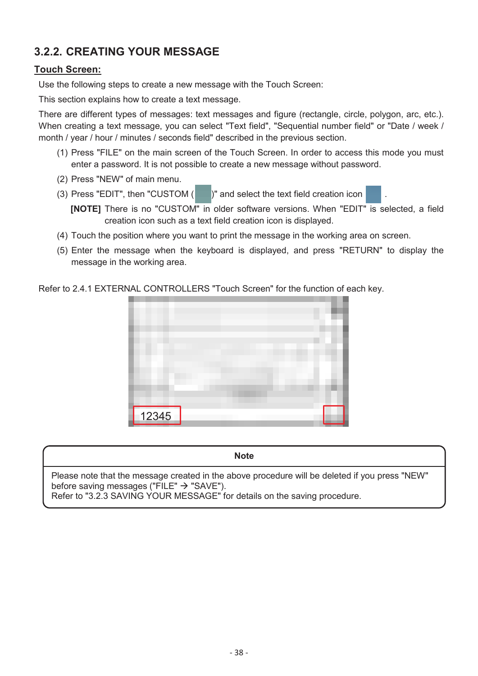# **3.2.2. CREATING YOUR MESSAGE**

## **Touch Screen:**

Use the following steps to create a new message with the Touch Screen:

This section explains how to create a text message.

There are different types of messages: text messages and figure (rectangle, circle, polygon, arc, etc.). When creating a text message, you can select "Text field", "Sequential number field" or "Date / week / month / year / hour / minutes / seconds field" described in the previous section.

- (1) Press "FILE" on the main screen of the Touch Screen. In order to access this mode you must enter a password. It is not possible to create a new message without password.
- (2) Press "NEW" of main menu.
- (3) Press "EDIT", then "CUSTOM  $($  )" and select the text field creation icon



- **[NOTE]** There is no "CUSTOM" in older software versions. When "EDIT" is selected, a field creation icon such as a text field creation icon is displayed.
- (4) Touch the position where you want to print the message in the working area on screen.
- (5) Enter the message when the keyboard is displayed, and press "RETURN" to display the message in the working area.

#### Refer to 2.4.1 EXTERNAL CONTROLLERS "Touch Screen" for the function of each key.



**Note** 

Please note that the message created in the above procedure will be deleted if you press "NEW" before saving messages ("FILE"  $\rightarrow$  "SAVE").

Refer to "3.2.3 SAVING YOUR MESSAGE" for details on the saving procedure.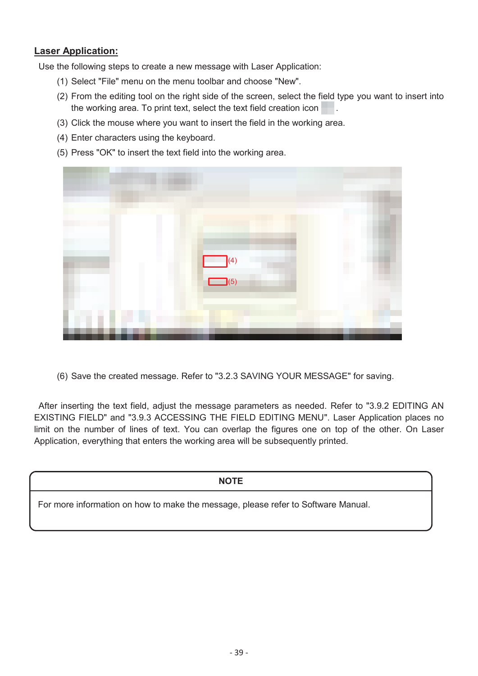Use the following steps to create a new message with Laser Application:

- (1) Select "File" menu on the menu toolbar and choose "New".
- (2) From the editing tool on the right side of the screen, select the field type you want to insert into the working area. To print text, select the text field creation icon ...
- (3) Click the mouse where you want to insert the field in the working area.
- (4) Enter characters using the keyboard.
- (5) Press "OK" to insert the text field into the working area.



(6) Save the created message. Refer to "3.2.3 SAVING YOUR MESSAGE" for saving.

After inserting the text field, adjust the message parameters as needed. Refer to "3.9.2 EDITING AN EXISTING FIELD" and "3.9.3 ACCESSING THE FIELD EDITING MENU". Laser Application places no limit on the number of lines of text. You can overlap the figures one on top of the other. On Laser Application, everything that enters the working area will be subsequently printed.

#### **NOTE**

For more information on how to make the message, please refer to Software Manual.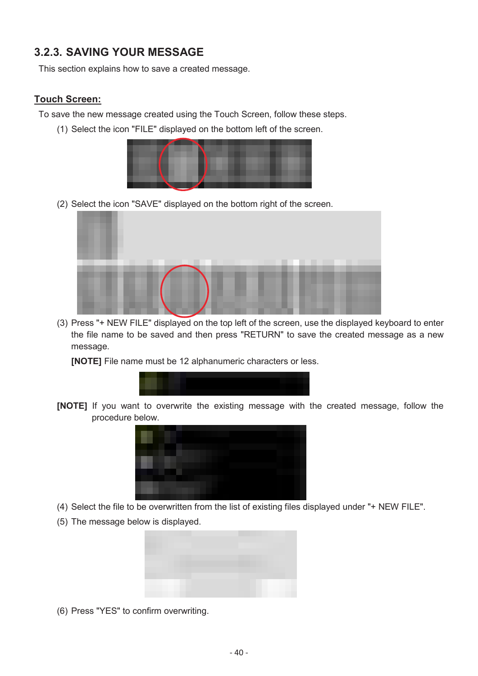## **3.2.3. SAVING YOUR MESSAGE**

This section explains how to save a created message.

#### **Touch Screen:**

To save the new message created using the Touch Screen, follow these steps.

(1) Select the icon "FILE" displayed on the bottom left of the screen.



(2) Select the icon "SAVE" displayed on the bottom right of the screen.



(3) Press "+ NEW FILE" displayed on the top left of the screen, use the displayed keyboard to enter the file name to be saved and then press "RETURN" to save the created message as a new message.

**[NOTE]** File name must be 12 alphanumeric characters or less.



**[NOTE]** If you want to overwrite the existing message with the created message, follow the procedure below.



- (4) Select the file to be overwritten from the list of existing files displayed under "+ NEW FILE".
- (5) The message below is displayed.



(6) Press "YES" to confirm overwriting.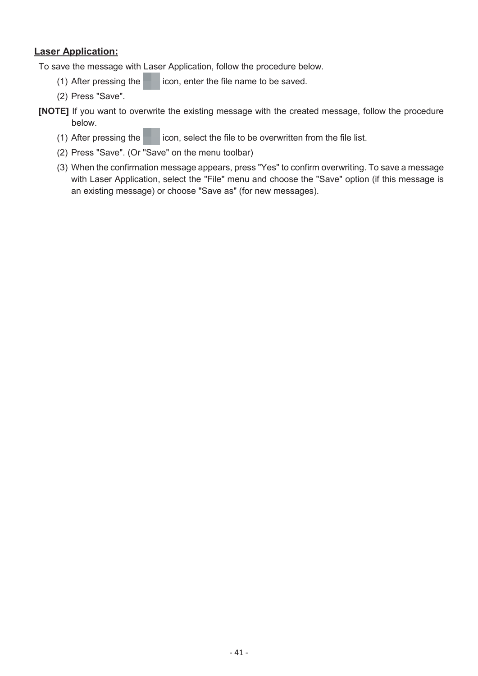To save the message with Laser Application, follow the procedure below.

- (1) After pressing the icon, enter the file name to be saved.
- (2) Press "Save".
- **[NOTE]** If you want to overwrite the existing message with the created message, follow the procedure below.
	- (1) After pressing the  $\Box$  icon, select the file to be overwritten from the file list.
	- (2) Press "Save". (Or "Save" on the menu toolbar)
	- (3) When the confirmation message appears, press "Yes" to confirm overwriting. To save a message with Laser Application, select the "File" menu and choose the "Save" option (if this message is an existing message) or choose "Save as" (for new messages).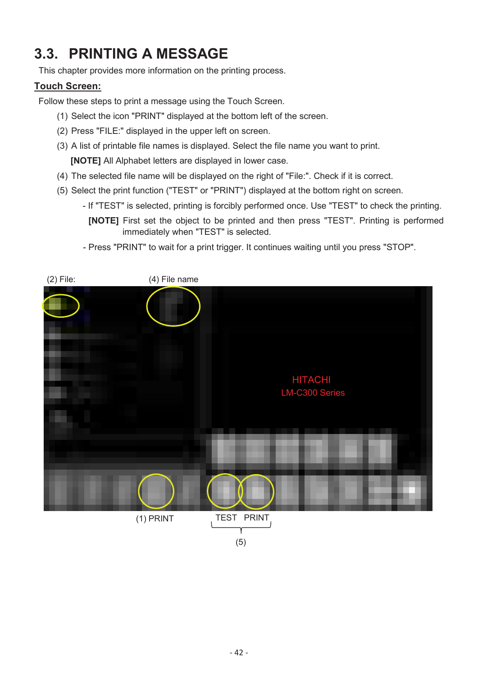# **3.3. PRINTING A MESSAGE**

This chapter provides more information on the printing process.

## **Touch Screen:**

Follow these steps to print a message using the Touch Screen.

- (1) Select the icon "PRINT" displayed at the bottom left of the screen.
- (2) Press "FILE:" displayed in the upper left on screen.
- (3) A list of printable file names is displayed. Select the file name you want to print. **[NOTE]** All Alphabet letters are displayed in lower case.
- (4) The selected file name will be displayed on the right of "File:". Check if it is correct.
- (5) Select the print function ("TEST" or "PRINT") displayed at the bottom right on screen.
	- If "TEST" is selected, printing is forcibly performed once. Use "TEST" to check the printing. **[NOTE]** First set the object to be printed and then press "TEST". Printing is performed immediately when "TEST" is selected.
	- Press "PRINT" to wait for a print trigger. It continues waiting until you press "STOP".

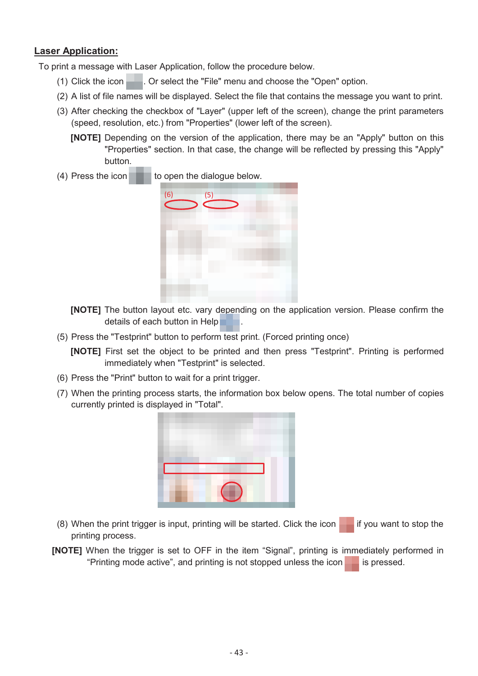To print a message with Laser Application, follow the procedure below.

- (1) Click the icon  $\blacksquare$ . Or select the "File" menu and choose the "Open" option.
- (2) A list of file names will be displayed. Select the file that contains the message you want to print.
- (3) After checking the checkbox of "Layer" (upper left of the screen), change the print parameters (speed, resolution, etc.) from "Properties" (lower left of the screen).
	- **[NOTE]** Depending on the version of the application, there may be an "Apply" button on this "Properties" section. In that case, the change will be reflected by pressing this "Apply" button.
- (4) Press the icon  $\Box$  to open the dialogue below.



**[NOTE]** The button layout etc. vary depending on the application version. Please confirm the details of each button in Help

(5) Press the "Testprint" button to perform test print. (Forced printing once)

**[NOTE]** First set the object to be printed and then press "Testprint". Printing is performed immediately when "Testprint" is selected.

- (6) Press the "Print" button to wait for a print trigger.
- (7) When the printing process starts, the information box below opens. The total number of copies currently printed is displayed in "Total".



- (8) When the print trigger is input, printing will be started. Click the icon  $\blacksquare$  if you want to stop the printing process.
- **[NOTE]** When the trigger is set to OFF in the item "Signal", printing is immediately performed in "Printing mode active", and printing is not stopped unless the icon  $\blacksquare$  is pressed.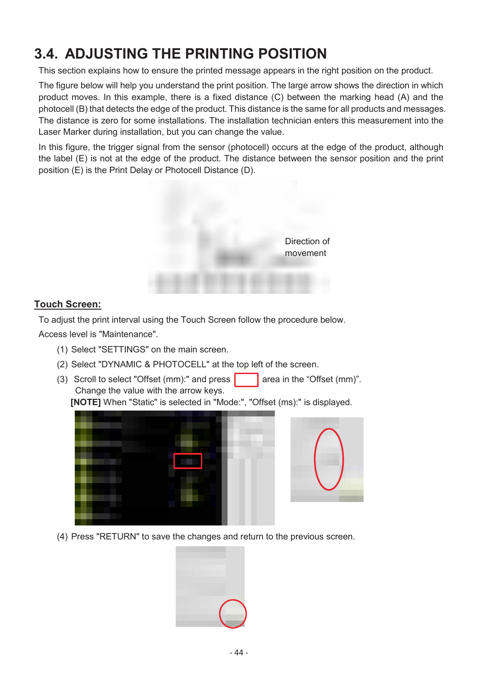# **3.4. ADJUSTING THE PRINTING POSITION**

This section explains how to ensure the printed message appears in the right position on the product.

The figure below will help you understand the print position. The large arrow shows the direction in which product moves. In this example, there is a fixed distance (C) between the marking head (A) and the photocell (B) that detects the edge of the product. This distance is the same for all products and messages. The distance is zero for some installations. The installation technician enters this measurement into the Laser Marker during installation, but you can change the value.

In this figure, the trigger signal from the sensor (photocell) occurs at the edge of the product, although the label (E) is not at the edge of the product. The distance between the sensor position and the print position (E) is the Print Delay or Photocell Distance (D).



### **Touch Screen:**

To adjust the print interval using the Touch Screen follow the procedure below.

Access level is "Maintenance".

- (1) Select "SETTINGS" on the main screen.
- (2) Select "DYNAMIC & PHOTOCELL" at the top left of the screen.
- (3) Scroll to select "Offset (mm):" and press  $\vert$  area in the "Offset (mm)". Change the value with the arrow keys.

**[NOTE]** When "Static" is selected in "Mode:", "Offset (ms):" is displayed.





(4) Press "RETURN" to save the changes and return to the previous screen.

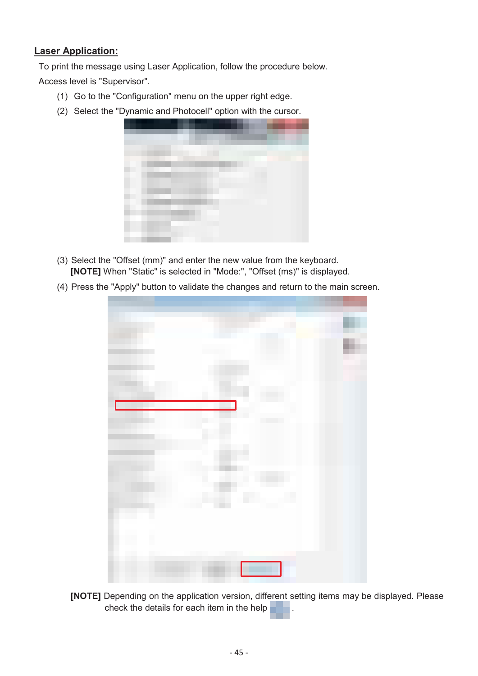To print the message using Laser Application, follow the procedure below.

Access level is "Supervisor".

- (1) Go to the "Configuration" menu on the upper right edge.
- (2) Select the "Dynamic and Photocell" option with the cursor.



- (3) Select the "Offset (mm)" and enter the new value from the keyboard. **[NOTE]** When "Static" is selected in "Mode:", "Offset (ms)" is displayed.
- (4) Press the "Apply" button to validate the changes and return to the main screen.



**[NOTE]** Depending on the application version, different setting items may be displayed. Please check the details for each item in the help .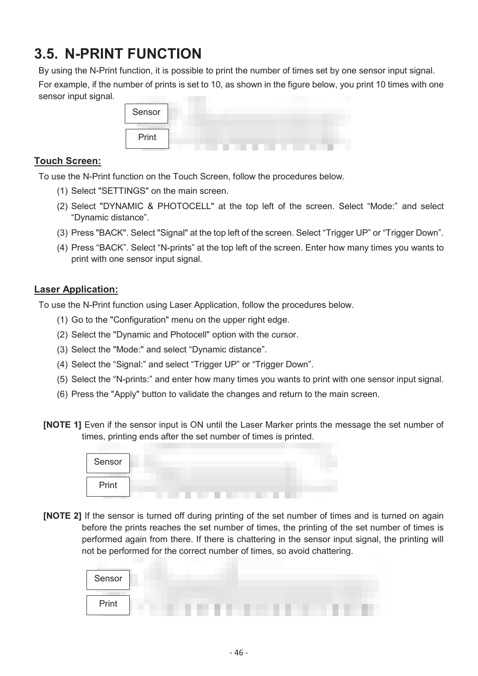# **3.5. N-PRINT FUNCTION**

By using the N-Print function, it is possible to print the number of times set by one sensor input signal.

For example, if the number of prints is set to 10, as shown in the figure below, you print 10 times with one sensor input signal.

| Sensor |  |  |  |  |
|--------|--|--|--|--|
| Print  |  |  |  |  |

### **Touch Screen:**

To use the N-Print function on the Touch Screen, follow the procedures below.

- (1) Select "SETTINGS" on the main screen.
- (2) Select "DYNAMIC & PHOTOCELL" at the top left of the screen. Select "Mode:" and select "Dynamic distance".
- (3) Press "BACK". Select "Signal" at the top left of the screen. Select "Trigger UP" or "Trigger Down".
- (4) Press "BACK". Select "N-prints" at the top left of the screen. Enter how many times you wants to print with one sensor input signal.

### **Laser Application:**

To use the N-Print function using Laser Application, follow the procedures below.

- (1) Go to the "Configuration" menu on the upper right edge.
- (2) Select the "Dynamic and Photocell" option with the cursor.
- (3) Select the "Mode:" and select "Dynamic distance".
- (4) Select the "Signal:" and select "Trigger UP" or "Trigger Down".
- (5) Select the "N-prints:" and enter how many times you wants to print with one sensor input signal.
- (6) Press the "Apply" button to validate the changes and return to the main screen.
- **[NOTE 1]** Even if the sensor input is ON until the Laser Marker prints the message the set number of times, printing ends after the set number of times is printed.

| Print | Sensor |  |
|-------|--------|--|
|       |        |  |

**[NOTE 2]** If the sensor is turned off during printing of the set number of times and is turned on again before the prints reaches the set number of times, the printing of the set number of times is performed again from there. If there is chattering in the sensor input signal, the printing will not be performed for the correct number of times, so avoid chattering.

| Sensor |  |  |  |  |  |
|--------|--|--|--|--|--|
| Print  |  |  |  |  |  |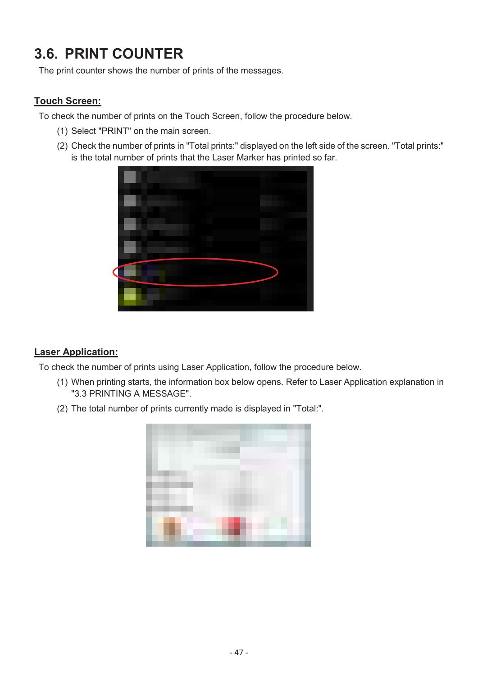# **3.6. PRINT COUNTER**

The print counter shows the number of prints of the messages.

## **Touch Screen:**

To check the number of prints on the Touch Screen, follow the procedure below.

- (1) Select "PRINT" on the main screen.
- (2) Check the number of prints in "Total prints:" displayed on the left side of the screen. "Total prints:" is the total number of prints that the Laser Marker has printed so far.



## **Laser Application:**

To check the number of prints using Laser Application, follow the procedure below.

- (1) When printing starts, the information box below opens. Refer to Laser Application explanation in "3.3 PRINTING A MESSAGE".
- (2) The total number of prints currently made is displayed in "Total:".

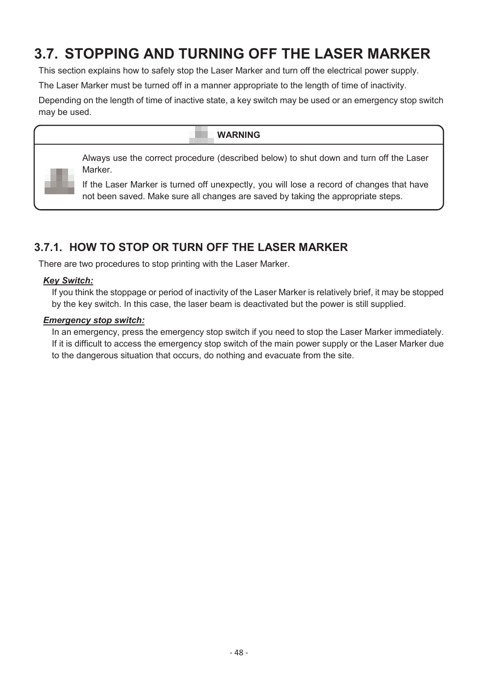# **3.7. STOPPING AND TURNING OFF THE LASER MARKER**

This section explains how to safely stop the Laser Marker and turn off the electrical power supply.

The Laser Marker must be turned off in a manner appropriate to the length of time of inactivity.

Depending on the length of time of inactive state, a key switch may be used or an emergency stop switch may be used.

# **WARNING**  Always use the correct procedure (described below) to shut down and turn off the Laser Marker. If the Laser Marker is turned off unexpectly, you will lose a record of changes that have not been saved. Make sure all changes are saved by taking the appropriate steps.

# **3.7.1. HOW TO STOP OR TURN OFF THE LASER MARKER**

There are two procedures to stop printing with the Laser Marker.

### *Key Switch:*

If you think the stoppage or period of inactivity of the Laser Marker is relatively brief, it may be stopped by the key switch. In this case, the laser beam is deactivated but the power is still supplied.

### *Emergency stop switch:*

In an emergency, press the emergency stop switch if you need to stop the Laser Marker immediately. If it is difficult to access the emergency stop switch of the main power supply or the Laser Marker due to the dangerous situation that occurs, do nothing and evacuate from the site.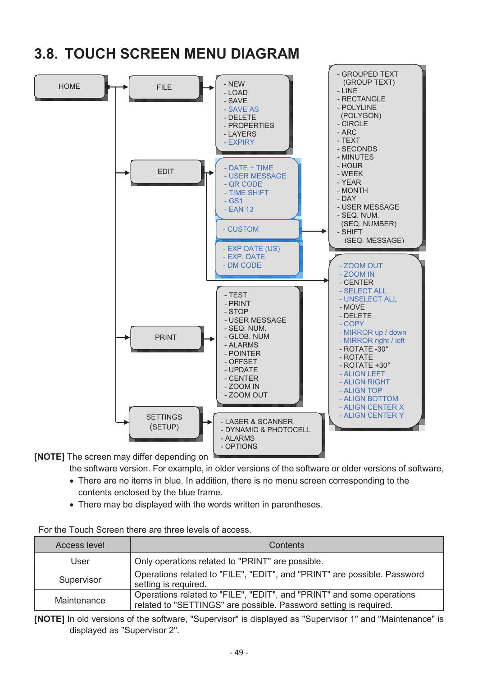

# **3.8. TOUCH SCREEN MENU DIAGRAM**

**[NOTE]** The screen may differ depending on

the software version. For example, in older versions of the software or older versions of software,

- There are no items in blue. In addition, there is no menu screen corresponding to the contents enclosed by the blue frame.
- There may be displayed with the words written in parentheses.

For the Touch Screen there are three levels of access.

| Access level | Contents                                                                                                                                   |
|--------------|--------------------------------------------------------------------------------------------------------------------------------------------|
| User         | Only operations related to "PRINT" are possible.                                                                                           |
| Supervisor   | Operations related to "FILE", "EDIT", and "PRINT" are possible. Password<br>setting is required.                                           |
| Maintenance  | Operations related to "FILE", "EDIT", and "PRINT" and some operations<br>related to "SETTINGS" are possible. Password setting is required. |

**[NOTE]** In old versions of the software, "Supervisor" is displayed as "Supervisor 1" and "Maintenance" is displayed as "Supervisor 2".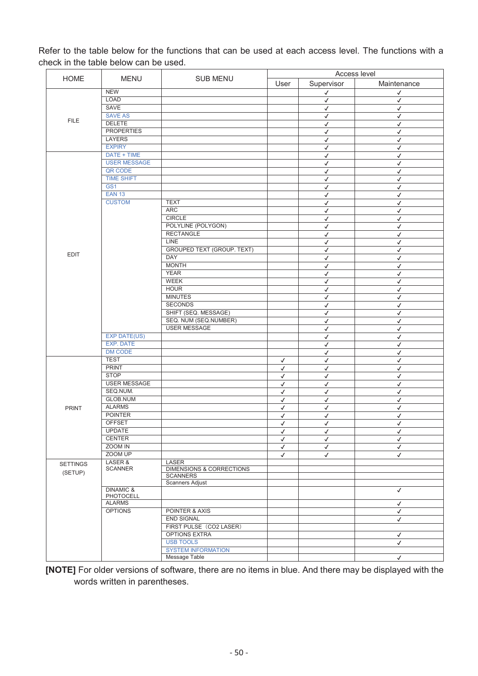Refer to the table below for the functions that can be used at each access level. The functions with a check in the table below can be used.

|                 |                     |                                   | Access level |              |              |  |  |  |
|-----------------|---------------------|-----------------------------------|--------------|--------------|--------------|--|--|--|
| <b>HOME</b>     | <b>MENU</b>         | SUB MENU                          | User         | Supervisor   | Maintenance  |  |  |  |
|                 | <b>NEW</b>          |                                   |              |              |              |  |  |  |
|                 | LOAD                |                                   |              | $\checkmark$ | √            |  |  |  |
|                 | SAVE                |                                   |              | $\checkmark$ | $\checkmark$ |  |  |  |
|                 |                     |                                   |              | $\checkmark$ | $\checkmark$ |  |  |  |
| <b>FILE</b>     | <b>SAVE AS</b>      |                                   |              | $\checkmark$ | $\checkmark$ |  |  |  |
|                 | <b>DELETE</b>       |                                   |              | $\checkmark$ | $\checkmark$ |  |  |  |
|                 | <b>PROPERTIES</b>   |                                   |              | $\checkmark$ | $\checkmark$ |  |  |  |
|                 | <b>LAYERS</b>       |                                   |              | $\checkmark$ | $\checkmark$ |  |  |  |
|                 | <b>EXPIRY</b>       |                                   |              | $\checkmark$ | $\checkmark$ |  |  |  |
|                 | DATE + TIME         |                                   |              | $\checkmark$ | $\checkmark$ |  |  |  |
|                 | <b>USER MESSAGE</b> |                                   |              | $\checkmark$ | $\checkmark$ |  |  |  |
|                 | QR CODE             |                                   |              | $\checkmark$ | $\checkmark$ |  |  |  |
|                 | <b>TIME SHIFT</b>   |                                   |              | $\checkmark$ | $\checkmark$ |  |  |  |
|                 | GS <sub>1</sub>     |                                   |              | $\checkmark$ | $\checkmark$ |  |  |  |
|                 | <b>EAN 13</b>       |                                   |              | ✓            | $\checkmark$ |  |  |  |
|                 | <b>CUSTOM</b>       | <b>TEXT</b>                       |              | $\checkmark$ | $\checkmark$ |  |  |  |
|                 |                     | <b>ARC</b>                        |              |              | $\checkmark$ |  |  |  |
|                 |                     | <b>CIRCLE</b>                     |              | $\checkmark$ |              |  |  |  |
|                 |                     |                                   |              | $\checkmark$ | $\checkmark$ |  |  |  |
|                 |                     | POLYLINE (POLYGON)                |              | $\checkmark$ | $\checkmark$ |  |  |  |
|                 |                     | <b>RECTANGLE</b>                  |              | $\checkmark$ | $\checkmark$ |  |  |  |
|                 |                     | <b>LINE</b>                       |              | √            | $\checkmark$ |  |  |  |
|                 |                     | <b>GROUPED TEXT (GROUP. TEXT)</b> |              | $\checkmark$ | $\checkmark$ |  |  |  |
| <b>EDIT</b>     |                     | <b>DAY</b>                        |              | $\checkmark$ | $\checkmark$ |  |  |  |
|                 |                     | <b>MONTH</b>                      |              | $\checkmark$ | $\checkmark$ |  |  |  |
|                 |                     | <b>YEAR</b>                       |              | $\checkmark$ | $\checkmark$ |  |  |  |
|                 |                     | <b>WEEK</b>                       |              | $\checkmark$ | $\checkmark$ |  |  |  |
|                 |                     | <b>HOUR</b>                       |              | $\checkmark$ | $\checkmark$ |  |  |  |
|                 |                     | <b>MINUTES</b>                    |              | $\checkmark$ | $\checkmark$ |  |  |  |
|                 |                     | <b>SECONDS</b>                    |              |              |              |  |  |  |
|                 |                     | SHIFT (SEQ. MESSAGE)              |              | $\checkmark$ | $\checkmark$ |  |  |  |
|                 |                     |                                   |              | $\checkmark$ | $\checkmark$ |  |  |  |
|                 |                     | SEQ. NUM (SEQ.NUMBER)             |              | $\checkmark$ | $\checkmark$ |  |  |  |
|                 |                     | <b>USER MESSAGE</b>               |              | $\checkmark$ | $\checkmark$ |  |  |  |
|                 | <b>EXP DATE(US)</b> |                                   |              | $\checkmark$ | $\checkmark$ |  |  |  |
|                 | <b>EXP. DATE</b>    |                                   |              | $\checkmark$ | $\checkmark$ |  |  |  |
|                 | <b>DM CODE</b>      |                                   |              | $\checkmark$ | $\checkmark$ |  |  |  |
|                 | <b>TEST</b>         |                                   | $\checkmark$ | $\checkmark$ | $\checkmark$ |  |  |  |
|                 | <b>PRINT</b>        |                                   | $\checkmark$ | √            | $\checkmark$ |  |  |  |
|                 | <b>STOP</b>         |                                   | $\checkmark$ | $\checkmark$ | $\checkmark$ |  |  |  |
|                 | <b>USER MESSAGE</b> |                                   | $\checkmark$ | $\checkmark$ | $\checkmark$ |  |  |  |
|                 | SEQ.NUM.            |                                   | $\checkmark$ | $\checkmark$ | $\checkmark$ |  |  |  |
|                 | <b>GLOB.NUM</b>     |                                   |              |              | $\checkmark$ |  |  |  |
|                 |                     |                                   | $\checkmark$ | $\checkmark$ |              |  |  |  |
| <b>PRINT</b>    | <b>ALARMS</b>       |                                   | $\checkmark$ | $\checkmark$ | $\checkmark$ |  |  |  |
|                 | <b>POINTER</b>      |                                   | √            | √            | $\checkmark$ |  |  |  |
|                 | <b>OFFSET</b>       |                                   | $\checkmark$ | $\checkmark$ | $\checkmark$ |  |  |  |
|                 | UPDATE              |                                   | ✓            | ✓            | ✓            |  |  |  |
|                 | <b>CENTER</b>       |                                   | $\checkmark$ | $\checkmark$ | $\checkmark$ |  |  |  |
|                 | ZOOM IN             |                                   | $\checkmark$ | $\checkmark$ | $\checkmark$ |  |  |  |
|                 | ZOOM UP             |                                   | $\checkmark$ | $\checkmark$ | $\checkmark$ |  |  |  |
| <b>SETTINGS</b> | LASER &             | <b>LASER</b>                      |              |              |              |  |  |  |
|                 | <b>SCANNER</b>      | DIMENSIONS & CORRECTIONS          |              |              |              |  |  |  |
| (SETUP)         |                     | <b>SCANNERS</b>                   |              |              |              |  |  |  |
|                 |                     | <b>Scanners Adjust</b>            |              |              |              |  |  |  |
|                 | DINAMIC &           |                                   |              |              | $\checkmark$ |  |  |  |
|                 | PHOTOCELL           |                                   |              |              |              |  |  |  |
|                 | <b>ALARMS</b>       |                                   |              |              | $\checkmark$ |  |  |  |
|                 | <b>OPTIONS</b>      | POINTER & AXIS                    |              |              | √            |  |  |  |
|                 |                     | <b>END SIGNAL</b>                 |              |              | $\checkmark$ |  |  |  |
|                 |                     | FIRST PULSE (CO2 LASER)           |              |              |              |  |  |  |
|                 |                     | <b>OPTIONS EXTRA</b>              |              |              | √            |  |  |  |
|                 |                     | <b>USB TOOLS</b>                  |              |              | $\checkmark$ |  |  |  |
|                 |                     | <b>SYSTEM INFORMATION</b>         |              |              |              |  |  |  |
|                 |                     | Message Table                     |              |              | $\checkmark$ |  |  |  |
|                 |                     |                                   |              |              |              |  |  |  |

 **[NOTE]** For older versions of software, there are no items in blue. And there may be displayed with the words written in parentheses.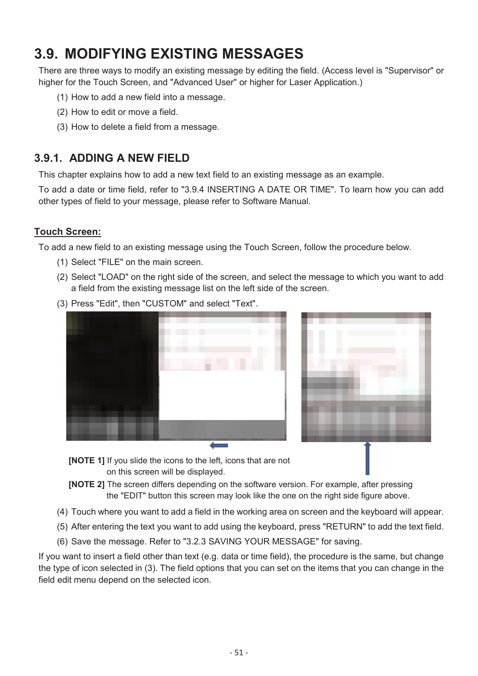# **3.9. MODIFYING EXISTING MESSAGES**

There are three ways to modify an existing message by editing the field. (Access level is "Supervisor" or higher for the Touch Screen, and "Advanced User" or higher for Laser Application.)

- (1) How to add a new field into a message.
- (2) How to edit or move a field.
- (3) How to delete a field from a message.

## **3.9.1. ADDING A NEW FIELD**

This chapter explains how to add a new text field to an existing message as an example.

To add a date or time field, refer to "3.9.4 INSERTING A DATE OR TIME". To learn how you can add other types of field to your message, please refer to Software Manual.

### **Touch Screen:**

To add a new field to an existing message using the Touch Screen, follow the procedure below.

- (1) Select "FILE" on the main screen.
- (2) Select "LOAD" on the right side of the screen, and select the message to which you want to add a field from the existing message list on the left side of the screen.



**[NOTE 1]** If you slide the icons to the left, icons that are not

on this screen will be displayed.

(3) Press "Edit", then "CUSTOM" and select "Text".

- **[NOTE 2]** The screen differs depending on the software version. For example, after pressing the "EDIT" button this screen may look like the one on the right side figure above.
- (4) Touch where you want to add a field in the working area on screen and the keyboard will appear.
- (5) After entering the text you want to add using the keyboard, press "RETURN" to add the text field.
- (6) Save the message. Refer to "3.2.3 SAVING YOUR MESSAGE" for saving.

If you want to insert a field other than text (e.g. data or time field), the procedure is the same, but change the type of icon selected in (3). The field options that you can set on the items that you can change in the field edit menu depend on the selected icon.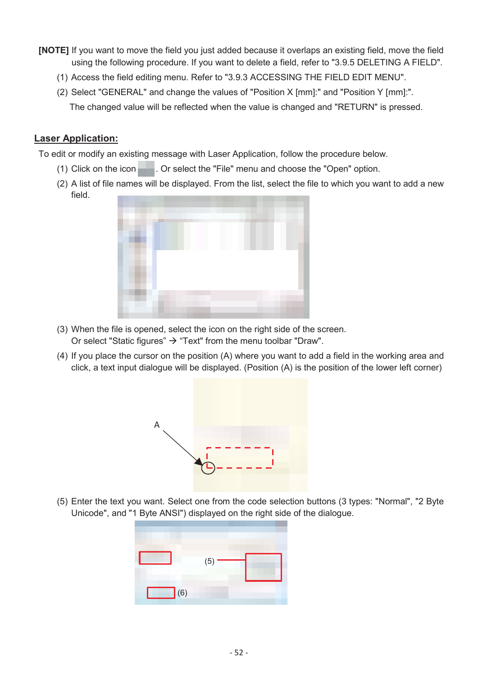- **[NOTE]** If you want to move the field you just added because it overlaps an existing field, move the field using the following procedure. If you want to delete a field, refer to "3.9.5 DELETING A FIELD".
	- (1) Access the field editing menu. Refer to "3.9.3 ACCESSING THE FIELD EDIT MENU".
	- (2) Select "GENERAL" and change the values of "Position X [mm]:" and "Position Y [mm]:". The changed value will be reflected when the value is changed and "RETURN" is pressed.

To edit or modify an existing message with Laser Application, follow the procedure below.

- (1) Click on the icon  $\blacksquare$ . Or select the "File" menu and choose the "Open" option.
- (2) A list of file names will be displayed. From the list, select the file to which you want to add a new field.



- (3) When the file is opened, select the icon on the right side of the screen. Or select "Static figures"  $\rightarrow$  "Text" from the menu toolbar "Draw".
- (4) If you place the cursor on the position (A) where you want to add a field in the working area and click, a text input dialogue will be displayed. (Position (A) is the position of the lower left corner)



(5) Enter the text you want. Select one from the code selection buttons (3 types: "Normal", "2 Byte Unicode", and "1 Byte ANSI") displayed on the right side of the dialogue.

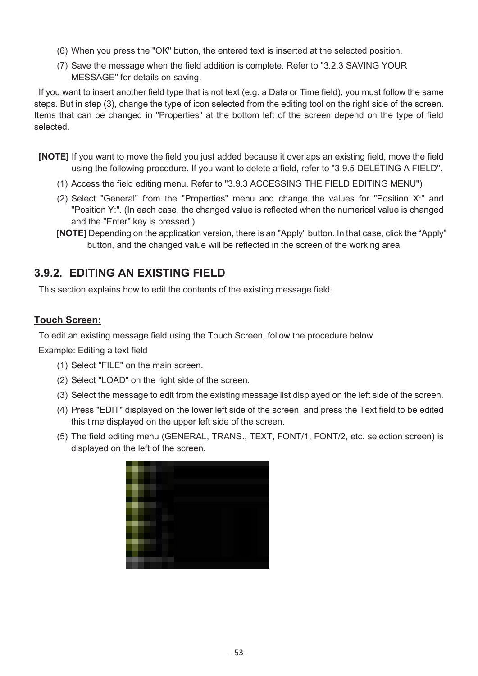- (6) When you press the "OK" button, the entered text is inserted at the selected position.
- (7) Save the message when the field addition is complete. Refer to "3.2.3 SAVING YOUR MESSAGE" for details on saving.

If you want to insert another field type that is not text (e.g. a Data or Time field), you must follow the same steps. But in step (3), change the type of icon selected from the editing tool on the right side of the screen. Items that can be changed in "Properties" at the bottom left of the screen depend on the type of field selected.

- **[NOTE]** If you want to move the field you just added because it overlaps an existing field, move the field using the following procedure. If you want to delete a field, refer to "3.9.5 DELETING A FIELD".
	- (1) Access the field editing menu. Refer to "3.9.3 ACCESSING THE FIELD EDITING MENU")
	- (2) Select "General" from the "Properties" menu and change the values for "Position X:" and "Position Y:". (In each case, the changed value is reflected when the numerical value is changed and the "Enter" key is pressed.)
	- **[NOTE]** Depending on the application version, there is an "Apply" button. In that case, click the "Apply" button, and the changed value will be reflected in the screen of the working area.

## **3.9.2. EDITING AN EXISTING FIELD**

This section explains how to edit the contents of the existing message field.

### **Touch Screen:**

To edit an existing message field using the Touch Screen, follow the procedure below.

Example: Editing a text field

- (1) Select "FILE" on the main screen.
- (2) Select "LOAD" on the right side of the screen.
- (3) Select the message to edit from the existing message list displayed on the left side of the screen.
- (4) Press "EDIT" displayed on the lower left side of the screen, and press the Text field to be edited this time displayed on the upper left side of the screen.
- (5) The field editing menu (GENERAL, TRANS., TEXT, FONT/1, FONT/2, etc. selection screen) is displayed on the left of the screen.

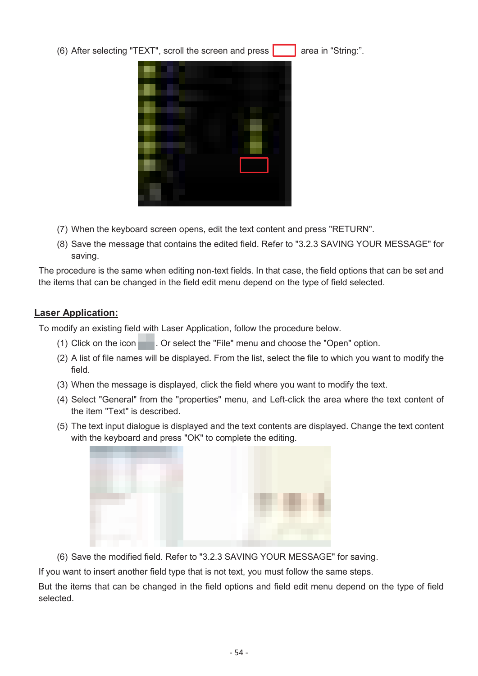(6) After selecting "TEXT", scroll the screen and press  $\begin{bmatrix} 1 & 1 \\ 1 & 1 \end{bmatrix}$  area in "String:".



- (7) When the keyboard screen opens, edit the text content and press "RETURN".
- (8) Save the message that contains the edited field. Refer to "3.2.3 SAVING YOUR MESSAGE" for saving.

The procedure is the same when editing non-text fields. In that case, the field options that can be set and the items that can be changed in the field edit menu depend on the type of field selected.

#### **Laser Application:**

To modify an existing field with Laser Application, follow the procedure below.

- (1) Click on the icon . Or select the "File" menu and choose the "Open" option.
- (2) A list of file names will be displayed. From the list, select the file to which you want to modify the field.
- (3) When the message is displayed, click the field where you want to modify the text.
- (4) Select "General" from the "properties" menu, and Left-click the area where the text content of the item "Text" is described.
- (5) The text input dialogue is displayed and the text contents are displayed. Change the text content with the keyboard and press "OK" to complete the editing.



(6) Save the modified field. Refer to "3.2.3 SAVING YOUR MESSAGE" for saving.

If you want to insert another field type that is not text, you must follow the same steps.

But the items that can be changed in the field options and field edit menu depend on the type of field selected.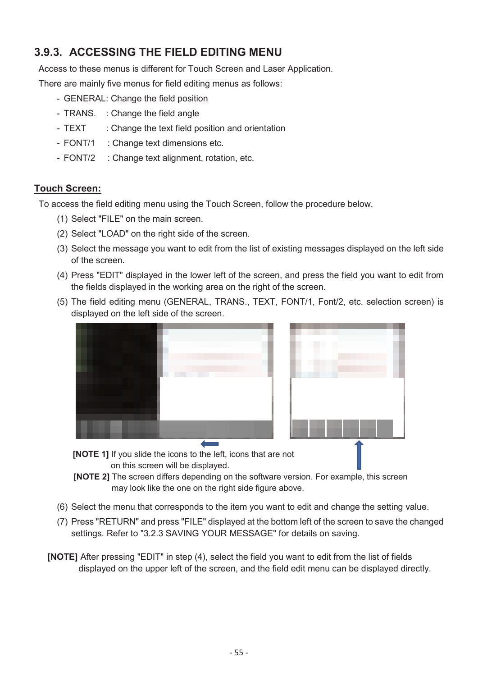# **3.9.3. ACCESSING THE FIELD EDITING MENU**

Access to these menus is different for Touch Screen and Laser Application.

There are mainly five menus for field editing menus as follows:

- GENERAL: Change the field position
- TRANS. : Change the field angle
- TEXT : Change the text field position and orientation
- FONT/1 : Change text dimensions etc.
- FONT/2 : Change text alignment, rotation, etc.

#### **Touch Screen:**

To access the field editing menu using the Touch Screen, follow the procedure below.

- (1) Select "FILE" on the main screen.
- (2) Select "LOAD" on the right side of the screen.
- (3) Select the message you want to edit from the list of existing messages displayed on the left side of the screen.
- (4) Press "EDIT" displayed in the lower left of the screen, and press the field you want to edit from the fields displayed in the working area on the right of the screen.
- (5) The field editing menu (GENERAL, TRANS., TEXT, FONT/1, Font/2, etc. selection screen) is displayed on the left side of the screen.



on this screen will be displayed.

- **[NOTE 2]** The screen differs depending on the software version. For example, this screen may look like the one on the right side figure above.
- (6) Select the menu that corresponds to the item you want to edit and change the setting value.
- (7) Press "RETURN" and press "FILE" displayed at the bottom left of the screen to save the changed settings. Refer to "3.2.3 SAVING YOUR MESSAGE" for details on saving.
- **[NOTE]** After pressing "EDIT" in step (4), select the field you want to edit from the list of fields displayed on the upper left of the screen, and the field edit menu can be displayed directly.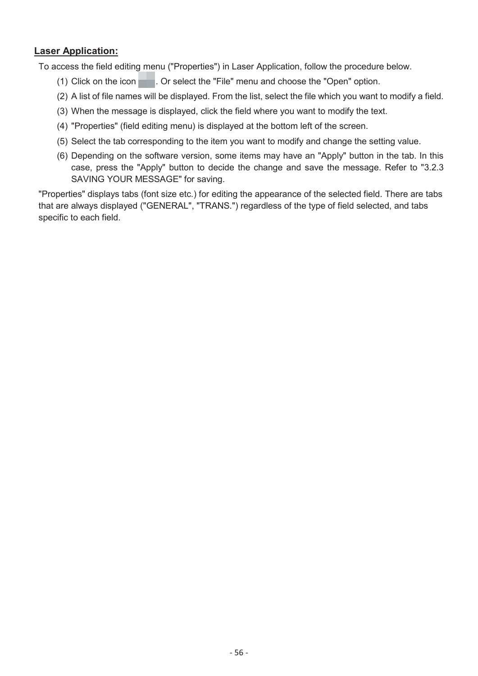To access the field editing menu ("Properties") in Laser Application, follow the procedure below.

- (1) Click on the icon  $\blacksquare$ . Or select the "File" menu and choose the "Open" option.
- (2) A list of file names will be displayed. From the list, select the file which you want to modify a field.
- (3) When the message is displayed, click the field where you want to modify the text.
- (4) "Properties" (field editing menu) is displayed at the bottom left of the screen.
- (5) Select the tab corresponding to the item you want to modify and change the setting value.
- (6) Depending on the software version, some items may have an "Apply" button in the tab. In this case, press the "Apply" button to decide the change and save the message. Refer to "3.2.3 SAVING YOUR MESSAGE" for saving.

"Properties" displays tabs (font size etc.) for editing the appearance of the selected field. There are tabs that are always displayed ("GENERAL", "TRANS.") regardless of the type of field selected, and tabs specific to each field.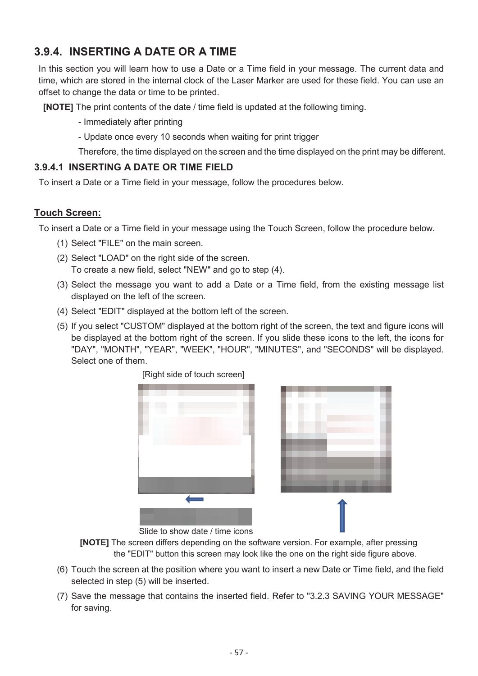# **3.9.4. INSERTING A DATE OR A TIME**

In this section you will learn how to use a Date or a Time field in your message. The current data and time, which are stored in the internal clock of the Laser Marker are used for these field. You can use an offset to change the data or time to be printed.

**[NOTE]** The print contents of the date / time field is updated at the following timing.

- Immediately after printing

- Update once every 10 seconds when waiting for print trigger

Therefore, the time displayed on the screen and the time displayed on the print may be different.

### **3.9.4.1 INSERTING A DATE OR TIME FIELD**

To insert a Date or a Time field in your message, follow the procedures below.

### **Touch Screen:**

To insert a Date or a Time field in your message using the Touch Screen, follow the procedure below.

- (1) Select "FILE" on the main screen.
- (2) Select "LOAD" on the right side of the screen. To create a new field, select "NEW" and go to step (4).
- (3) Select the message you want to add a Date or a Time field, from the existing message list displayed on the left of the screen.
- (4) Select "EDIT" displayed at the bottom left of the screen.
- (5) If you select "CUSTOM" displayed at the bottom right of the screen, the text and figure icons will be displayed at the bottom right of the screen. If you slide these icons to the left, the icons for "DAY", "MONTH", "YEAR", "WEEK", "HOUR", "MINUTES", and "SECONDS" will be displayed. Select one of them.



Slide to show date / time icons

**[NOTE]** The screen differs depending on the software version. For example, after pressing the "EDIT" button this screen may look like the one on the right side figure above.

- (6) Touch the screen at the position where you want to insert a new Date or Time field, and the field selected in step (5) will be inserted.
- (7) Save the message that contains the inserted field. Refer to "3.2.3 SAVING YOUR MESSAGE" for saving.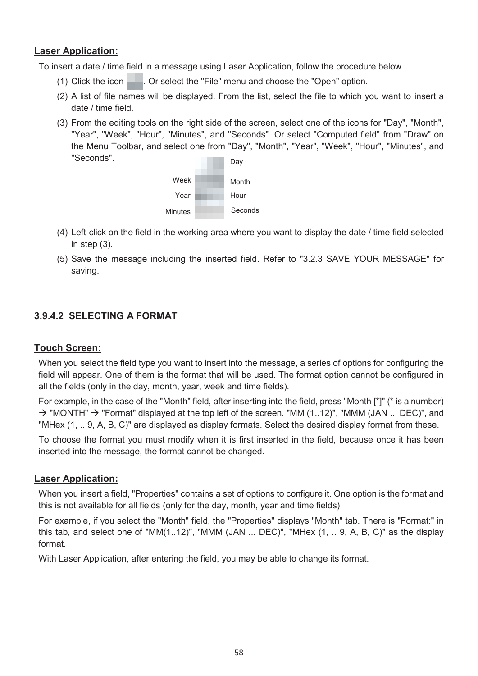To insert a date / time field in a message using Laser Application, follow the procedure below.

- (1) Click the icon  $\blacksquare$ . Or select the "File" menu and choose the "Open" option.
- (2) A list of file names will be displayed. From the list, select the file to which you want to insert a date / time field.
- (3) From the editing tools on the right side of the screen, select one of the icons for "Day", "Month", "Year", "Week", "Hour", "Minutes", and "Seconds". Or select "Computed field" from "Draw" on the Menu Toolbar, and select one from "Day", "Month", "Year", "Week", "Hour", "Minutes", and "Seconds". Day



- (4) Left-click on the field in the working area where you want to display the date / time field selected in step (3).
- (5) Save the message including the inserted field. Refer to "3.2.3 SAVE YOUR MESSAGE" for saving.

### **3.9.4.2 SELECTING A FORMAT**

#### **Touch Screen:**

When you select the field type you want to insert into the message, a series of options for configuring the field will appear. One of them is the format that will be used. The format option cannot be configured in all the fields (only in the day, month, year, week and time fields).

For example, in the case of the "Month" field, after inserting into the field, press "Month [\*]" (\* is a number)  $\rightarrow$  "MONTH"  $\rightarrow$  "Format" displayed at the top left of the screen. "MM (1..12)", "MMM (JAN ... DEC)", and "MHex (1, .. 9, A, B, C)" are displayed as display formats. Select the desired display format from these.

To choose the format you must modify when it is first inserted in the field, because once it has been inserted into the message, the format cannot be changed.

#### **Laser Application:**

When you insert a field, "Properties" contains a set of options to configure it. One option is the format and this is not available for all fields (only for the day, month, year and time fields).

For example, if you select the "Month" field, the "Properties" displays "Month" tab. There is "Format:" in this tab, and select one of "MM(1..12)", "MMM (JAN ... DEC)", "MHex (1, .. 9, A, B, C)" as the display format.

With Laser Application, after entering the field, you may be able to change its format.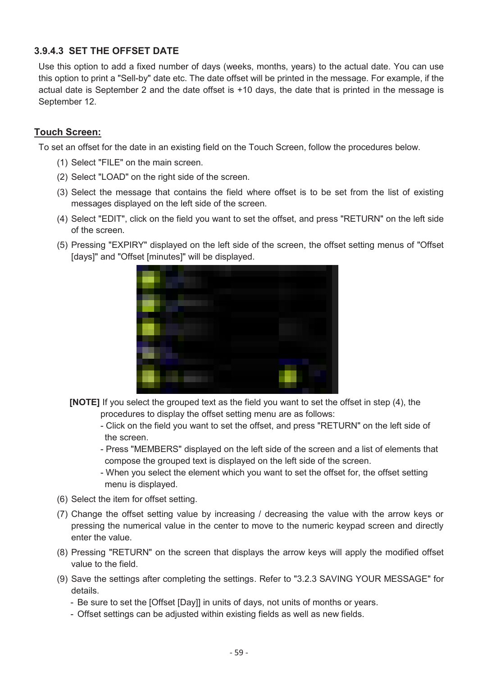## **3.9.4.3 SET THE OFFSET DATE**

Use this option to add a fixed number of days (weeks, months, years) to the actual date. You can use this option to print a "Sell-by" date etc. The date offset will be printed in the message. For example, if the actual date is September 2 and the date offset is +10 days, the date that is printed in the message is September 12.

#### **Touch Screen:**

To set an offset for the date in an existing field on the Touch Screen, follow the procedures below.

- (1) Select "FILE" on the main screen.
- (2) Select "LOAD" on the right side of the screen.
- (3) Select the message that contains the field where offset is to be set from the list of existing messages displayed on the left side of the screen.
- (4) Select "EDIT", click on the field you want to set the offset, and press "RETURN" on the left side of the screen.
- (5) Pressing "EXPIRY" displayed on the left side of the screen, the offset setting menus of "Offset [days]" and "Offset [minutes]" will be displayed.



- **[NOTE]** If you select the grouped text as the field you want to set the offset in step (4), the procedures to display the offset setting menu are as follows:
	- Click on the field you want to set the offset, and press "RETURN" on the left side of the screen.
	- Press "MEMBERS" displayed on the left side of the screen and a list of elements that compose the grouped text is displayed on the left side of the screen.
	- When you select the element which you want to set the offset for, the offset setting menu is displayed.
- (6) Select the item for offset setting.
- (7) Change the offset setting value by increasing / decreasing the value with the arrow keys or pressing the numerical value in the center to move to the numeric keypad screen and directly enter the value.
- (8) Pressing "RETURN" on the screen that displays the arrow keys will apply the modified offset value to the field.
- (9) Save the settings after completing the settings. Refer to "3.2.3 SAVING YOUR MESSAGE" for details.
	- Be sure to set the [Offset [Day]] in units of days, not units of months or years.
	- Offset settings can be adjusted within existing fields as well as new fields.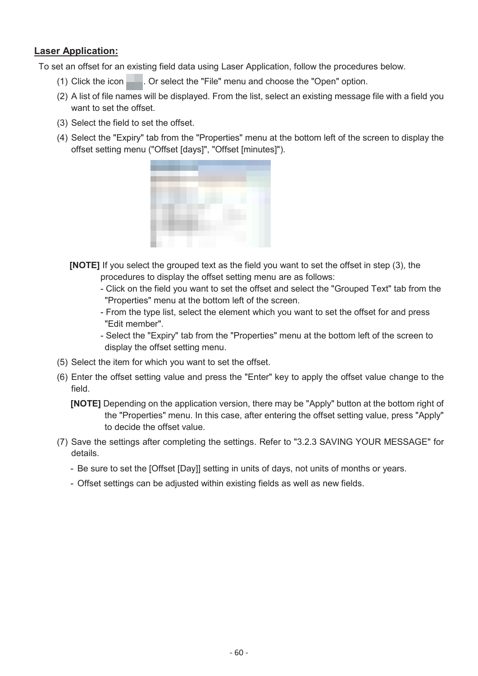To set an offset for an existing field data using Laser Application, follow the procedures below.

- (1) Click the icon . Or select the "File" menu and choose the "Open" option.
- (2) A list of file names will be displayed. From the list, select an existing message file with a field you want to set the offset.
- (3) Select the field to set the offset.
- (4) Select the "Expiry" tab from the "Properties" menu at the bottom left of the screen to display the offset setting menu ("Offset [days]", "Offset [minutes]").



- **[NOTE]** If you select the grouped text as the field you want to set the offset in step (3), the procedures to display the offset setting menu are as follows:
	- Click on the field you want to set the offset and select the "Grouped Text" tab from the "Properties" menu at the bottom left of the screen.
	- From the type list, select the element which you want to set the offset for and press "Edit member".
	- Select the "Expiry" tab from the "Properties" menu at the bottom left of the screen to display the offset setting menu.
- (5) Select the item for which you want to set the offset.
- (6) Enter the offset setting value and press the "Enter" key to apply the offset value change to the field.
	- **[NOTE]** Depending on the application version, there may be "Apply" button at the bottom right of the "Properties" menu. In this case, after entering the offset setting value, press "Apply" to decide the offset value.
- (7) Save the settings after completing the settings. Refer to "3.2.3 SAVING YOUR MESSAGE" for details.
	- Be sure to set the [Offset [Day]] setting in units of days, not units of months or years.
	- Offset settings can be adjusted within existing fields as well as new fields.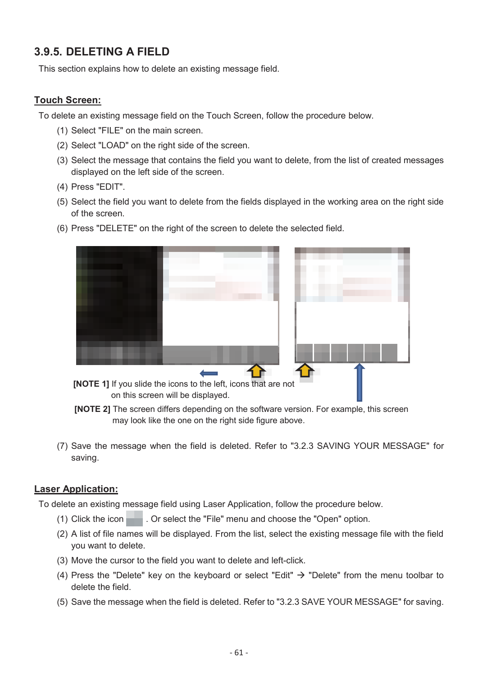# **3.9.5. DELETING A FIELD**

This section explains how to delete an existing message field.

### **Touch Screen:**

To delete an existing message field on the Touch Screen, follow the procedure below.

- (1) Select "FILE" on the main screen.
- (2) Select "LOAD" on the right side of the screen.
- (3) Select the message that contains the field you want to delete, from the list of created messages displayed on the left side of the screen.
- (4) Press "EDIT".
- (5) Select the field you want to delete from the fields displayed in the working area on the right side of the screen.
- (6) Press "DELETE" on the right of the screen to delete the selected field.



**[NOTE 1]** If you slide the icons to the left, icons that are not on this screen will be displayed.

- **[NOTE 2]** The screen differs depending on the software version. For example, this screen may look like the one on the right side figure above.
- (7) Save the message when the field is deleted. Refer to "3.2.3 SAVING YOUR MESSAGE" for saving.

#### **Laser Application:**

To delete an existing message field using Laser Application, follow the procedure below.

- (1) Click the icon  $\blacksquare$ . Or select the "File" menu and choose the "Open" option.
- (2) A list of file names will be displayed. From the list, select the existing message file with the field you want to delete.
- (3) Move the cursor to the field you want to delete and left-click.
- (4) Press the "Delete" key on the keyboard or select "Edit"  $\rightarrow$  "Delete" from the menu toolbar to delete the field.
- (5) Save the message when the field is deleted. Refer to "3.2.3 SAVE YOUR MESSAGE" for saving.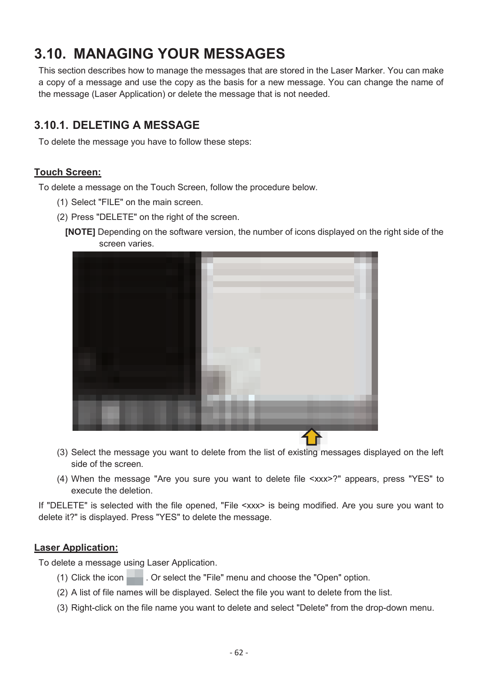# **3.10. MANAGING YOUR MESSAGES**

This section describes how to manage the messages that are stored in the Laser Marker. You can make a copy of a message and use the copy as the basis for a new message. You can change the name of the message (Laser Application) or delete the message that is not needed.

# **3.10.1. DELETING A MESSAGE**

To delete the message you have to follow these steps:

### **Touch Screen:**

To delete a message on the Touch Screen, follow the procedure below.

- (1) Select "FILE" on the main screen.
- (2) Press "DELETE" on the right of the screen.
	- **[NOTE]** Depending on the software version, the number of icons displayed on the right side of the screen varies.



- (3) Select the message you want to delete from the list of existing messages displayed on the left side of the screen.
- (4) When the message "Are you sure you want to delete file <xxx>?" appears, press "YES" to execute the deletion.

If "DELETE" is selected with the file opened, "File <xxx> is being modified. Are you sure you want to delete it?" is displayed. Press "YES" to delete the message.

### **Laser Application:**

To delete a message using Laser Application.

- (1) Click the icon  $\blacksquare$ . Or select the "File" menu and choose the "Open" option.
- (2) A list of file names will be displayed. Select the file you want to delete from the list.
- (3) Right-click on the file name you want to delete and select "Delete" from the drop-down menu.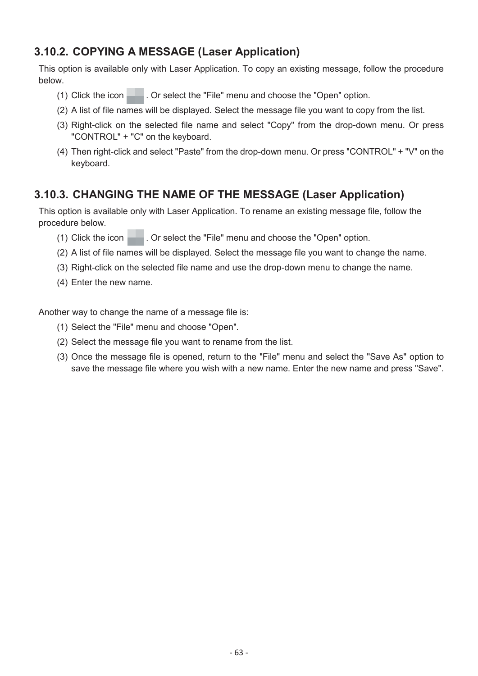# **3.10.2. COPYING A MESSAGE (Laser Application)**

This option is available only with Laser Application. To copy an existing message, follow the procedure below.

- (1) Click the icon  $\Box$  . Or select the "File" menu and choose the "Open" option.
- (2) A list of file names will be displayed. Select the message file you want to copy from the list.
- (3) Right-click on the selected file name and select "Copy" from the drop-down menu. Or press "CONTROL" + "C" on the keyboard.
- (4) Then right-click and select "Paste" from the drop-down menu. Or press "CONTROL" + "V" on the keyboard.

## **3.10.3. CHANGING THE NAME OF THE MESSAGE (Laser Application)**

This option is available only with Laser Application. To rename an existing message file, follow the procedure below.

- (1) Click the icon  $\blacksquare$ . Or select the "File" menu and choose the "Open" option.
- (2) A list of file names will be displayed. Select the message file you want to change the name.
- (3) Right-click on the selected file name and use the drop-down menu to change the name.
- (4) Enter the new name.

Another way to change the name of a message file is:

- (1) Select the "File" menu and choose "Open"*.*
- (2) Select the message file you want to rename from the list.
- (3) Once the message file is opened, return to the "File" menu and select the "Save As" option to save the message file where you wish with a new name. Enter the new name and press "Save".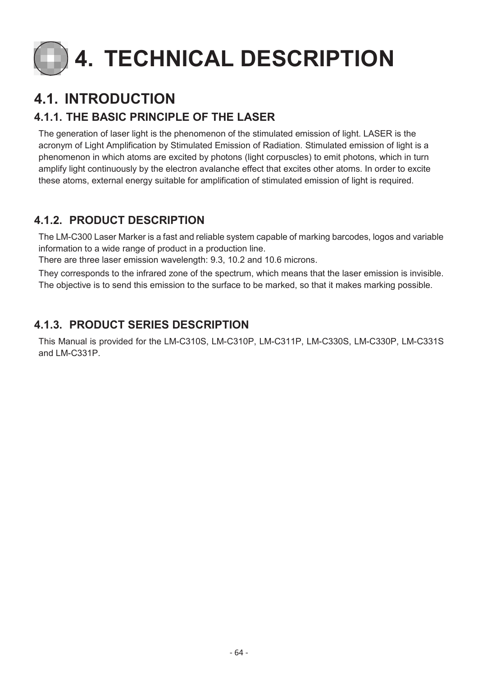

# **4.1. INTRODUCTION**

# **4.1.1. THE BASIC PRINCIPLE OF THE LASER**

The generation of laser light is the phenomenon of the stimulated emission of light. LASER is the acronym of Light Amplification by Stimulated Emission of Radiation. Stimulated emission of light is a phenomenon in which atoms are excited by photons (light corpuscles) to emit photons, which in turn amplify light continuously by the electron avalanche effect that excites other atoms. In order to excite these atoms, external energy suitable for amplification of stimulated emission of light is required.

# **4.1.2. PRODUCT DESCRIPTION**

The LM-C300 Laser Marker is a fast and reliable system capable of marking barcodes, logos and variable information to a wide range of product in a production line.

There are three laser emission wavelength: 9.3, 10.2 and 10.6 microns.

They corresponds to the infrared zone of the spectrum, which means that the laser emission is invisible. The objective is to send this emission to the surface to be marked, so that it makes marking possible.

# **4.1.3. PRODUCT SERIES DESCRIPTION**

This Manual is provided for the LM-C310S, LM-C310P, LM-C311P, LM-C330S, LM-C330P, LM-C331S and LM-C331P.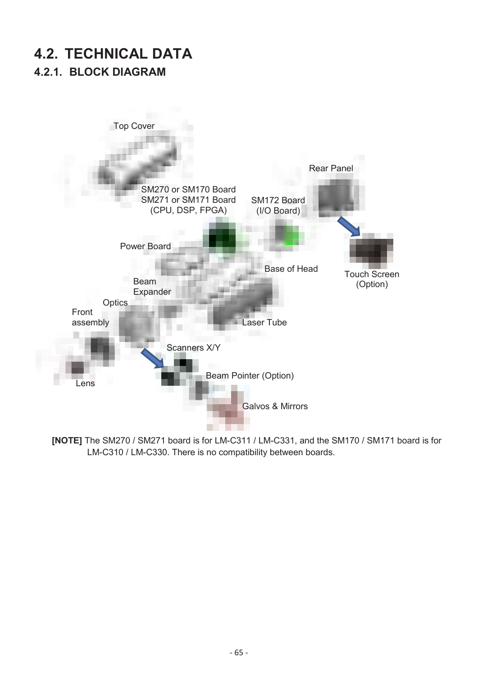# **4.2. TECHNICAL DATA 4.2.1. BLOCK DIAGRAM**



**[NOTE]** The SM270 / SM271 board is for LM-C311 / LM-C331, and the SM170 / SM171 board is for LM-C310 / LM-C330. There is no compatibility between boards.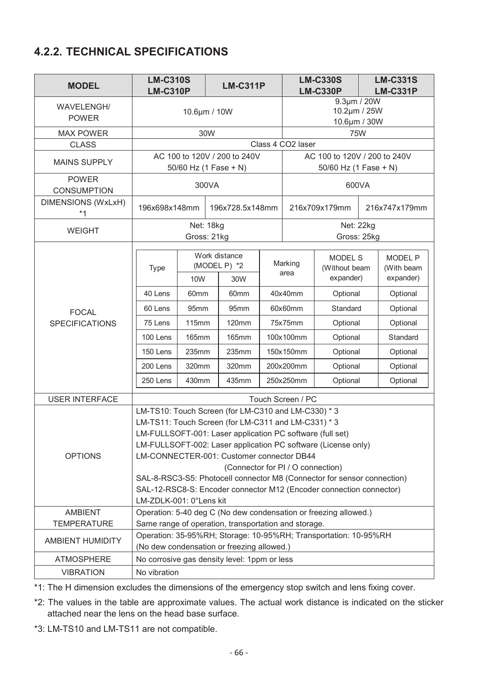# **4.2.2. TECHNICAL SPECIFICATIONS**

| <b>MODEL</b>                       | <b>LM-C310S</b><br><b>LM-C310P</b>                                                                                                                                                                           |                                             |       | <b>LM-C311P</b>                                       |           | <b>LM-C330S</b><br><b>LM-C330P</b>          |                                                                  | <b>LM-C331S</b><br><b>LM-C331P</b> |                                           |
|------------------------------------|--------------------------------------------------------------------------------------------------------------------------------------------------------------------------------------------------------------|---------------------------------------------|-------|-------------------------------------------------------|-----------|---------------------------------------------|------------------------------------------------------------------|------------------------------------|-------------------------------------------|
| <b>WAVELENGH/</b><br><b>POWER</b>  | 10.6µm / 10W                                                                                                                                                                                                 |                                             |       |                                                       |           | 9.3µm / 20W<br>10.2µm / 25W<br>10.6µm / 30W |                                                                  |                                    |                                           |
| <b>MAX POWER</b>                   |                                                                                                                                                                                                              |                                             | 30W   |                                                       |           |                                             | <b>75W</b>                                                       |                                    |                                           |
| <b>CLASS</b>                       |                                                                                                                                                                                                              |                                             |       |                                                       |           | Class 4 CO2 laser                           |                                                                  |                                    |                                           |
| <b>MAINS SUPPLY</b>                |                                                                                                                                                                                                              |                                             |       | AC 100 to 120V / 200 to 240V<br>50/60 Hz (1 Fase + N) |           |                                             | AC 100 to 120V / 200 to 240V<br>50/60 Hz (1 Fase + N)            |                                    |                                           |
| <b>POWER</b><br><b>CONSUMPTION</b> |                                                                                                                                                                                                              |                                             | 300VA |                                                       |           |                                             | 600VA                                                            |                                    |                                           |
| <b>DIMENSIONS (WxLxH)</b><br>$*1$  | 196x698x148mm                                                                                                                                                                                                |                                             |       | 196x728.5x148mm                                       |           |                                             | 216x709x179mm                                                    |                                    | 216x747x179mm                             |
| <b>WEIGHT</b>                      |                                                                                                                                                                                                              | Net: 18kg<br>Gross: 21kg                    |       |                                                       |           |                                             | Net: 22kg<br>Gross: 25kg                                         |                                    |                                           |
|                                    | <b>Type</b>                                                                                                                                                                                                  | Work distance<br>(MODEL P) *2<br>10W<br>30W |       |                                                       |           | Marking<br>area                             | <b>MODEL S</b><br>(Without beam<br>expander)                     |                                    | <b>MODEL P</b><br>(With beam<br>expander) |
| <b>FOCAL</b>                       | 40 Lens                                                                                                                                                                                                      | 60mm                                        |       | 60mm                                                  |           | 40x40mm                                     | Optional                                                         |                                    | Optional                                  |
|                                    | 60 Lens                                                                                                                                                                                                      | 95mm                                        |       | 95mm                                                  |           | 60x60mm                                     | Standard                                                         |                                    | Optional                                  |
| <b>SPECIFICATIONS</b>              | 75 Lens                                                                                                                                                                                                      | <b>115mm</b>                                |       | <b>120mm</b>                                          |           | 75x75mm                                     | Optional                                                         |                                    | Optional                                  |
|                                    | 100 Lens                                                                                                                                                                                                     | <b>165mm</b>                                |       | <b>165mm</b>                                          |           | 100x100mm                                   | Optional                                                         |                                    | Standard                                  |
|                                    | 150 Lens                                                                                                                                                                                                     | 235mm                                       |       | 235mm                                                 |           | 150x150mm                                   | Optional                                                         |                                    | Optional                                  |
|                                    | 200 Lens                                                                                                                                                                                                     | 320mm                                       |       | 320mm                                                 |           | 200x200mm                                   | Optional                                                         |                                    | Optional                                  |
|                                    | 250 Lens                                                                                                                                                                                                     | 430mm                                       |       | 435mm                                                 | 250x250mm |                                             | Optional                                                         |                                    | Optional                                  |
| <b>USER INTERFACE</b>              |                                                                                                                                                                                                              |                                             |       |                                                       |           | Touch Screen / PC                           |                                                                  |                                    |                                           |
|                                    | LM-TS10: Touch Screen (for LM-C310 and LM-C330) * 3                                                                                                                                                          |                                             |       | LM-TS11: Touch Screen (for LM-C311 and LM-C331) * 3   |           |                                             |                                                                  |                                    |                                           |
| <b>OPTIONS</b>                     | LM-FULLSOFT-001: Laser application PC software (full set)<br>LM-FULLSOFT-002: Laser application PC software (License only)<br>LM-CONNECTER-001: Customer connector DB44<br>(Connector for PI / O connection) |                                             |       |                                                       |           |                                             |                                                                  |                                    |                                           |
|                                    | SAL-8-RSC3-S5: Photocell connector M8 (Connector for sensor connection)<br>SAL-12-RSC8-S: Encoder connector M12 (Encoder connection connector)<br>LM-ZDLK-001: 0°Lens kit                                    |                                             |       |                                                       |           |                                             |                                                                  |                                    |                                           |
| <b>AMBIENT</b>                     | Operation: 5-40 deg C (No dew condensation or freezing allowed.)                                                                                                                                             |                                             |       |                                                       |           |                                             |                                                                  |                                    |                                           |
| <b>TEMPERATURE</b>                 | Same range of operation, transportation and storage.                                                                                                                                                         |                                             |       |                                                       |           |                                             |                                                                  |                                    |                                           |
| <b>AMBIENT HUMIDITY</b>            |                                                                                                                                                                                                              |                                             |       | (No dew condensation or freezing allowed.)            |           |                                             | Operation: 35-95%RH; Storage: 10-95%RH; Transportation: 10-95%RH |                                    |                                           |
| <b>ATMOSPHERE</b>                  | No corrosive gas density level: 1ppm or less                                                                                                                                                                 |                                             |       |                                                       |           |                                             |                                                                  |                                    |                                           |
| <b>VIBRATION</b>                   | No vibration                                                                                                                                                                                                 |                                             |       |                                                       |           |                                             |                                                                  |                                    |                                           |

\*1: The H dimension excludes the dimensions of the emergency stop switch and lens fixing cover.

\*2: The values in the table are approximate values. The actual work distance is indicated on the sticker attached near the lens on the head base surface.

\*3: LM-TS10 and LM-TS11 are not compatible.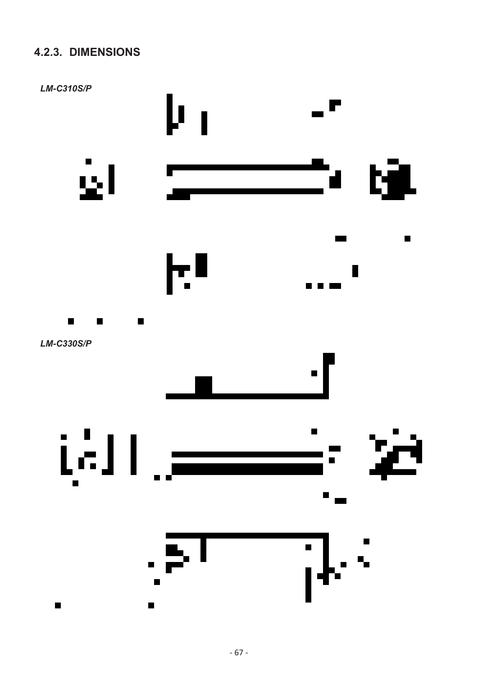# **4.2.3. DIMENSIONS**

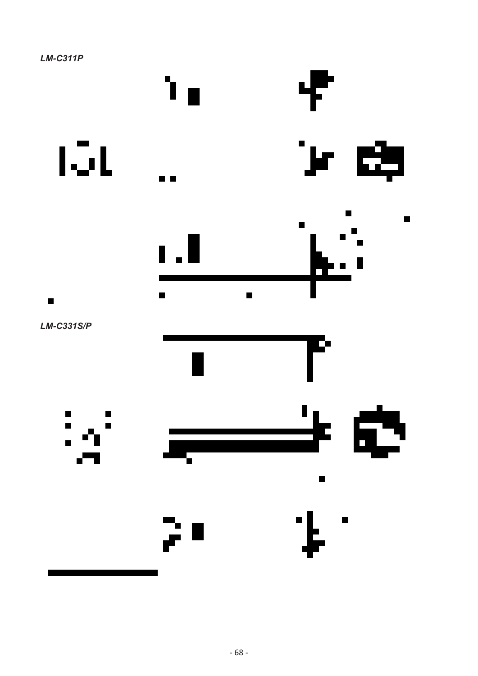

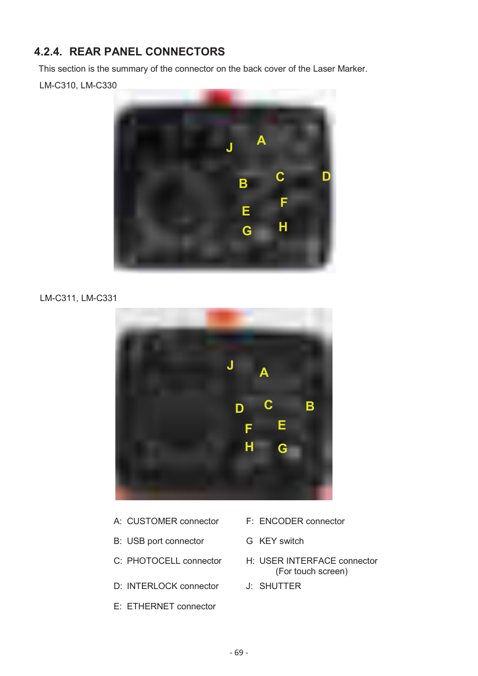# **4.2.4. REAR PANEL CONNECTORS**

This section is the summary of the connector on the back cover of the Laser Marker.

LM-C310, LM-C330



#### LM-C311, LM-C331



- A: CUSTOMER connector F: ENCODER connector
- B: USB port connector G KEY switch
- 
- D: INTERLOCK connector J: SHUTTER
- E: ETHERNET connector
- 
- 
- C: PHOTOCELL connector H: USER INTERFACE connector (For touch screen)
	-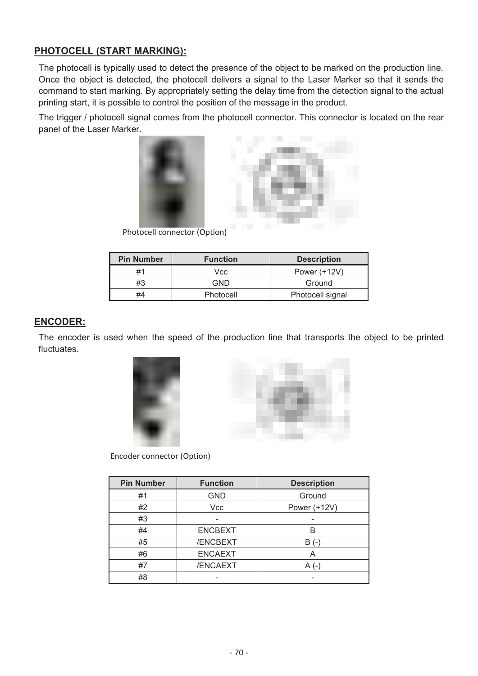### **PHOTOCELL (START MARKING):**

The photocell is typically used to detect the presence of the object to be marked on the production line. Once the object is detected, the photocell delivers a signal to the Laser Marker so that it sends the command to start marking. By appropriately setting the delay time from the detection signal to the actual printing start, it is possible to control the position of the message in the product.

The trigger / photocell signal comes from the photocell connector. This connector is located on the rear panel of the Laser Marker.



Photocell connector (Option)

| <b>Pin Number</b> | <b>Function</b> | <b>Description</b> |
|-------------------|-----------------|--------------------|
| #1                | Vcc             | Power (+12V)       |
| #3                | GND             | Ground             |
| #4                | Photocell       | Photocell signal   |

#### **ENCODER:**

The encoder is used when the speed of the production line that transports the object to be printed fluctuates.





Encoder connector (Option)

| <b>Pin Number</b> | <b>Function</b> | <b>Description</b> |
|-------------------|-----------------|--------------------|
| #1                | <b>GND</b>      | Ground             |
| #2                | Vcc             | Power (+12V)       |
| #3                |                 |                    |
| #4                | <b>ENCBEXT</b>  | B                  |
| #5                | /ENCBEXT        |                    |
| #6                | <b>ENCAEXT</b>  | А                  |
| #7                | /ENCAEXT        |                    |
| #8                |                 |                    |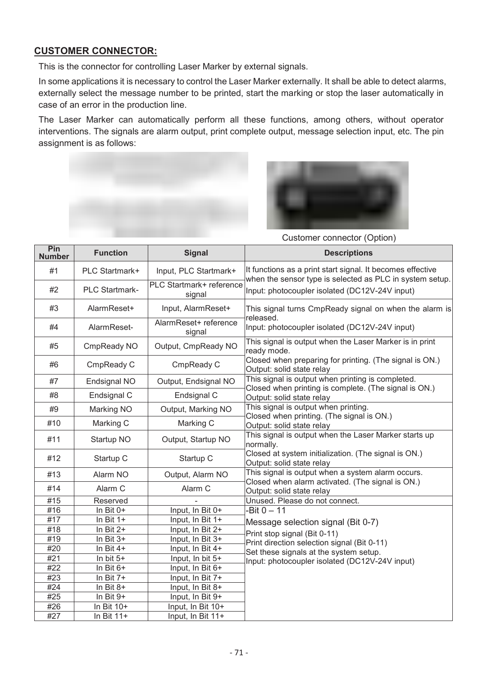### **CUSTOMER CONNECTOR:**

This is the connector for controlling Laser Marker by external signals.

In some applications it is necessary to control the Laser Marker externally. It shall be able to detect alarms, externally select the message number to be printed, start the marking or stop the laser automatically in case of an error in the production line.

The Laser Marker can automatically perform all these functions, among others, without operator interventions. The signals are alarm output, print complete output, message selection input, etc. The pin assignment is as follows:



Customer connector (Option)

| Pin<br><b>Number</b> | <b>Function</b> | <b>Signal</b>                      | <b>Descriptions</b>                                                                                                                                            |  |  |  |
|----------------------|-----------------|------------------------------------|----------------------------------------------------------------------------------------------------------------------------------------------------------------|--|--|--|
| #1                   | PLC Startmark+  | Input, PLC Startmark+              | It functions as a print start signal. It becomes effective<br>when the sensor type is selected as PLC in system setup.                                         |  |  |  |
| #2                   | PLC Startmark-  | PLC Startmark+ reference<br>signal | Input: photocoupler isolated (DC12V-24V input)                                                                                                                 |  |  |  |
| #3                   | AlarmReset+     | Input, AlarmReset+                 | This signal turns CmpReady signal on when the alarm is<br>released.                                                                                            |  |  |  |
| #4                   | AlarmReset-     | AlarmReset+ reference<br>signal    | Input: photocoupler isolated (DC12V-24V input)                                                                                                                 |  |  |  |
| #5                   | CmpReady NO     | Output, CmpReady NO                | This signal is output when the Laser Marker is in print<br>ready mode.<br>Closed when preparing for printing. (The signal is ON.)<br>Output: solid state relay |  |  |  |
| #6                   | CmpReady C      | CmpReady C                         |                                                                                                                                                                |  |  |  |
| #7                   | Endsignal NO    | Output, Endsignal NO               | This signal is output when printing is completed.<br>Closed when printing is complete. (The signal is ON.)                                                     |  |  |  |
| #8                   | Endsignal C     | Endsignal C                        | Output: solid state relay                                                                                                                                      |  |  |  |
| #9                   | Marking NO      | Output, Marking NO                 | This signal is output when printing.                                                                                                                           |  |  |  |
| #10                  | Marking C       | Marking C                          | Closed when printing. (The signal is ON.)<br>Output: solid state relay                                                                                         |  |  |  |
| #11                  | Startup NO      | Output, Startup NO                 | This signal is output when the Laser Marker starts up<br>normally.                                                                                             |  |  |  |
| #12                  | Startup C       | Startup C                          | Closed at system initialization. (The signal is ON.)<br>Output: solid state relay                                                                              |  |  |  |
| #13                  | Alarm NO        | Output, Alarm NO                   | This signal is output when a system alarm occurs.<br>Closed when alarm activated. (The signal is ON.)<br>Output: solid state relay                             |  |  |  |
| #14                  | Alarm C         | Alarm C                            |                                                                                                                                                                |  |  |  |
| #15                  | Reserved        |                                    | Unused. Please do not connect.                                                                                                                                 |  |  |  |
| #16                  | In Bit $0+$     | Input, In Bit 0+                   | $-Bit 0 - 11$                                                                                                                                                  |  |  |  |
| #17                  | In Bit $1+$     | Input, In Bit 1+                   | Message selection signal (Bit 0-7)                                                                                                                             |  |  |  |
| #18                  | In Bit $2+$     | Input, In Bit 2+                   | Print stop signal (Bit 0-11)                                                                                                                                   |  |  |  |
| #19                  | In Bit $3+$     | Input, In Bit 3+                   | Print direction selection signal (Bit 0-11)                                                                                                                    |  |  |  |
| #20                  | In Bit $4+$     | Input, In Bit 4+                   | Set these signals at the system setup.                                                                                                                         |  |  |  |
| #21                  | In bit 5+       | Input, In bit 5+                   | Input: photocoupler isolated (DC12V-24V input)                                                                                                                 |  |  |  |
| #22                  | In Bit $6+$     | Input, In Bit 6+                   |                                                                                                                                                                |  |  |  |
| #23                  | In Bit $7+$     | Input, In Bit 7+                   |                                                                                                                                                                |  |  |  |
| #24                  | In Bit $8+$     | Input, In Bit 8+                   |                                                                                                                                                                |  |  |  |
| #25                  | In Bit 9+       | Input, In Bit 9+                   |                                                                                                                                                                |  |  |  |
| #26                  | In Bit 10+      | Input, In Bit 10+                  |                                                                                                                                                                |  |  |  |
| #27                  | In Bit $11+$    | Input, In Bit 11+                  |                                                                                                                                                                |  |  |  |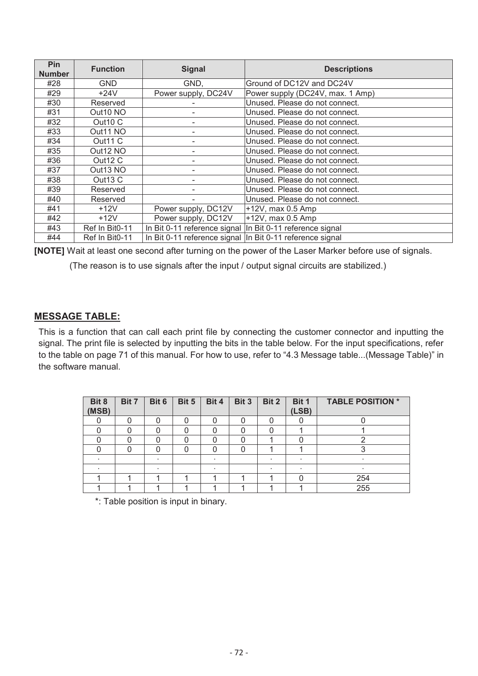| <b>Pin</b><br><b>Number</b> | <b>Function</b>     | <b>Signal</b>                                              | <b>Descriptions</b>              |  |  |
|-----------------------------|---------------------|------------------------------------------------------------|----------------------------------|--|--|
| #28                         | <b>GND</b>          | GND,                                                       | Ground of DC12V and DC24V        |  |  |
| #29                         | $+24V$              | Power supply, DC24V                                        | Power supply (DC24V, max. 1 Amp) |  |  |
| #30                         | Reserved            |                                                            | Unused. Please do not connect.   |  |  |
| #31                         | Out10 NO            |                                                            | Unused. Please do not connect.   |  |  |
| #32                         | Out <sub>10</sub> C |                                                            | Unused. Please do not connect.   |  |  |
| #33                         | Out11 NO            |                                                            | Unused. Please do not connect.   |  |  |
| #34                         | Out <sub>11</sub> C |                                                            | Unused. Please do not connect.   |  |  |
| #35                         | Out12 NO            |                                                            | Unused. Please do not connect.   |  |  |
| #36                         | Out12 C             |                                                            | Unused. Please do not connect.   |  |  |
| #37                         | Out13 NO            |                                                            | Unused. Please do not connect.   |  |  |
| #38                         | Out <sub>13</sub> C |                                                            | Unused. Please do not connect.   |  |  |
| #39                         | Reserved            |                                                            | Unused. Please do not connect.   |  |  |
| #40                         | Reserved            |                                                            | Unused. Please do not connect.   |  |  |
| #41                         | $+12V$              | Power supply, DC12V                                        | $+12V$ , max 0.5 Amp             |  |  |
| #42                         | $+12V$              | Power supply, DC12V                                        | +12V, max 0.5 Amp                |  |  |
| #43                         | Ref In Bit0-11      | In Bit 0-11 reference signal  In Bit 0-11 reference signal |                                  |  |  |
| #44                         | Ref In Bit0-11      | In Bit 0-11 reference signal In Bit 0-11 reference signal  |                                  |  |  |

**[NOTE]** Wait at least one second after turning on the power of the Laser Marker before use of signals.

(The reason is to use signals after the input / output signal circuits are stabilized.)

#### **MESSAGE TABLE:**

This is a function that can call each print file by connecting the customer connector and inputting the signal. The print file is selected by inputting the bits in the table below. For the input specifications, refer to the table on page 71 of this manual. For how to use, refer to "4.3 Message table...(Message Table)" in the software manual.

| Bit 8<br>(MSB) | Bit 7 | Bit 6 | Bit 5 | Bit 4 | Bit 3 | Bit 2 | Bit 1<br>(LSB) | <b>TABLE POSITION *</b> |
|----------------|-------|-------|-------|-------|-------|-------|----------------|-------------------------|
|                |       |       |       |       | ი     |       |                |                         |
|                | U     |       |       |       | 0     |       |                |                         |
|                |       |       |       |       |       |       |                |                         |
|                | Ω     |       |       |       | 0     |       |                |                         |
|                |       |       |       |       |       |       |                |                         |
|                |       |       |       |       |       |       |                |                         |
|                |       |       |       |       |       |       |                | 254                     |
|                |       |       |       |       |       |       |                | 255                     |

\*: Table position is input in binary.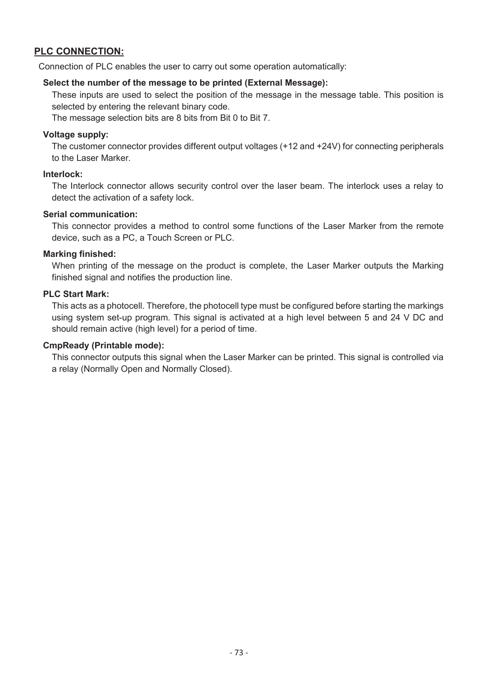### **PLC CONNECTION:**

Connection of PLC enables the user to carry out some operation automatically:

#### **Select the number of the message to be printed (External Message):**

These inputs are used to select the position of the message in the message table. This position is selected by entering the relevant binary code.

The message selection bits are 8 bits from Bit 0 to Bit 7.

### **Voltage supply:**

The customer connector provides different output voltages (+12 and +24V) for connecting peripherals to the Laser Marker.

### **Interlock:**

The Interlock connector allows security control over the laser beam. The interlock uses a relay to detect the activation of a safety lock.

### **Serial communication:**

This connector provides a method to control some functions of the Laser Marker from the remote device, such as a PC, a Touch Screen or PLC.

### **Marking finished:**

When printing of the message on the product is complete, the Laser Marker outputs the Marking finished signal and notifies the production line.

### **PLC Start Mark:**

This acts as a photocell. Therefore, the photocell type must be configured before starting the markings using system set-up program. This signal is activated at a high level between 5 and 24 V DC and should remain active (high level) for a period of time.

#### **CmpReady (Printable mode):**

This connector outputs this signal when the Laser Marker can be printed. This signal is controlled via a relay (Normally Open and Normally Closed).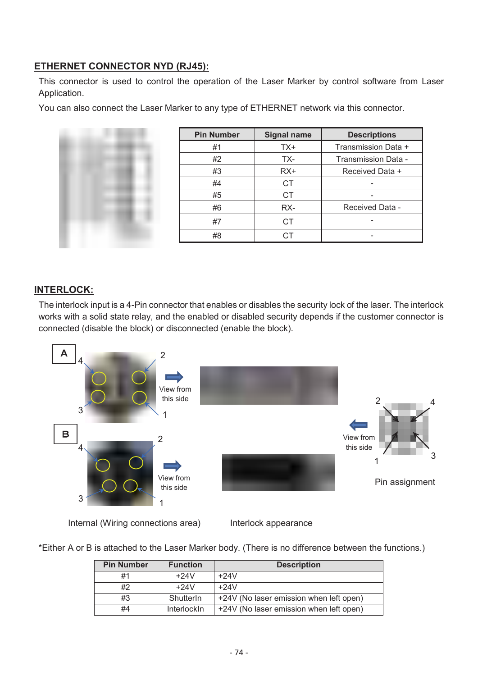### **ETHERNET CONNECTOR NYD (RJ45):**

This connector is used to control the operation of the Laser Marker by control software from Laser Application.

You can also connect the Laser Marker to any type of ETHERNET network via this connector.

| <b>Pin Number</b> | <b>Signal name</b> | <b>Descriptions</b> |
|-------------------|--------------------|---------------------|
| #1                | TX+                | Transmission Data + |
| #2                | TX-                | Transmission Data - |
| #3                | $RX+$              | Received Data +     |
| #4                | CT.                |                     |
| #5                | CT.                |                     |
| #6                | RX-                | Received Data -     |
| #7                | СT                 |                     |
| #8                |                    |                     |

### **INTERLOCK:**

The interlock input is a 4-Pin connector that enables or disables the security lock of the laser. The interlock works with a solid state relay, and the enabled or disabled security depends if the customer connector is connected (disable the block) or disconnected (enable the block).



Internal (Wiring connections area)

Interlock appearance

\*Either A or B is attached to the Laser Marker body. (There is no difference between the functions.)

| <b>Pin Number</b> | <b>Function</b> | <b>Description</b>                      |
|-------------------|-----------------|-----------------------------------------|
| #1                | $+24V$          | $+24V$                                  |
| #2                | $+24V$          | $+24V$                                  |
| #3                | Shutterln       | +24V (No laser emission when left open) |
| #4                | InterlockIn     | +24V (No laser emission when left open) |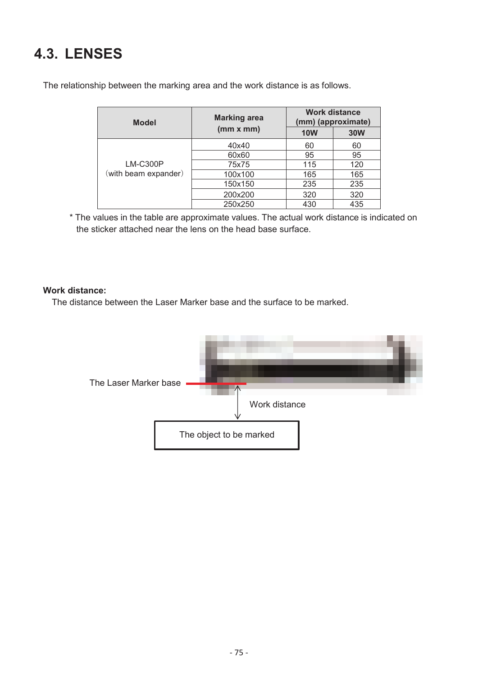# **4.3. LENSES**

The relationship between the marking area and the work distance is as follows.

| <b>Model</b>         | <b>Marking area</b><br>(mm x mm) | <b>Work distance</b><br>(mm) (approximate) |            |
|----------------------|----------------------------------|--------------------------------------------|------------|
|                      |                                  | <b>10W</b>                                 | <b>30W</b> |
|                      | 40x40                            | 60                                         | 60         |
| LM-C300P             | 60x60                            | 95                                         | 95         |
|                      | 75x75                            | 115                                        | 120        |
| (with beam expander) | 100x100                          | 165                                        | 165        |
|                      | 150x150                          | 235                                        | 235        |
|                      | 200x200                          | 320                                        | 320        |
|                      | 250x250                          | 430                                        | 435        |

\* The values in the table are approximate values. The actual work distance is indicated on the sticker attached near the lens on the head base surface.

### **Work distance:**

The distance between the Laser Marker base and the surface to be marked.

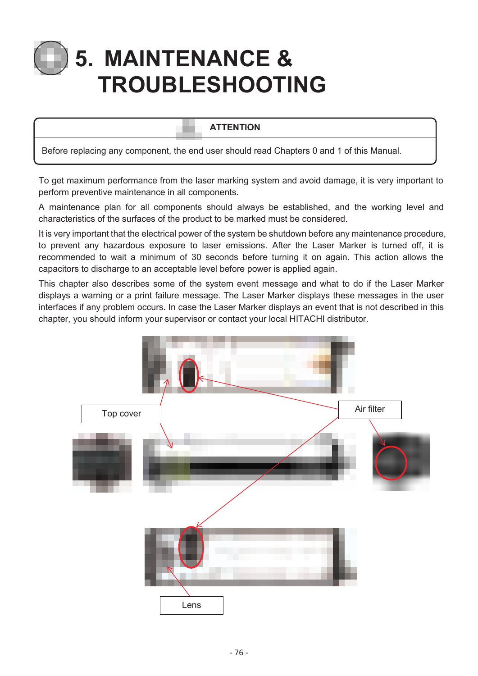# **5. MAINTENANCE & TROUBLESHOOTING**

### **ATTENTION**

Before replacing any component, the end user should read Chapters 0 and 1 of this Manual.

To get maximum performance from the laser marking system and avoid damage, it is very important to perform preventive maintenance in all components.

A maintenance plan for all components should always be established, and the working level and characteristics of the surfaces of the product to be marked must be considered.

It is very important that the electrical power of the system be shutdown before any maintenance procedure, to prevent any hazardous exposure to laser emissions. After the Laser Marker is turned off, it is recommended to wait a minimum of 30 seconds before turning it on again. This action allows the capacitors to discharge to an acceptable level before power is applied again.

This chapter also describes some of the system event message and what to do if the Laser Marker displays a warning or a print failure message. The Laser Marker displays these messages in the user interfaces if any problem occurs. In case the Laser Marker displays an event that is not described in this chapter, you should inform your supervisor or contact your local HITACHI distributor.

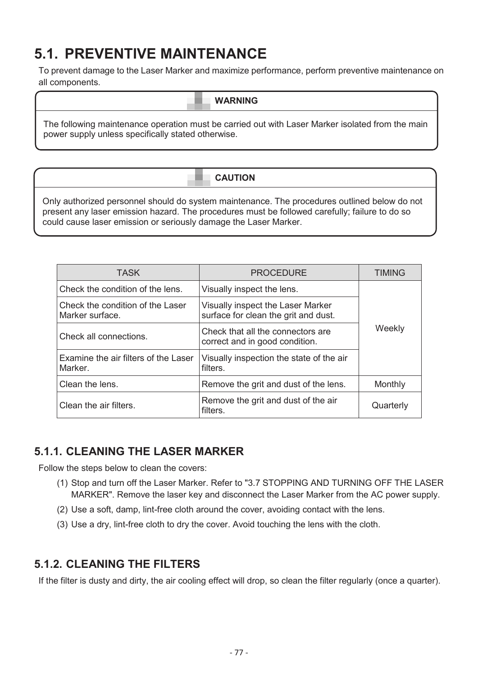# **5.1. PREVENTIVE MAINTENANCE**

To prevent damage to the Laser Marker and maximize performance, perform preventive maintenance on all components.

The following maintenance operation must be carried out with Laser Marker isolated from the main power supply unless specifically stated otherwise.

**CAUTION** 

Only authorized personnel should do system maintenance. The procedures outlined below do not present any laser emission hazard. The procedures must be followed carefully; failure to do so could cause laser emission or seriously damage the Laser Marker.

| <b>TASK</b>                                         | <b>PROCEDURE</b>                                                          | <b>TIMING</b> |  |
|-----------------------------------------------------|---------------------------------------------------------------------------|---------------|--|
| Check the condition of the lens.                    | Visually inspect the lens.                                                |               |  |
| Check the condition of the Laser<br>Marker surface. | Visually inspect the Laser Marker<br>surface for clean the grit and dust. | Weekly        |  |
| Check all connections.                              | Check that all the connectors are<br>correct and in good condition.       |               |  |
| Examine the air filters of the Laser<br>Marker.     | Visually inspection the state of the air<br>filters.                      |               |  |
| Clean the lens.                                     | Remove the grit and dust of the lens.                                     | Monthly       |  |
| Clean the air filters.                              | Remove the grit and dust of the air<br>filters.                           | Quarterly     |  |

### **5.1.1. CLEANING THE LASER MARKER**

Follow the steps below to clean the covers:

- (1) Stop and turn off the Laser Marker. Refer to "3.7 STOPPING AND TURNING OFF THE LASER MARKER". Remove the laser key and disconnect the Laser Marker from the AC power supply.
- (2) Use a soft, damp, lint-free cloth around the cover, avoiding contact with the lens.
- (3) Use a dry, lint-free cloth to dry the cover. Avoid touching the lens with the cloth.

### **5.1.2. CLEANING THE FILTERS**

If the filter is dusty and dirty, the air cooling effect will drop, so clean the filter regularly (once a quarter).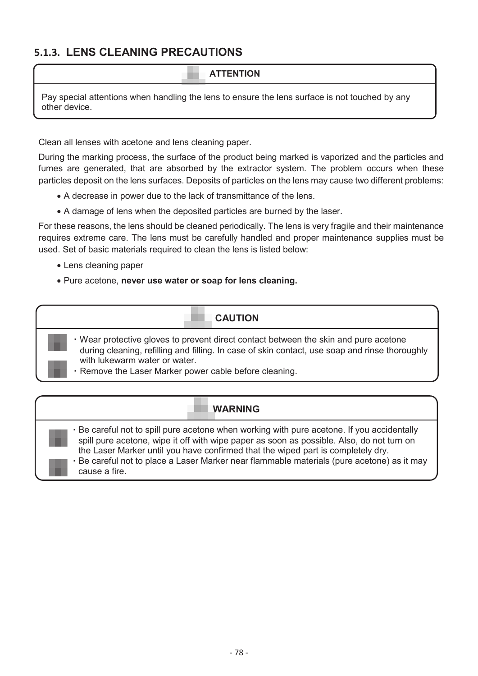### **5.1.3. LENS CLEANING PRECAUTIONS**

### **ATTENTION**

Pay special attentions when handling the lens to ensure the lens surface is not touched by any other device.

Clean all lenses with acetone and lens cleaning paper.

During the marking process, the surface of the product being marked is vaporized and the particles and fumes are generated, that are absorbed by the extractor system. The problem occurs when these particles deposit on the lens surfaces. Deposits of particles on the lens may cause two different problems:

- A decrease in power due to the lack of transmittance of the lens.
- A damage of lens when the deposited particles are burned by the laser.

For these reasons, the lens should be cleaned periodically. The lens is very fragile and their maintenance requires extreme care. The lens must be carefully handled and proper maintenance supplies must be used. Set of basic materials required to clean the lens is listed below:

- Lens cleaning paper
- Pure acetone, **never use water or soap for lens cleaning.**

### **CAUTION**

- ・Wear protective gloves to prevent direct contact between the skin and pure acetone during cleaning, refilling and filling. In case of skin contact, use soap and rinse thoroughly with lukewarm water or water.
- ・Remove the Laser Marker power cable before cleaning.

### **WARNING**

Be careful not to spill pure acetone when working with pure acetone. If you accidentally spill pure acetone, wipe it off with wipe paper as soon as possible. Also, do not turn on the Laser Marker until you have confirmed that the wiped part is completely dry. Be careful not to place a Laser Marker near flammable materials (pure acetone) as it may cause a fire.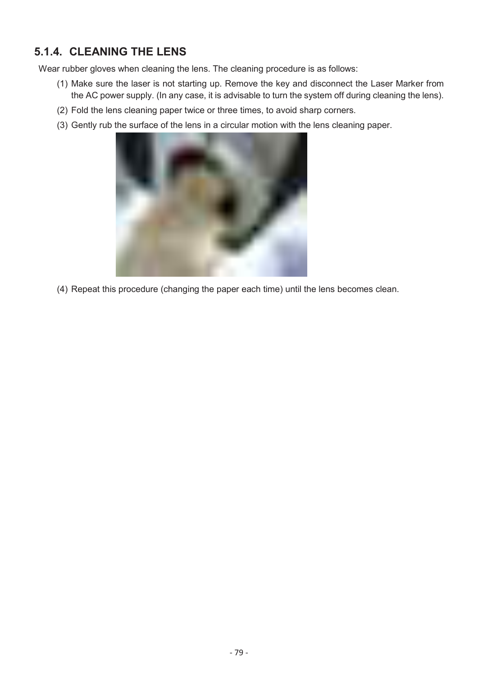# **5.1.4. CLEANING THE LENS**

Wear rubber gloves when cleaning the lens. The cleaning procedure is as follows:

- (1) Make sure the laser is not starting up. Remove the key and disconnect the Laser Marker from the AC power supply. (In any case, it is advisable to turn the system off during cleaning the lens).
- (2) Fold the lens cleaning paper twice or three times, to avoid sharp corners.
- (3) Gently rub the surface of the lens in a circular motion with the lens cleaning paper.



(4) Repeat this procedure (changing the paper each time) until the lens becomes clean.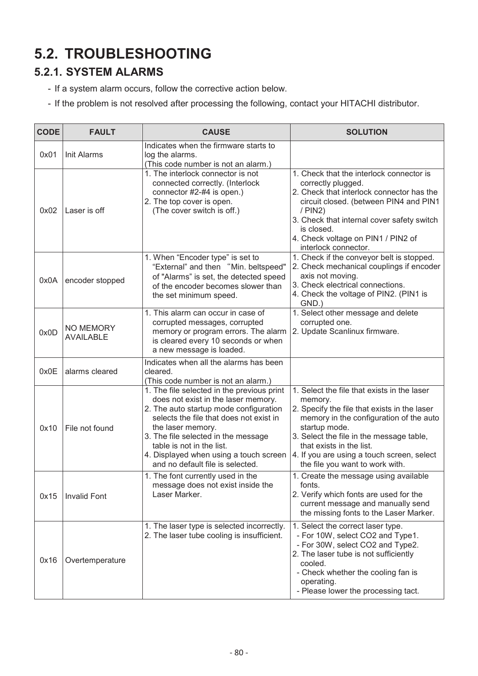# **5.2. TROUBLESHOOTING**

# **5.2.1. SYSTEM ALARMS**

- If a system alarm occurs, follow the corrective action below.
- If the problem is not resolved after processing the following, contact your HITACHI distributor.

| <b>CODE</b> | <b>FAULT</b>                  | <b>CAUSE</b>                                                                                                                                                                                                                                                                                                                                  | <b>SOLUTION</b>                                                                                                                                                                                                                                                                                                             |
|-------------|-------------------------------|-----------------------------------------------------------------------------------------------------------------------------------------------------------------------------------------------------------------------------------------------------------------------------------------------------------------------------------------------|-----------------------------------------------------------------------------------------------------------------------------------------------------------------------------------------------------------------------------------------------------------------------------------------------------------------------------|
| 0x01        | <b>Init Alarms</b>            | Indicates when the firmware starts to<br>log the alarms.<br>(This code number is not an alarm.)                                                                                                                                                                                                                                               |                                                                                                                                                                                                                                                                                                                             |
| 0x02        | Laser is off                  | 1. The interlock connector is not<br>connected correctly. (Interlock<br>connector #2-#4 is open.)<br>2. The top cover is open.<br>(The cover switch is off.)                                                                                                                                                                                  | 1. Check that the interlock connector is<br>correctly plugged.<br>2. Check that interlock connector has the<br>circuit closed. (between PIN4 and PIN1<br>$/$ PIN2)<br>3. Check that internal cover safety switch<br>is closed.<br>4. Check voltage on PIN1 / PIN2 of<br>interlock connector.                                |
| 0x0A        | encoder stopped               | 1. When "Encoder type" is set to<br>"External" and then "Min. beltspeed"<br>of "Alarms" is set, the detected speed<br>of the encoder becomes slower than<br>the set minimum speed.                                                                                                                                                            | 1. Check if the conveyor belt is stopped.<br>2. Check mechanical couplings if encoder<br>axis not moving.<br>3. Check electrical connections.<br>4. Check the voltage of PIN2. (PIN1 is<br>GND.)                                                                                                                            |
| 0x0D        | NO MEMORY<br><b>AVAILABLE</b> | 1. This alarm can occur in case of<br>corrupted messages, corrupted<br>memory or program errors. The alarm<br>is cleared every 10 seconds or when<br>a new message is loaded.                                                                                                                                                                 | 1. Select other message and delete<br>corrupted one.<br>2. Update Scanlinux firmware.                                                                                                                                                                                                                                       |
| 0x0E        | alarms cleared                | Indicates when all the alarms has been<br>cleared.<br>(This code number is not an alarm.)                                                                                                                                                                                                                                                     |                                                                                                                                                                                                                                                                                                                             |
| 0x10        | File not found                | 1. The file selected in the previous print<br>does not exist in the laser memory.<br>2. The auto startup mode configuration<br>selects the file that does not exist in<br>the laser memory.<br>3. The file selected in the message<br>table is not in the list.<br>4. Displayed when using a touch screen<br>and no default file is selected. | 1. Select the file that exists in the laser<br>memory.<br>2. Specify the file that exists in the laser<br>memory in the configuration of the auto<br>startup mode.<br>3. Select the file in the message table,<br>that exists in the list.<br>4. If you are using a touch screen, select<br>the file you want to work with. |
| 0x15        | <b>Invalid Font</b>           | 1. The font currently used in the<br>message does not exist inside the<br>Laser Marker.                                                                                                                                                                                                                                                       | 1. Create the message using available<br>fonts.<br>2. Verify which fonts are used for the<br>current message and manually send<br>the missing fonts to the Laser Marker.                                                                                                                                                    |
| 0x16        | Overtemperature               | 1. The laser type is selected incorrectly.<br>2. The laser tube cooling is insufficient.                                                                                                                                                                                                                                                      | 1. Select the correct laser type.<br>- For 10W, select CO2 and Type1.<br>- For 30W, select CO2 and Type2.<br>2. The laser tube is not sufficiently<br>cooled.<br>- Check whether the cooling fan is<br>operating.<br>- Please lower the processing tact.                                                                    |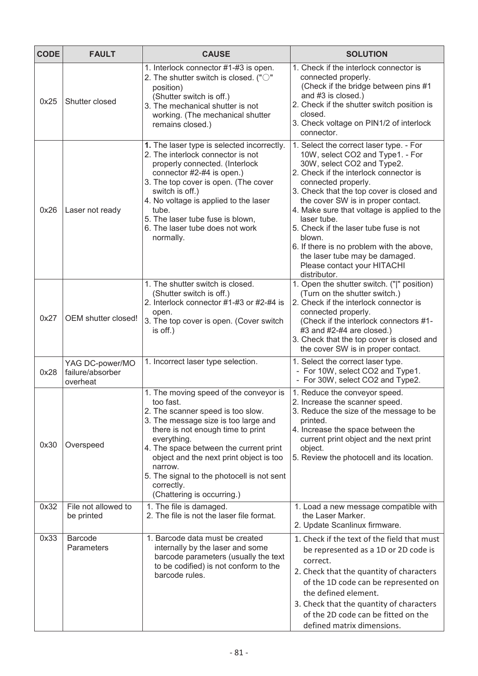| <b>CODE</b> | <b>FAULT</b>                                    | <b>CAUSE</b>                                                                                                                                                                                                                                                                                                                                                                   | <b>SOLUTION</b>                                                                                                                                                                                                                                                                                                                                                                                                                                                                                               |
|-------------|-------------------------------------------------|--------------------------------------------------------------------------------------------------------------------------------------------------------------------------------------------------------------------------------------------------------------------------------------------------------------------------------------------------------------------------------|---------------------------------------------------------------------------------------------------------------------------------------------------------------------------------------------------------------------------------------------------------------------------------------------------------------------------------------------------------------------------------------------------------------------------------------------------------------------------------------------------------------|
| 0x25        | Shutter closed                                  | 1. Interlock connector #1-#3 is open.<br>2. The shutter switch is closed. (" $\bigcirc$ "<br>position)<br>(Shutter switch is off.)<br>3. The mechanical shutter is not<br>working. (The mechanical shutter<br>remains closed.)                                                                                                                                                 | 1. Check if the interlock connector is<br>connected properly.<br>(Check if the bridge between pins #1<br>and #3 is closed.)<br>2. Check if the shutter switch position is<br>closed.<br>3. Check voltage on PIN1/2 of interlock<br>connector.                                                                                                                                                                                                                                                                 |
| 0x26        | Laser not ready                                 | 1. The laser type is selected incorrectly.<br>2. The interlock connector is not<br>properly connected. (Interlock<br>connector #2-#4 is open.)<br>3. The top cover is open. (The cover<br>switch is off.)<br>4. No voltage is applied to the laser<br>tube.<br>5. The laser tube fuse is blown,<br>6. The laser tube does not work<br>normally.                                | 1. Select the correct laser type. - For<br>10W, select CO2 and Type1. - For<br>30W, select CO2 and Type2.<br>2. Check if the interlock connector is<br>connected properly.<br>3. Check that the top cover is closed and<br>the cover SW is in proper contact.<br>4. Make sure that voltage is applied to the<br>laser tube.<br>5. Check if the laser tube fuse is not<br>blown.<br>6. If there is no problem with the above,<br>the laser tube may be damaged.<br>Please contact your HITACHI<br>distributor. |
| 0x27        | OEM shutter closed!                             | 1. The shutter switch is closed.<br>(Shutter switch is off.)<br>2. Interlock connector #1-#3 or #2-#4 is<br>open.<br>3. The top cover is open. (Cover switch<br>is off.)                                                                                                                                                                                                       | 1. Open the shutter switch. (" " position)<br>(Turn on the shutter switch.)<br>2. Check if the interlock connector is<br>connected properly.<br>(Check if the interlock connectors #1-<br>$#3$ and $#2-#4$ are closed.)<br>3. Check that the top cover is closed and<br>the cover SW is in proper contact.                                                                                                                                                                                                    |
| 0x28        | YAG DC-power/MO<br>failure/absorber<br>overheat | 1. Incorrect laser type selection.                                                                                                                                                                                                                                                                                                                                             | 1. Select the correct laser type.<br>- For 10W, select CO2 and Type1.<br>- For 30W, select CO2 and Type2.                                                                                                                                                                                                                                                                                                                                                                                                     |
| 0x30        | Overspeed                                       | 1. The moving speed of the conveyor is<br>too fast.<br>2. The scanner speed is too slow.<br>3. The message size is too large and<br>there is not enough time to print<br>everything.<br>4. The space between the current print<br>object and the next print object is too<br>narrow.<br>5. The signal to the photocell is not sent<br>correctly.<br>(Chattering is occurring.) | 1. Reduce the conveyor speed.<br>2. Increase the scanner speed.<br>3. Reduce the size of the message to be<br>printed.<br>4. Increase the space between the<br>current print object and the next print<br>object.<br>5. Review the photocell and its location.                                                                                                                                                                                                                                                |
| 0x32        | File not allowed to<br>be printed               | 1. The file is damaged.<br>2. The file is not the laser file format.                                                                                                                                                                                                                                                                                                           | 1. Load a new message compatible with<br>the Laser Marker.<br>2. Update Scanlinux firmware.                                                                                                                                                                                                                                                                                                                                                                                                                   |
| 0x33        | <b>Barcode</b><br>Parameters                    | 1. Barcode data must be created<br>internally by the laser and some<br>barcode parameters (usually the text<br>to be codified) is not conform to the<br>barcode rules.                                                                                                                                                                                                         | 1. Check if the text of the field that must<br>be represented as a 1D or 2D code is<br>correct.<br>2. Check that the quantity of characters<br>of the 1D code can be represented on<br>the defined element.<br>3. Check that the quantity of characters<br>of the 2D code can be fitted on the<br>defined matrix dimensions.                                                                                                                                                                                  |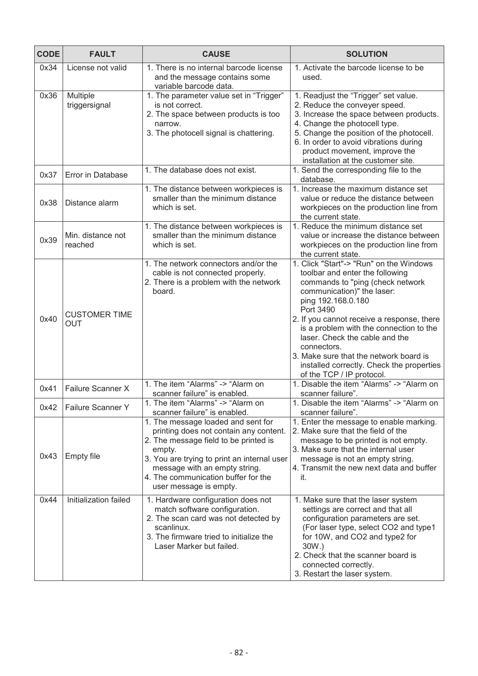| <b>CODE</b> | <b>FAULT</b>                       | <b>CAUSE</b>                                                                                                                                                                                                                                                                     | <b>SOLUTION</b>                                                                                                                                                                                                                                                                                                                                                                                                                               |
|-------------|------------------------------------|----------------------------------------------------------------------------------------------------------------------------------------------------------------------------------------------------------------------------------------------------------------------------------|-----------------------------------------------------------------------------------------------------------------------------------------------------------------------------------------------------------------------------------------------------------------------------------------------------------------------------------------------------------------------------------------------------------------------------------------------|
| 0x34        | License not valid                  | 1. There is no internal barcode license<br>and the message contains some<br>variable barcode data.                                                                                                                                                                               | 1. Activate the barcode license to be<br>used.                                                                                                                                                                                                                                                                                                                                                                                                |
| 0x36        | Multiple<br>triggersignal          | 1. The parameter value set in "Trigger"<br>is not correct.<br>2. The space between products is too<br>narrow.<br>3. The photocell signal is chattering.                                                                                                                          | 1. Readjust the "Trigger" set value.<br>2. Reduce the conveyer speed.<br>3. Increase the space between products.<br>4. Change the photocell type.<br>5. Change the position of the photocell.<br>6. In order to avoid vibrations during<br>product movement, improve the<br>installation at the customer site.                                                                                                                                |
| 0x37        | Error in Database                  | 1. The database does not exist.                                                                                                                                                                                                                                                  | 1. Send the corresponding file to the<br>database.                                                                                                                                                                                                                                                                                                                                                                                            |
| 0x38        | Distance alarm                     | 1. The distance between workpieces is<br>smaller than the minimum distance<br>which is set.                                                                                                                                                                                      | 1. Increase the maximum distance set<br>value or reduce the distance between<br>workpieces on the production line from<br>the current state.                                                                                                                                                                                                                                                                                                  |
| 0x39        | Min. distance not<br>reached       | 1. The distance between workpieces is<br>smaller than the minimum distance<br>which is set.                                                                                                                                                                                      | 1. Reduce the minimum distance set<br>value or increase the distance between<br>workpieces on the production line from<br>the current state.                                                                                                                                                                                                                                                                                                  |
| 0x40        | <b>CUSTOMER TIME</b><br><b>OUT</b> | 1. The network connectors and/or the<br>cable is not connected properly.<br>2. There is a problem with the network<br>board.                                                                                                                                                     | 1. Click "Start"-> "Run" on the Windows<br>toolbar and enter the following<br>commands to "ping (check network<br>communication)" the laser:<br>ping 192.168.0.180<br>Port 3490<br>2. If you cannot receive a response, there<br>is a problem with the connection to the<br>laser. Check the cable and the<br>connectors.<br>3. Make sure that the network board is<br>installed correctly. Check the properties<br>of the TCP / IP protocol. |
| 0x41        | Failure Scanner X                  | 1. The item "Alarms" -> "Alarm on<br>scanner failure" is enabled.                                                                                                                                                                                                                | 1. Disable the item "Alarms" -> "Alarm on<br>scanner failure".                                                                                                                                                                                                                                                                                                                                                                                |
| 0x42        | <b>Failure Scanner Y</b>           | 1. The item "Alarms" -> "Alarm on<br>scanner failure" is enabled.                                                                                                                                                                                                                | 1. Disable the item "Alarms" -> "Alarm on<br>scanner failure".                                                                                                                                                                                                                                                                                                                                                                                |
| 0x43        | <b>Empty file</b>                  | 1. The message loaded and sent for<br>printing does not contain any content.<br>2. The message field to be printed is<br>empty.<br>3. You are trying to print an internal user<br>message with an empty string.<br>4. The communication buffer for the<br>user message is empty. | 1. Enter the message to enable marking.<br>2. Make sure that the field of the<br>message to be printed is not empty.<br>3. Make sure that the internal user<br>message is not an empty string.<br>4. Transmit the new next data and buffer<br>it.                                                                                                                                                                                             |
| 0x44        | Initialization failed              | 1. Hardware configuration does not<br>match software configuration.<br>2. The scan card was not detected by<br>scanlinux.<br>3. The firmware tried to initialize the<br>Laser Marker but failed.                                                                                 | 1. Make sure that the laser system<br>settings are correct and that all<br>configuration parameters are set.<br>(For laser type, select CO2 and type1<br>for 10W, and CO2 and type2 for<br>30W.)<br>2. Check that the scanner board is<br>connected correctly.<br>3. Restart the laser system.                                                                                                                                                |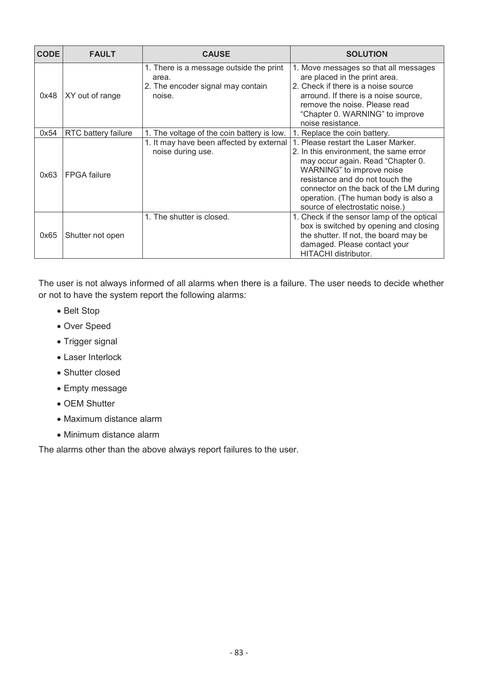| <b>CODE</b> | <b>FAULT</b>        | <b>CAUSE</b>                                                                                    | <b>SOLUTION</b>                                                                                                                                                                                                                                                                                         |
|-------------|---------------------|-------------------------------------------------------------------------------------------------|---------------------------------------------------------------------------------------------------------------------------------------------------------------------------------------------------------------------------------------------------------------------------------------------------------|
| 0x48        | XY out of range     | 1. There is a message outside the print<br>area.<br>2. The encoder signal may contain<br>noise. | 1. Move messages so that all messages<br>are placed in the print area.<br>2. Check if there is a noise source<br>arround. If there is a noise source,<br>remove the noise. Please read<br>"Chapter 0. WARNING" to improve<br>noise resistance.                                                          |
| 0x54        | RTC battery failure | 1. The voltage of the coin battery is low.                                                      | 1. Replace the coin battery.                                                                                                                                                                                                                                                                            |
| 0x63        | <b>FPGA</b> failure | 1. It may have been affected by external<br>noise during use.                                   | 1. Please restart the Laser Marker.<br>2. In this environment, the same error<br>may occur again. Read "Chapter 0.<br>WARNING" to improve noise<br>resistance and do not touch the<br>connector on the back of the LM during<br>operation. (The human body is also a<br>source of electrostatic noise.) |
| 0x65        | Shutter not open    | 1. The shutter is closed.                                                                       | 1. Check if the sensor lamp of the optical<br>box is switched by opening and closing<br>the shutter. If not, the board may be<br>damaged. Please contact your<br>HITACHI distributor.                                                                                                                   |

The user is not always informed of all alarms when there is a failure. The user needs to decide whether or not to have the system report the following alarms:

- Belt Stop
- Over Speed
- Trigger signal
- Laser Interlock
- Shutter closed
- Empty message
- OEM Shutter
- Maximum distance alarm
- Minimum distance alarm

The alarms other than the above always report failures to the user.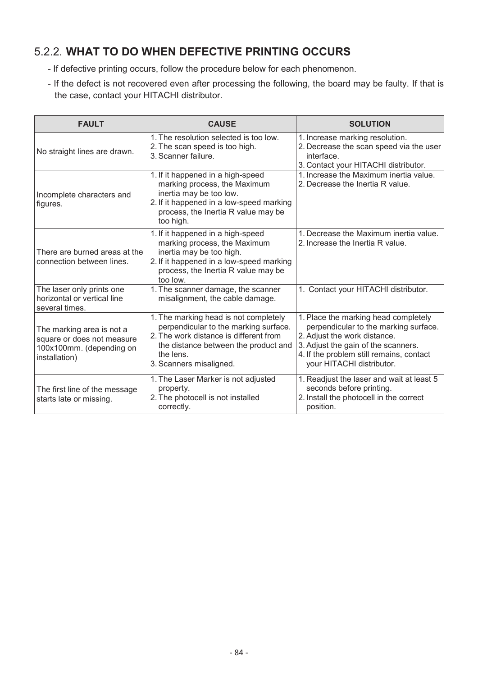# 5.2.2. **WHAT TO DO WHEN DEFECTIVE PRINTING OCCURS**

- If defective printing occurs, follow the procedure below for each phenomenon.
- If the defect is not recovered even after processing the following, the board may be faulty. If that is the case, contact your HITACHI distributor.

| <b>FAULT</b>                                                                                         | <b>CAUSE</b>                                                                                                                                                                                             | <b>SOLUTION</b>                                                                                                                                                                                                               |
|------------------------------------------------------------------------------------------------------|----------------------------------------------------------------------------------------------------------------------------------------------------------------------------------------------------------|-------------------------------------------------------------------------------------------------------------------------------------------------------------------------------------------------------------------------------|
| No straight lines are drawn.                                                                         | 1. The resolution selected is too low.<br>2. The scan speed is too high.<br>3. Scanner failure.                                                                                                          | 1. Increase marking resolution.<br>2. Decrease the scan speed via the user<br>interface.<br>3. Contact your HITACHI distributor.                                                                                              |
| Incomplete characters and<br>figures.                                                                | 1. If it happened in a high-speed<br>marking process, the Maximum<br>inertia may be too low.<br>2. If it happened in a low-speed marking<br>process, the Inertia R value may be<br>too high.             | 1. Increase the Maximum inertia value.<br>2. Decrease the Inertia R value.                                                                                                                                                    |
| There are burned areas at the<br>connection between lines.                                           | 1. If it happened in a high-speed<br>marking process, the Maximum<br>inertia may be too high.<br>2. If it happened in a low-speed marking<br>process, the Inertia R value may be<br>too low.             | 1. Decrease the Maximum inertia value.<br>2. Increase the Inertia R value.                                                                                                                                                    |
| The laser only prints one<br>horizontal or vertical line<br>several times.                           | 1. The scanner damage, the scanner<br>misalignment, the cable damage.                                                                                                                                    | 1. Contact your HITACHI distributor.                                                                                                                                                                                          |
| The marking area is not a<br>square or does not measure<br>100x100mm. (depending on<br>installation) | 1. The marking head is not completely<br>perpendicular to the marking surface.<br>2. The work distance is different from<br>the distance between the product and<br>the lens.<br>3. Scanners misaligned. | 1. Place the marking head completely<br>perpendicular to the marking surface.<br>2. Adjust the work distance.<br>3. Adjust the gain of the scanners.<br>4. If the problem still remains, contact<br>your HITACHI distributor. |
| The first line of the message<br>starts late or missing.                                             | 1. The Laser Marker is not adjusted<br>property.<br>2. The photocell is not installed<br>correctly.                                                                                                      | 1. Readjust the laser and wait at least 5<br>seconds before printing.<br>2. Install the photocell in the correct<br>position.                                                                                                 |